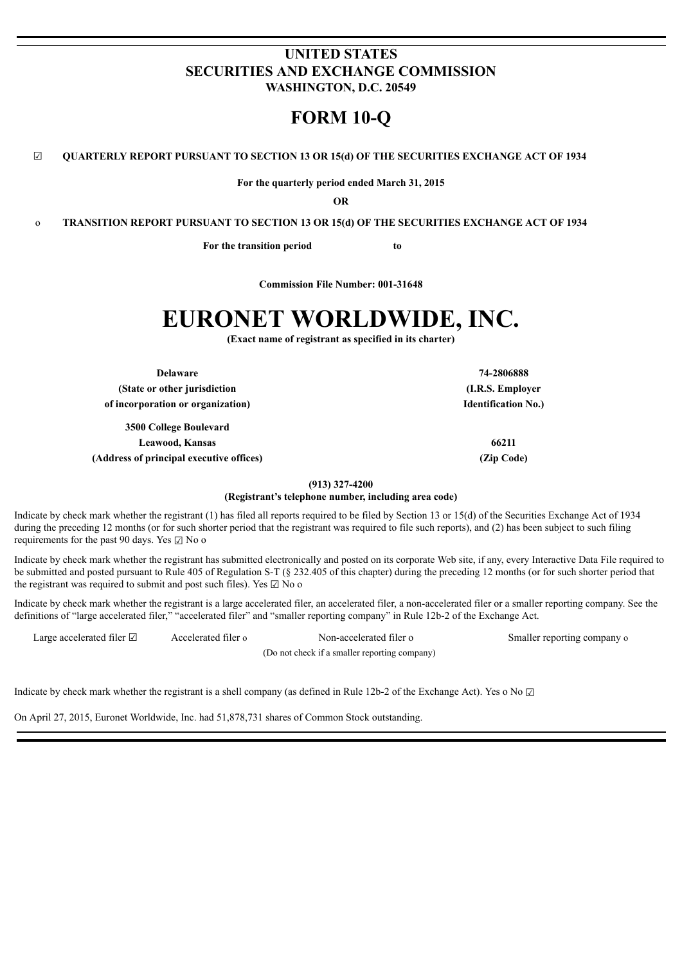# **UNITED STATES SECURITIES AND EXCHANGE COMMISSION WASHINGTON, D.C. 20549**

# **FORM 10-Q**

☑ **QUARTERLY REPORT PURSUANT TO SECTION 13 OR 15(d) OF THE SECURITIES EXCHANGE ACT OF 1934**

**For the quarterly period ended March 31, 2015**

**OR**

o **TRANSITION REPORT PURSUANT TO SECTION 13 OR 15(d) OF THE SECURITIES EXCHANGE ACT OF 1934**

**For the transition period to**

**Commission File Number: 001-31648**

# **EURONET WORLDWIDE, INC.**

**(Exact name of registrant as specified in its charter)**

**Delaware 74-2806888 (State or other jurisdiction (I.R.S. Employer of incorporation or organization) Identification No.)**

**3500 College Boulevard Leawood, Kansas 66211 (Address of principal executive offices) (Zip Code)**

**(913) 327-4200**

**(Registrant's telephone number, including area code)**

Indicate by check mark whether the registrant (1) has filed all reports required to be filed by Section 13 or 15(d) of the Securities Exchange Act of 1934 during the preceding 12 months (or for such shorter period that the registrant was required to file such reports), and (2) has been subject to such filing requirements for the past 90 days. Yes  $\boxtimes$  No o

Indicate by check mark whether the registrant has submitted electronically and posted on its corporate Web site, if any, every Interactive Data File required to be submitted and posted pursuant to Rule 405 of Regulation S-T (§ 232.405 of this chapter) during the preceding 12 months (or for such shorter period that the registrant was required to submit and post such files). Yes ☑ No o

Indicate by check mark whether the registrant is a large accelerated filer, an accelerated filer, a non-accelerated filer or a smaller reporting company. See the definitions of "large accelerated filer," "accelerated filer" and "smaller reporting company" in Rule 12b-2 of the Exchange Act.

Large accelerated filer ⊠ Accelerated filer o Non-accelerated filer o Smaller reporting company o

(Do not check if a smaller reporting company)

Indicate by check mark whether the registrant is a shell company (as defined in Rule 12b-2 of the Exchange Act). Yes o No  $\Box$ 

<span id="page-0-0"></span>On April 27, 2015, Euronet Worldwide, Inc. had 51,878,731 shares of Common Stock outstanding.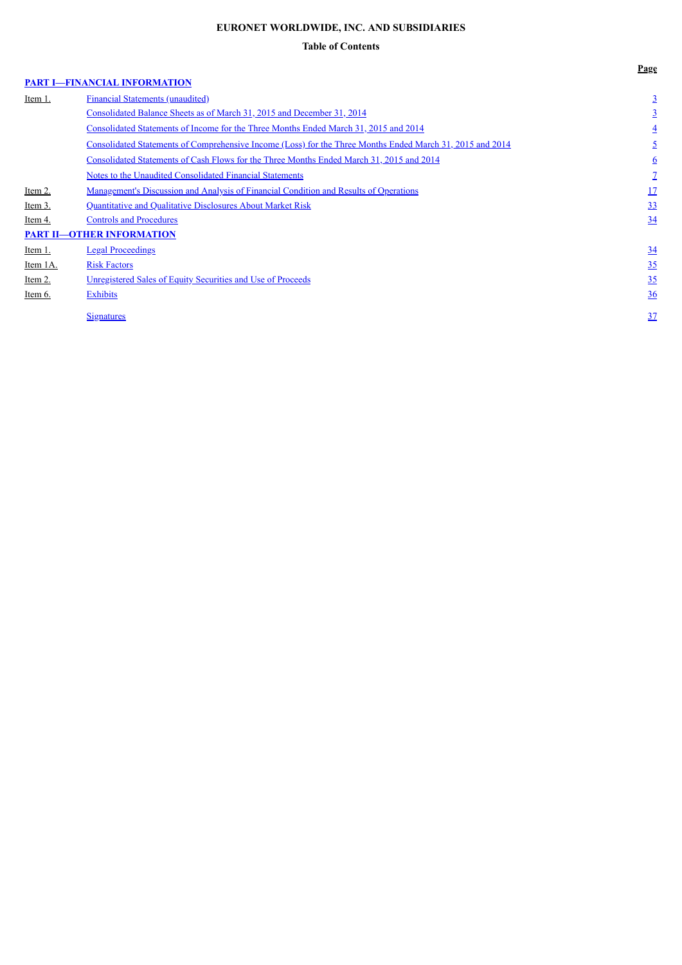# **EURONET WORLDWIDE, INC. AND SUBSIDIARIES**

# **Table of Contents**

# **PART I—FINANCIAL [INFORMATION](#page-1-0)**

<span id="page-1-0"></span>

| Item 1.  | <b>Financial Statements (unaudited)</b>                                                                   | $\overline{3}$          |
|----------|-----------------------------------------------------------------------------------------------------------|-------------------------|
|          | Consolidated Balance Sheets as of March 31, 2015 and December 31, 2014                                    |                         |
|          | Consolidated Statements of Income for the Three Months Ended March 31, 2015 and 2014                      | $\overline{4}$          |
|          | Consolidated Statements of Comprehensive Income (Loss) for the Three Months Ended March 31, 2015 and 2014 |                         |
|          | Consolidated Statements of Cash Flows for the Three Months Ended March 31, 2015 and 2014                  | $\overline{\mathbf{6}}$ |
|          | Notes to the Unaudited Consolidated Financial Statements                                                  |                         |
| Item 2.  | Management's Discussion and Analysis of Financial Condition and Results of Operations                     | <u> 17</u>              |
| Item 3.  | Quantitative and Qualitative Disclosures About Market Risk                                                | 33                      |
| Item 4.  | <b>Controls and Procedures</b>                                                                            | $\frac{34}{5}$          |
|          | <b>PART II-OTHER INFORMATION</b>                                                                          |                         |
| Item 1.  | <b>Legal Proceedings</b>                                                                                  | 34                      |
| Item 1A. | <b>Risk Factors</b>                                                                                       | $\overline{35}$         |
| Item 2.  | Unregistered Sales of Equity Securities and Use of Proceeds                                               | 35                      |
| Item 6.  | <b>Exhibits</b>                                                                                           | $\frac{36}{5}$          |
|          | Signatures                                                                                                | $\frac{37}{2}$          |

**Page**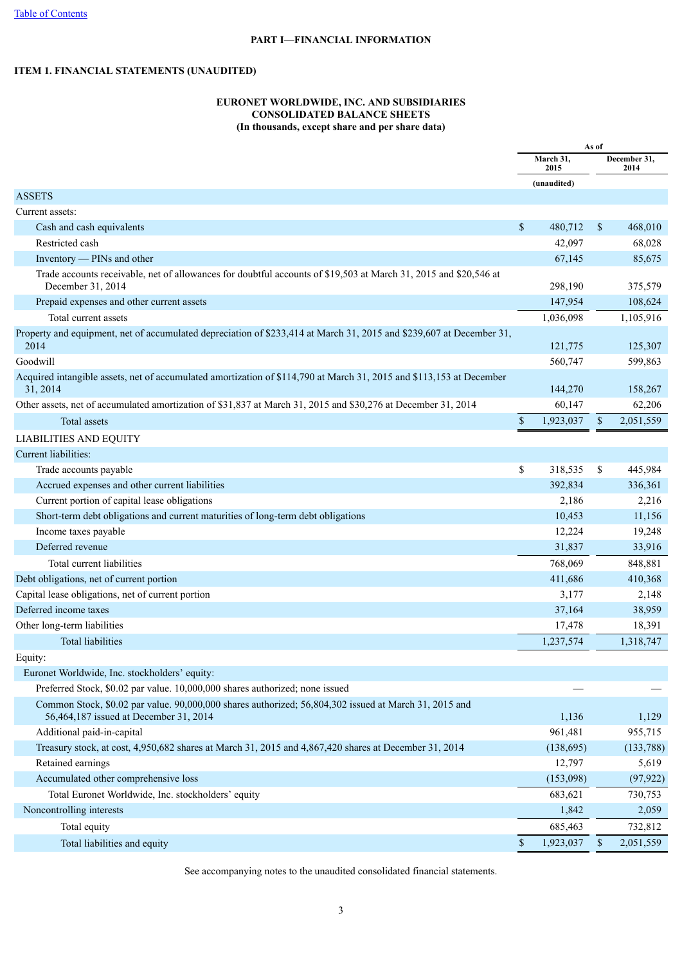# **PART I—FINANCIAL INFORMATION**

# <span id="page-2-1"></span><span id="page-2-0"></span>**ITEM 1. FINANCIAL STATEMENTS (UNAUDITED)**

# **EURONET WORLDWIDE, INC. AND SUBSIDIARIES CONSOLIDATED BALANCE SHEETS (In thousands, except share and per share data)**

|                                                                                                                                       | As of                     |                   |    |                      |  |
|---------------------------------------------------------------------------------------------------------------------------------------|---------------------------|-------------------|----|----------------------|--|
|                                                                                                                                       |                           | March 31,<br>2015 |    | December 31,<br>2014 |  |
|                                                                                                                                       |                           | (unaudited)       |    |                      |  |
| <b>ASSETS</b>                                                                                                                         |                           |                   |    |                      |  |
| Current assets:                                                                                                                       |                           |                   |    |                      |  |
| Cash and cash equivalents                                                                                                             | \$                        | 480,712           | \$ | 468,010              |  |
| Restricted cash                                                                                                                       |                           | 42,097            |    | 68,028               |  |
| Inventory - PINs and other                                                                                                            |                           | 67,145            |    | 85,675               |  |
| Trade accounts receivable, net of allowances for doubtful accounts of \$19,503 at March 31, 2015 and \$20,546 at<br>December 31, 2014 |                           | 298,190           |    | 375,579              |  |
| Prepaid expenses and other current assets                                                                                             |                           | 147,954           |    | 108,624              |  |
| Total current assets                                                                                                                  |                           | 1,036,098         |    | 1,105,916            |  |
| Property and equipment, net of accumulated depreciation of \$233,414 at March 31, 2015 and \$239,607 at December 31,<br>2014          |                           | 121,775           |    | 125,307              |  |
| Goodwill                                                                                                                              |                           | 560,747           |    | 599,863              |  |
| Acquired intangible assets, net of accumulated amortization of \$114,790 at March 31, 2015 and \$113,153 at December<br>31, 2014      |                           | 144,270           |    | 158,267              |  |
| Other assets, net of accumulated amortization of \$31,837 at March 31, 2015 and \$30,276 at December 31, 2014                         |                           | 60,147            |    | 62,206               |  |
| Total assets                                                                                                                          | $\boldsymbol{\mathsf{S}}$ | 1,923,037         | \$ | 2,051,559            |  |
| <b>LIABILITIES AND EQUITY</b>                                                                                                         |                           |                   |    |                      |  |
| Current liabilities:                                                                                                                  |                           |                   |    |                      |  |
| Trade accounts payable                                                                                                                | \$                        | 318,535           | \$ | 445,984              |  |
| Accrued expenses and other current liabilities                                                                                        |                           | 392,834           |    | 336,361              |  |
| Current portion of capital lease obligations                                                                                          |                           | 2,186             |    | 2,216                |  |
| Short-term debt obligations and current maturities of long-term debt obligations                                                      |                           | 10,453            |    | 11,156               |  |
| Income taxes payable                                                                                                                  |                           | 12,224            |    | 19,248               |  |
| Deferred revenue                                                                                                                      |                           | 31,837            |    | 33,916               |  |
| Total current liabilities                                                                                                             |                           | 768,069           |    | 848,881              |  |
| Debt obligations, net of current portion                                                                                              |                           | 411,686           |    | 410,368              |  |
| Capital lease obligations, net of current portion                                                                                     |                           | 3,177             |    | 2,148                |  |
| Deferred income taxes                                                                                                                 |                           | 37,164            |    | 38,959               |  |
| Other long-term liabilities                                                                                                           |                           | 17,478            |    | 18,391               |  |
| <b>Total liabilities</b>                                                                                                              |                           | 1,237,574         |    | 1,318,747            |  |
| Equity:                                                                                                                               |                           |                   |    |                      |  |
| Euronet Worldwide, Inc. stockholders' equity:                                                                                         |                           |                   |    |                      |  |
| Preferred Stock, \$0.02 par value. 10,000,000 shares authorized; none issued                                                          |                           |                   |    |                      |  |
| Common Stock, \$0.02 par value. 90,000,000 shares authorized; 56,804,302 issued at March 31, 2015 and                                 |                           |                   |    |                      |  |
| 56,464,187 issued at December 31, 2014                                                                                                |                           | 1,136             |    | 1,129                |  |
| Additional paid-in-capital                                                                                                            |                           | 961,481           |    | 955,715              |  |
| Treasury stock, at cost, 4,950,682 shares at March 31, 2015 and 4,867,420 shares at December 31, 2014                                 |                           | (138, 695)        |    | (133, 788)           |  |
| Retained earnings                                                                                                                     |                           | 12,797            |    | 5,619                |  |
| Accumulated other comprehensive loss                                                                                                  |                           | (153,098)         |    | (97, 922)            |  |
| Total Euronet Worldwide, Inc. stockholders' equity                                                                                    |                           | 683,621           |    | 730,753              |  |
| Noncontrolling interests                                                                                                              |                           | 1,842             |    | 2,059                |  |
| Total equity                                                                                                                          |                           | 685,463           |    | 732,812              |  |
| Total liabilities and equity                                                                                                          | $\mathbb{S}$              | 1,923,037         | \$ | 2,051,559            |  |

<span id="page-2-2"></span>See accompanying notes to the unaudited consolidated financial statements.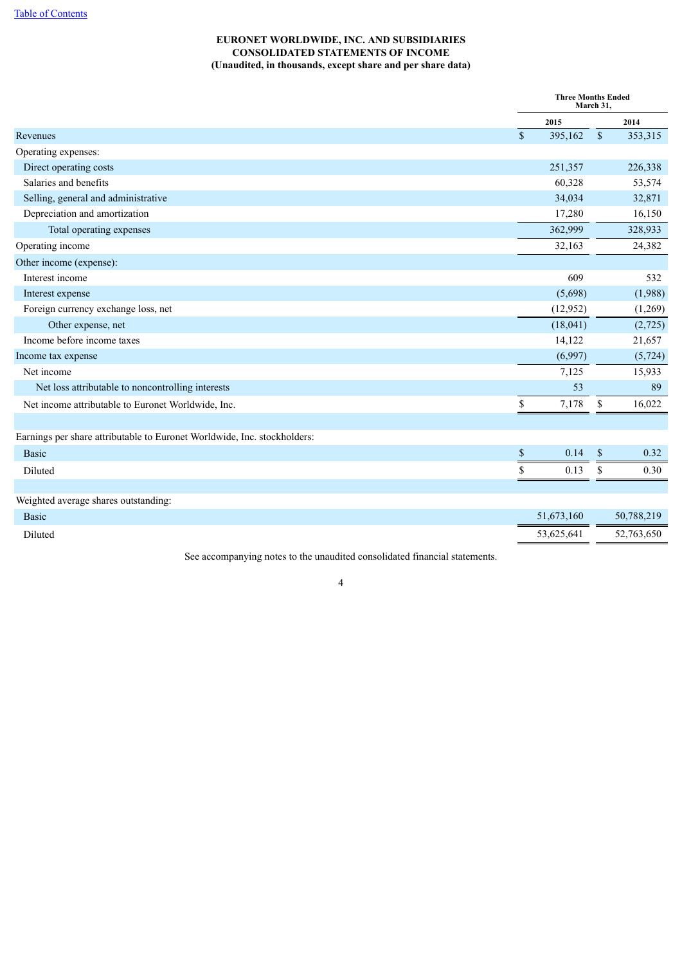# **EURONET WORLDWIDE, INC. AND SUBSIDIARIES CONSOLIDATED STATEMENTS OF INCOME (Unaudited, in thousands, except share and per share data)**

|                                                                          |                           | <b>Three Months Ended</b><br>March 31. |             |            |  |  |
|--------------------------------------------------------------------------|---------------------------|----------------------------------------|-------------|------------|--|--|
|                                                                          |                           | 2015                                   |             | 2014       |  |  |
| Revenues                                                                 | $\boldsymbol{\mathsf{S}}$ | 395,162                                | $\sqrt{\ }$ | 353,315    |  |  |
| Operating expenses:                                                      |                           |                                        |             |            |  |  |
| Direct operating costs                                                   |                           | 251,357                                |             | 226,338    |  |  |
| Salaries and benefits                                                    |                           | 60,328                                 |             | 53,574     |  |  |
| Selling, general and administrative                                      |                           | 34,034                                 |             | 32,871     |  |  |
| Depreciation and amortization                                            |                           | 17,280                                 |             | 16,150     |  |  |
| Total operating expenses                                                 |                           | 362,999                                |             | 328,933    |  |  |
| Operating income                                                         |                           | 32,163                                 |             | 24,382     |  |  |
| Other income (expense):                                                  |                           |                                        |             |            |  |  |
| Interest income                                                          |                           | 609                                    |             | 532        |  |  |
| Interest expense                                                         |                           | (5,698)                                |             | (1,988)    |  |  |
| Foreign currency exchange loss, net                                      |                           | (12,952)                               |             | (1,269)    |  |  |
| Other expense, net                                                       |                           | (18,041)                               |             | (2,725)    |  |  |
| Income before income taxes                                               |                           | 14,122                                 |             | 21,657     |  |  |
| Income tax expense                                                       |                           | (6,997)                                |             | (5, 724)   |  |  |
| Net income                                                               |                           | 7,125                                  |             | 15,933     |  |  |
| Net loss attributable to noncontrolling interests                        |                           | 53                                     |             | 89         |  |  |
| Net income attributable to Euronet Worldwide, Inc.                       | \$                        | 7,178                                  | \$          | 16,022     |  |  |
|                                                                          |                           |                                        |             |            |  |  |
| Earnings per share attributable to Euronet Worldwide, Inc. stockholders: |                           |                                        |             |            |  |  |
| <b>Basic</b>                                                             | $\$$                      | 0.14                                   | \$          | 0.32       |  |  |
| Diluted                                                                  | \$                        | 0.13                                   | \$          | 0.30       |  |  |
|                                                                          |                           |                                        |             |            |  |  |
| Weighted average shares outstanding:                                     |                           |                                        |             |            |  |  |
| <b>Basic</b>                                                             |                           | 51,673,160                             |             | 50,788,219 |  |  |
| Diluted                                                                  |                           | 53,625,641                             |             | 52,763,650 |  |  |
|                                                                          |                           |                                        |             |            |  |  |

<span id="page-3-0"></span>See accompanying notes to the unaudited consolidated financial statements.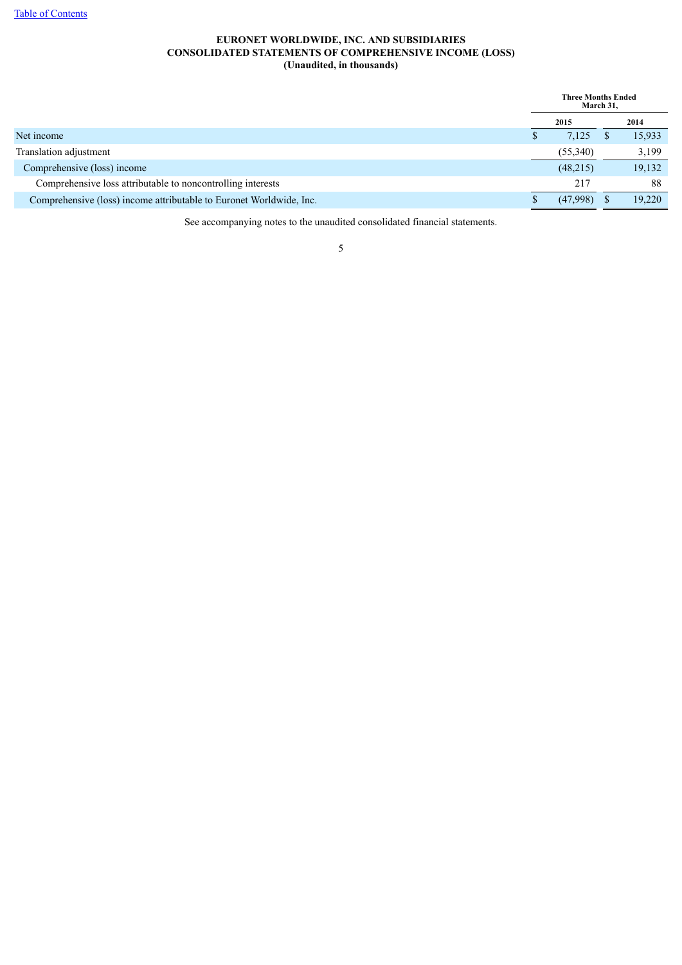# **EURONET WORLDWIDE, INC. AND SUBSIDIARIES CONSOLIDATED STATEMENTS OF COMPREHENSIVE INCOME (LOSS) (Unaudited, in thousands)**

<span id="page-4-0"></span>

|                                                                     | <b>Three Months Ended</b><br>March 31, |  |        |  |  |
|---------------------------------------------------------------------|----------------------------------------|--|--------|--|--|
|                                                                     | 2015                                   |  | 2014   |  |  |
| Net income                                                          | 7,125                                  |  | 15,933 |  |  |
| Translation adjustment                                              | (55,340)                               |  | 3,199  |  |  |
| Comprehensive (loss) income                                         | (48,215)                               |  | 19,132 |  |  |
| Comprehensive loss attributable to noncontrolling interests         | 217                                    |  | 88     |  |  |
| Comprehensive (loss) income attributable to Euronet Worldwide, Inc. | (47,998)                               |  | 19.220 |  |  |

See accompanying notes to the unaudited consolidated financial statements.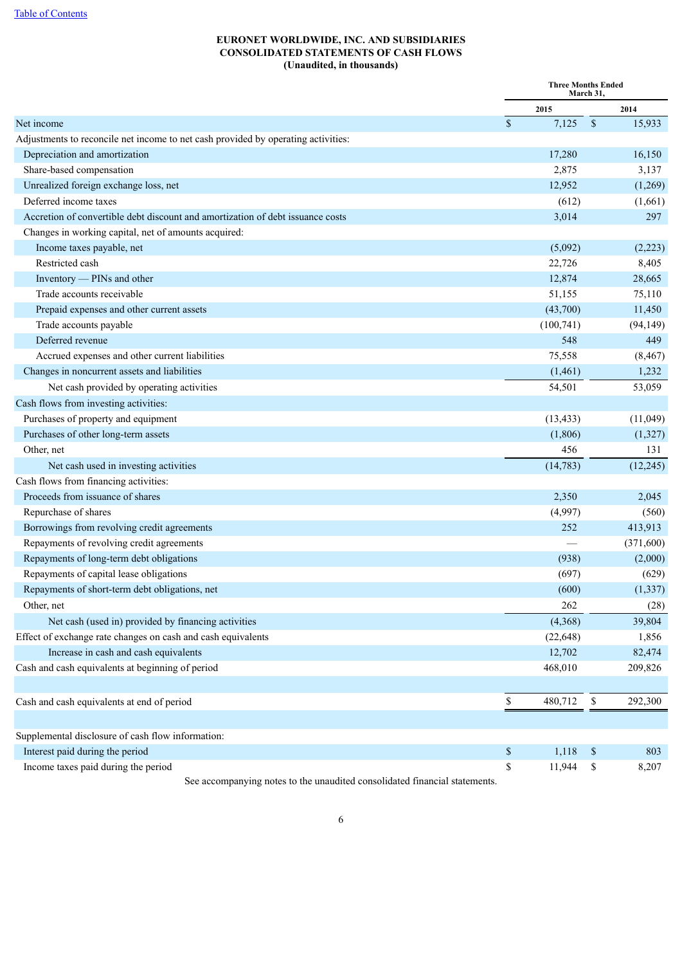# **EURONET WORLDWIDE, INC. AND SUBSIDIARIES CONSOLIDATED STATEMENTS OF CASH FLOWS (Unaudited, in thousands)**

|                                                                                   | <b>Three Months Ended</b><br>March 31, |            |              |           |  |  |  |
|-----------------------------------------------------------------------------------|----------------------------------------|------------|--------------|-----------|--|--|--|
|                                                                                   |                                        | 2015       |              | 2014      |  |  |  |
| Net income                                                                        | \$                                     | 7,125      | $\mathbb{S}$ | 15,933    |  |  |  |
| Adjustments to reconcile net income to net cash provided by operating activities: |                                        |            |              |           |  |  |  |
| Depreciation and amortization                                                     |                                        | 17,280     |              | 16,150    |  |  |  |
| Share-based compensation                                                          |                                        | 2,875      |              | 3,137     |  |  |  |
| Unrealized foreign exchange loss, net                                             |                                        | 12,952     |              | (1,269)   |  |  |  |
| Deferred income taxes                                                             |                                        | (612)      |              | (1,661)   |  |  |  |
| Accretion of convertible debt discount and amortization of debt issuance costs    |                                        | 3,014      |              | 297       |  |  |  |
| Changes in working capital, net of amounts acquired:                              |                                        |            |              |           |  |  |  |
| Income taxes payable, net                                                         |                                        | (5,092)    |              | (2,223)   |  |  |  |
| Restricted cash                                                                   |                                        | 22,726     |              | 8,405     |  |  |  |
| Inventory — PINs and other                                                        |                                        | 12,874     |              | 28,665    |  |  |  |
| Trade accounts receivable                                                         |                                        | 51,155     |              | 75,110    |  |  |  |
| Prepaid expenses and other current assets                                         |                                        | (43,700)   |              | 11,450    |  |  |  |
| Trade accounts payable                                                            |                                        | (100, 741) |              | (94, 149) |  |  |  |
| Deferred revenue                                                                  |                                        | 548        |              | 449       |  |  |  |
| Accrued expenses and other current liabilities                                    |                                        | 75,558     |              | (8, 467)  |  |  |  |
| Changes in noncurrent assets and liabilities                                      |                                        | (1,461)    |              | 1,232     |  |  |  |
| Net cash provided by operating activities                                         |                                        | 54,501     |              | 53,059    |  |  |  |
| Cash flows from investing activities:                                             |                                        |            |              |           |  |  |  |
| Purchases of property and equipment                                               |                                        | (13, 433)  |              | (11,049)  |  |  |  |
| Purchases of other long-term assets                                               |                                        | (1,806)    |              | (1,327)   |  |  |  |
| Other, net                                                                        |                                        | 456        |              | 131       |  |  |  |
| Net cash used in investing activities                                             |                                        | (14, 783)  |              | (12, 245) |  |  |  |
| Cash flows from financing activities:                                             |                                        |            |              |           |  |  |  |
| Proceeds from issuance of shares                                                  |                                        | 2,350      |              | 2,045     |  |  |  |
| Repurchase of shares                                                              |                                        | (4,997)    |              | (560)     |  |  |  |
| Borrowings from revolving credit agreements                                       |                                        | 252        |              | 413,913   |  |  |  |
| Repayments of revolving credit agreements                                         |                                        |            |              | (371,600) |  |  |  |
| Repayments of long-term debt obligations                                          |                                        | (938)      |              | (2,000)   |  |  |  |
| Repayments of capital lease obligations                                           |                                        | (697)      |              | (629)     |  |  |  |
| Repayments of short-term debt obligations, net                                    |                                        | (600)      |              | (1, 337)  |  |  |  |
| Other, net                                                                        |                                        | 262        |              | (28)      |  |  |  |
| Net cash (used in) provided by financing activities                               |                                        | (4,368)    |              | 39,804    |  |  |  |
| Effect of exchange rate changes on cash and cash equivalents                      |                                        | (22, 648)  |              | 1,856     |  |  |  |
| Increase in cash and cash equivalents                                             |                                        | 12,702     |              | 82,474    |  |  |  |
| Cash and cash equivalents at beginning of period                                  |                                        | 468,010    |              | 209,826   |  |  |  |
|                                                                                   |                                        |            |              |           |  |  |  |
| Cash and cash equivalents at end of period                                        | \$                                     | 480,712    | \$           | 292,300   |  |  |  |
|                                                                                   |                                        |            |              |           |  |  |  |
| Supplemental disclosure of cash flow information:                                 |                                        |            |              |           |  |  |  |
| Interest paid during the period                                                   | $\boldsymbol{\$}$                      | 1,118      | $\$$         | 803       |  |  |  |
| Income taxes paid during the period                                               | \$                                     | 11,944     | \$           | 8,207     |  |  |  |

<span id="page-5-0"></span>See accompanying notes to the unaudited consolidated financial statements.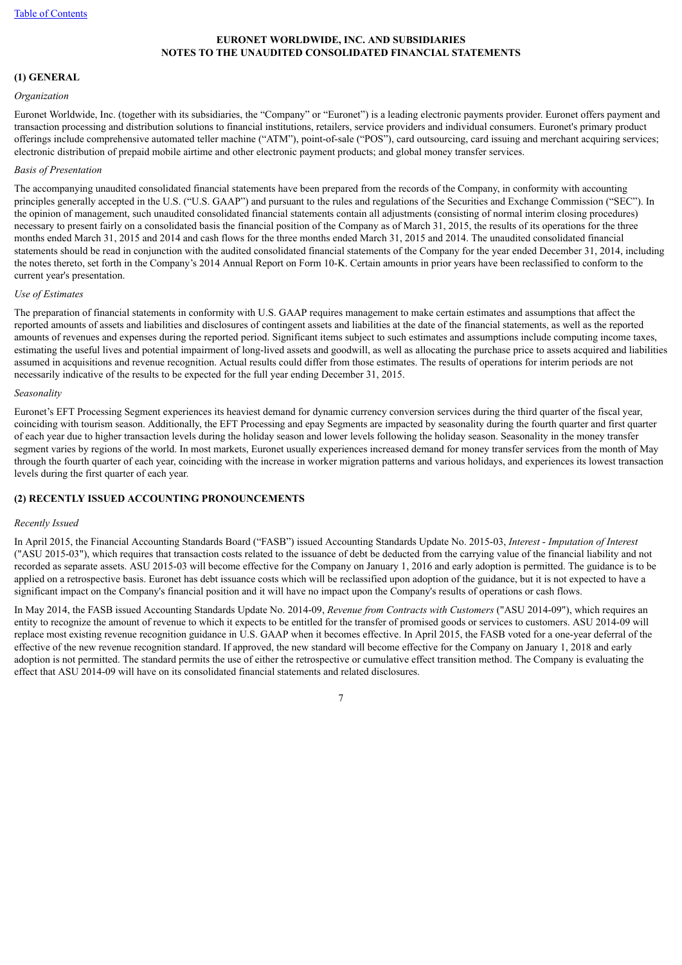# **EURONET WORLDWIDE, INC. AND SUBSIDIARIES NOTES TO THE UNAUDITED CONSOLIDATED FINANCIAL STATEMENTS**

### **(1) GENERAL**

### *Organization*

Euronet Worldwide, Inc. (together with its subsidiaries, the "Company" or "Euronet") is a leading electronic payments provider. Euronet offers payment and transaction processing and distribution solutions to financial institutions, retailers, service providers and individual consumers. Euronet's primary product offerings include comprehensive automated teller machine ("ATM"), point-of-sale ("POS"), card outsourcing, card issuing and merchant acquiring services; electronic distribution of prepaid mobile airtime and other electronic payment products; and global money transfer services.

### *Basis of Presentation*

The accompanying unaudited consolidated financial statements have been prepared from the records of the Company, in conformity with accounting principles generally accepted in the U.S. ("U.S. GAAP") and pursuant to the rules and regulations of the Securities and Exchange Commission ("SEC"). In the opinion of management, such unaudited consolidated financial statements contain all adjustments (consisting of normal interim closing procedures) necessary to present fairly on a consolidated basis the financial position of the Company as of March 31, 2015, the results of its operations for the three months ended March 31, 2015 and 2014 and cash flows for the three months ended March 31, 2015 and 2014. The unaudited consolidated financial statements should be read in conjunction with the audited consolidated financial statements of the Company for the year ended December 31, 2014, including the notes thereto, set forth in the Company's 2014 Annual Report on Form 10-K. Certain amounts in prior years have been reclassified to conform to the current year's presentation.

# *Use of Estimates*

The preparation of financial statements in conformity with U.S. GAAP requires management to make certain estimates and assumptions that affect the reported amounts of assets and liabilities and disclosures of contingent assets and liabilities at the date of the financial statements, as well as the reported amounts of revenues and expenses during the reported period. Significant items subject to such estimates and assumptions include computing income taxes, estimating the useful lives and potential impairment of long-lived assets and goodwill, as well as allocating the purchase price to assets acquired and liabilities assumed in acquisitions and revenue recognition. Actual results could differ from those estimates. The results of operations for interim periods are not necessarily indicative of the results to be expected for the full year ending December 31, 2015.

### *Seasonality*

Euronet's EFT Processing Segment experiences its heaviest demand for dynamic currency conversion services during the third quarter of the fiscal year, coinciding with tourism season. Additionally, the EFT Processing and epay Segments are impacted by seasonality during the fourth quarter and first quarter of each year due to higher transaction levels during the holiday season and lower levels following the holiday season. Seasonality in the money transfer segment varies by regions of the world. In most markets, Euronet usually experiences increased demand for money transfer services from the month of May through the fourth quarter of each year, coinciding with the increase in worker migration patterns and various holidays, and experiences its lowest transaction levels during the first quarter of each year.

# **(2) RECENTLY ISSUED ACCOUNTING PRONOUNCEMENTS**

#### *Recently Issued*

In April 2015, the Financial Accounting Standards Board ("FASB") issued Accounting Standards Update No. 2015-03, *Interest - Imputation of Interest* ("ASU 2015-03"), which requires that transaction costs related to the issuance of debt be deducted from the carrying value of the financial liability and not recorded as separate assets. ASU 2015-03 will become effective for the Company on January 1, 2016 and early adoption is permitted. The guidance is to be applied on a retrospective basis. Euronet has debt issuance costs which will be reclassified upon adoption of the guidance, but it is not expected to have a significant impact on the Company's financial position and it will have no impact upon the Company's results of operations or cash flows.

In May 2014, the FASB issued Accounting Standards Update No. 2014-09, *Revenue from Contracts with Customers* ("ASU 2014-09"), which requires an entity to recognize the amount of revenue to which it expects to be entitled for the transfer of promised goods or services to customers. ASU 2014-09 will replace most existing revenue recognition guidance in U.S. GAAP when it becomes effective. In April 2015, the FASB voted for a one-year deferral of the effective of the new revenue recognition standard. If approved, the new standard will become effective for the Company on January 1, 2018 and early adoption is not permitted. The standard permits the use of either the retrospective or cumulative effect transition method. The Company is evaluating the effect that ASU 2014-09 will have on its consolidated financial statements and related disclosures.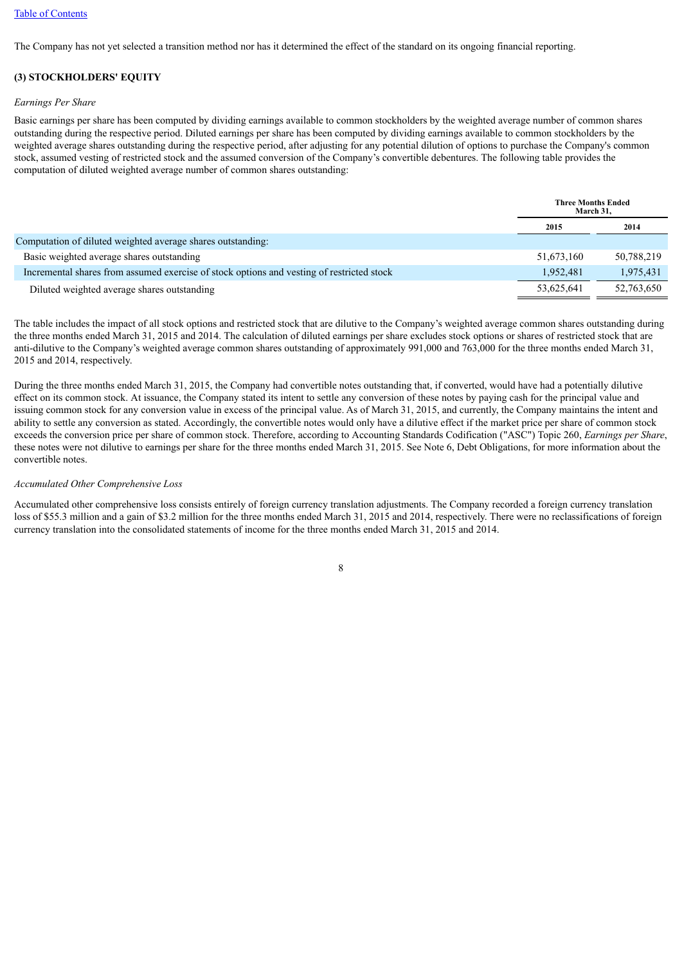The Company has not yet selected a transition method nor has it determined the effect of the standard on its ongoing financial reporting.

# **(3) STOCKHOLDERS' EQUITY**

#### *Earnings Per Share*

Basic earnings per share has been computed by dividing earnings available to common stockholders by the weighted average number of common shares outstanding during the respective period. Diluted earnings per share has been computed by dividing earnings available to common stockholders by the weighted average shares outstanding during the respective period, after adjusting for any potential dilution of options to purchase the Company's common stock, assumed vesting of restricted stock and the assumed conversion of the Company's convertible debentures. The following table provides the computation of diluted weighted average number of common shares outstanding:

|                                                                                           | <b>Three Months Ended</b><br>March 31. |            |
|-------------------------------------------------------------------------------------------|----------------------------------------|------------|
|                                                                                           | 2015                                   | 2014       |
| Computation of diluted weighted average shares outstanding:                               |                                        |            |
| Basic weighted average shares outstanding                                                 | 51,673,160                             | 50,788,219 |
| Incremental shares from assumed exercise of stock options and vesting of restricted stock | 1,952,481                              | 1,975,431  |
| Diluted weighted average shares outstanding                                               | 53,625,641                             | 52,763,650 |

The table includes the impact of all stock options and restricted stock that are dilutive to the Company's weighted average common shares outstanding during the three months ended March 31, 2015 and 2014. The calculation of diluted earnings per share excludes stock options or shares of restricted stock that are anti-dilutive to the Company's weighted average common shares outstanding of approximately 991,000 and 763,000 for the three months ended March 31, 2015 and 2014, respectively.

During the three months ended March 31, 2015, the Company had convertible notes outstanding that, if converted, would have had a potentially dilutive effect on its common stock. At issuance, the Company stated its intent to settle any conversion of these notes by paying cash for the principal value and issuing common stock for any conversion value in excess of the principal value. As of March 31, 2015, and currently, the Company maintains the intent and ability to settle any conversion as stated. Accordingly, the convertible notes would only have a dilutive effect if the market price per share of common stock exceeds the conversion price per share of common stock. Therefore, according to Accounting Standards Codification ("ASC") Topic 260, *Earnings per Share*, these notes were not dilutive to earnings per share for the three months ended March 31, 2015. See Note 6, Debt Obligations, for more information about the convertible notes.

# *Accumulated Other Comprehensive Loss*

Accumulated other comprehensive loss consists entirely of foreign currency translation adjustments. The Company recorded a foreign currency translation loss of \$55.3 million and a gain of \$3.2 million for the three months ended March 31, 2015 and 2014, respectively. There were no reclassifications of foreign currency translation into the consolidated statements of income for the three months ended March 31, 2015 and 2014.

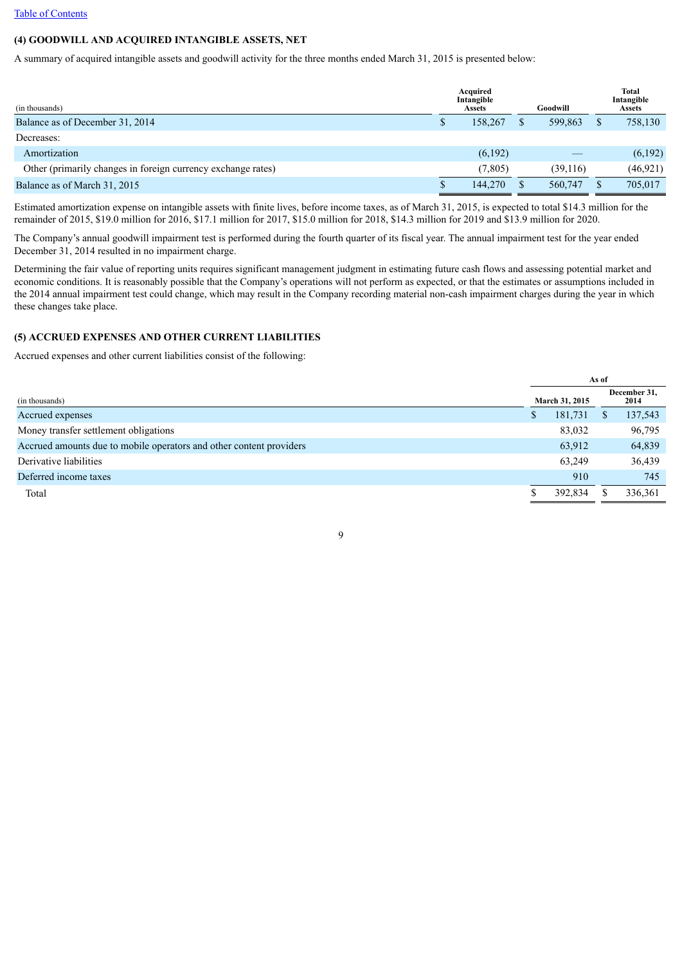# **(4) GOODWILL AND ACQUIRED INTANGIBLE ASSETS, NET**

A summary of acquired intangible assets and goodwill activity for the three months ended March 31, 2015 is presented below:

| (in thousands)                                               | Acquired<br>Intangible<br><b>Assets</b> | Goodwill | Total<br>Intangible<br><b>Assets</b> |
|--------------------------------------------------------------|-----------------------------------------|----------|--------------------------------------|
| Balance as of December 31, 2014                              | 158,267                                 | 599.863  | 758,130                              |
| Decreases:                                                   |                                         |          |                                      |
| Amortization                                                 | (6,192)                                 |          | (6,192)                              |
| Other (primarily changes in foreign currency exchange rates) | (7,805)                                 | (39,116) | (46, 921)                            |
| Balance as of March 31, 2015                                 | 144,270                                 | 560,747  | 705,017                              |

Estimated amortization expense on intangible assets with finite lives, before income taxes, as of March 31, 2015, is expected to total \$14.3 million for the remainder of 2015, \$19.0 million for 2016, \$17.1 million for 2017, \$15.0 million for 2018, \$14.3 million for 2019 and \$13.9 million for 2020.

The Company's annual goodwill impairment test is performed during the fourth quarter of its fiscal year. The annual impairment test for the year ended December 31, 2014 resulted in no impairment charge.

Determining the fair value of reporting units requires significant management judgment in estimating future cash flows and assessing potential market and economic conditions. It is reasonably possible that the Company's operations will not perform as expected, or that the estimates or assumptions included in the 2014 annual impairment test could change, which may result in the Company recording material non-cash impairment charges during the year in which these changes take place.

# **(5) ACCRUED EXPENSES AND OTHER CURRENT LIABILITIES**

Accrued expenses and other current liabilities consist of the following:

|                                                                     | As of          |         |  |                      |  |  |  |
|---------------------------------------------------------------------|----------------|---------|--|----------------------|--|--|--|
| (in thousands)                                                      | March 31, 2015 |         |  | December 31,<br>2014 |  |  |  |
| Accrued expenses                                                    | <sup>\$</sup>  | 181,731 |  | 137,543              |  |  |  |
| Money transfer settlement obligations                               |                | 83,032  |  | 96,795               |  |  |  |
| Accrued amounts due to mobile operators and other content providers |                | 63,912  |  | 64,839               |  |  |  |
| Derivative liabilities                                              |                | 63,249  |  | 36,439               |  |  |  |
| Deferred income taxes                                               |                | 910     |  | 745                  |  |  |  |
| Total                                                               |                | 392,834 |  | 336,361              |  |  |  |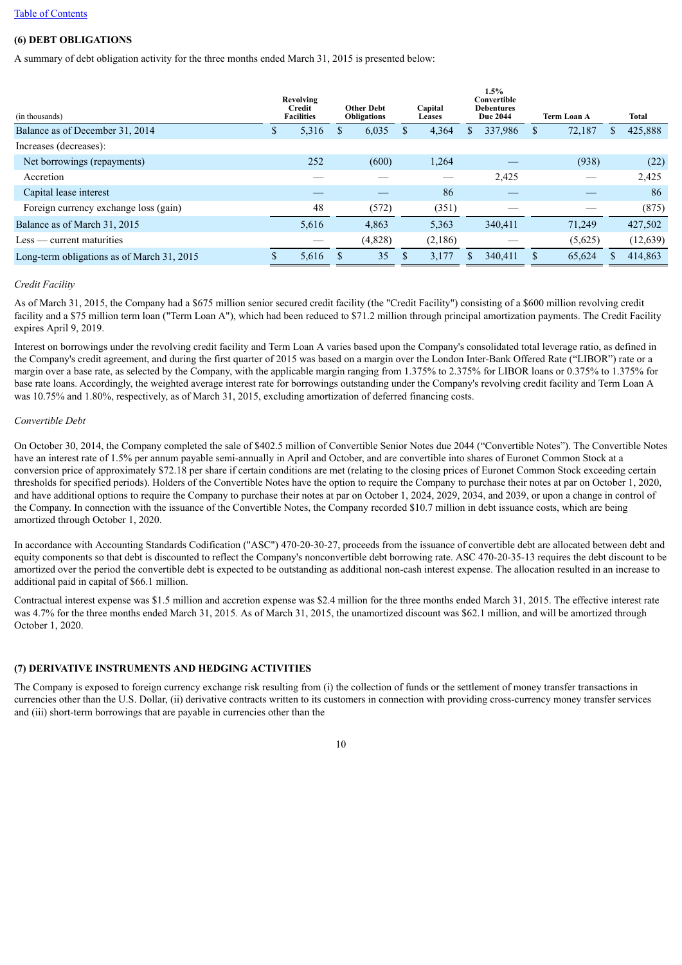# **(6) DEBT OBLIGATIONS**

A summary of debt obligation activity for the three months ended March 31, 2015 is presented below:

| (in thousands)                             |    | Revolving<br>Credit<br><b>Facilities</b> |   | <b>Other Debt</b><br><b>Obligations</b> | Capital<br><b>Leases</b> |   | 1.5%<br>Convertible<br><b>Debentures</b><br><b>Due 2044</b> | Term Loan A   |         |   | Total     |
|--------------------------------------------|----|------------------------------------------|---|-----------------------------------------|--------------------------|---|-------------------------------------------------------------|---------------|---------|---|-----------|
| Balance as of December 31, 2014            | J. | 5,316                                    | S | 6,035                                   | 4,364                    | S | 337,986                                                     | <sup>S</sup>  | 72,187  | S | 425,888   |
| Increases (decreases):                     |    |                                          |   |                                         |                          |   |                                                             |               |         |   |           |
| Net borrowings (repayments)                |    | 252                                      |   | (600)                                   | 1,264                    |   |                                                             |               | (938)   |   | (22)      |
| Accretion                                  |    |                                          |   |                                         |                          |   | 2,425                                                       |               |         |   | 2,425     |
| Capital lease interest                     |    |                                          |   |                                         | 86                       |   |                                                             |               |         |   | 86        |
| Foreign currency exchange loss (gain)      |    | 48                                       |   | (572)                                   | (351)                    |   |                                                             |               |         |   | (875)     |
| Balance as of March 31, 2015               |    | 5,616                                    |   | 4,863                                   | 5,363                    |   | 340,411                                                     |               | 71,249  |   | 427,502   |
| Less — current maturities                  |    |                                          |   | (4,828)                                 | (2,186)                  |   |                                                             |               | (5,625) |   | (12, 639) |
| Long-term obligations as of March 31, 2015 |    | 5,616                                    |   | 35                                      | 3,177                    |   | 340,411                                                     | <sup>\$</sup> | 65,624  |   | 414,863   |

#### *Credit Facility*

As of March 31, 2015, the Company had a \$675 million senior secured credit facility (the "Credit Facility") consisting of a \$600 million revolving credit facility and a \$75 million term loan ("Term Loan A"), which had been reduced to \$71.2 million through principal amortization payments. The Credit Facility expires April 9, 2019.

Interest on borrowings under the revolving credit facility and Term Loan A varies based upon the Company's consolidated total leverage ratio, as defined in the Company's credit agreement, and during the first quarter of 2015 was based on a margin over the London Inter-Bank Offered Rate ("LIBOR") rate or a margin over a base rate, as selected by the Company, with the applicable margin ranging from 1.375% to 2.375% for LIBOR loans or 0.375% to 1.375% for base rate loans. Accordingly, the weighted average interest rate for borrowings outstanding under the Company's revolving credit facility and Term Loan A was 10.75% and 1.80%, respectively, as of March 31, 2015, excluding amortization of deferred financing costs.

### *Convertible Debt*

On October 30, 2014, the Company completed the sale of \$402.5 million of Convertible Senior Notes due 2044 ("Convertible Notes"). The Convertible Notes have an interest rate of 1.5% per annum payable semi-annually in April and October, and are convertible into shares of Euronet Common Stock at a conversion price of approximately \$72.18 per share if certain conditions are met (relating to the closing prices of Euronet Common Stock exceeding certain thresholds for specified periods). Holders of the Convertible Notes have the option to require the Company to purchase their notes at par on October 1, 2020, and have additional options to require the Company to purchase their notes at par on October 1, 2024, 2029, 2034, and 2039, or upon a change in control of the Company. In connection with the issuance of the Convertible Notes, the Company recorded \$10.7 million in debt issuance costs, which are being amortized through October 1, 2020.

In accordance with Accounting Standards Codification ("ASC") 470-20-30-27, proceeds from the issuance of convertible debt are allocated between debt and equity components so that debt is discounted to reflect the Company's nonconvertible debt borrowing rate. ASC 470-20-35-13 requires the debt discount to be amortized over the period the convertible debt is expected to be outstanding as additional non-cash interest expense. The allocation resulted in an increase to additional paid in capital of \$66.1 million.

Contractual interest expense was \$1.5 million and accretion expense was \$2.4 million for the three months ended March 31, 2015. The effective interest rate was 4.7% for the three months ended March 31, 2015. As of March 31, 2015, the unamortized discount was \$62.1 million, and will be amortized through October 1, 2020.

# **(7) DERIVATIVE INSTRUMENTS AND HEDGING ACTIVITIES**

The Company is exposed to foreign currency exchange risk resulting from (i) the collection of funds or the settlement of money transfer transactions in currencies other than the U.S. Dollar, (ii) derivative contracts written to its customers in connection with providing cross-currency money transfer services and (iii) short-term borrowings that are payable in currencies other than the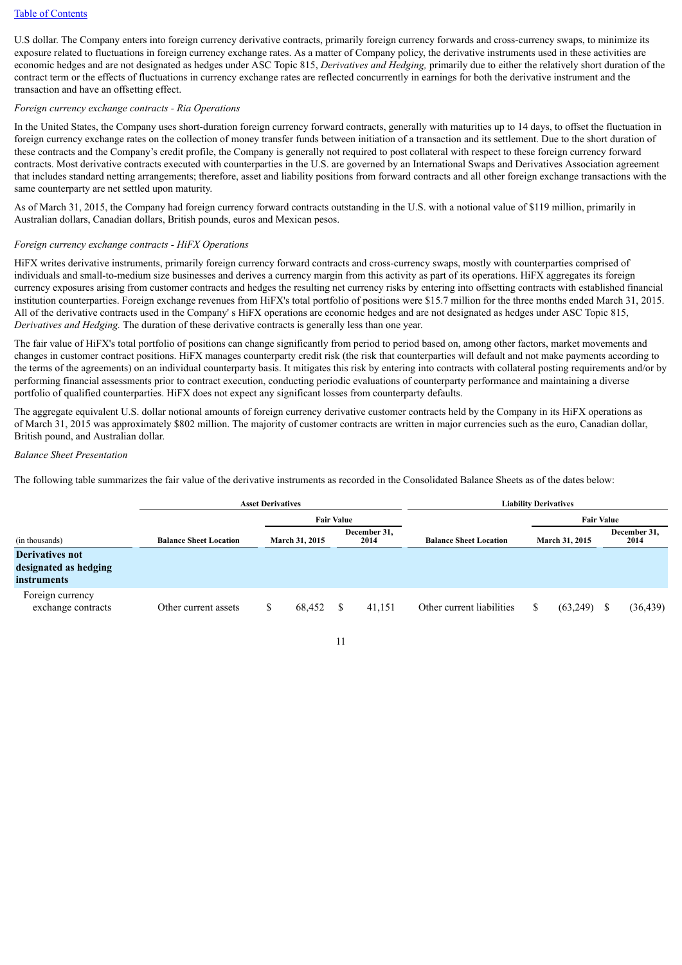## Table of [Contents](#page-0-0)

U.S dollar. The Company enters into foreign currency derivative contracts, primarily foreign currency forwards and cross-currency swaps, to minimize its exposure related to fluctuations in foreign currency exchange rates. As a matter of Company policy, the derivative instruments used in these activities are economic hedges and are not designated as hedges under ASC Topic 815, *Derivatives and Hedging,* primarily due to either the relatively short duration of the contract term or the effects of fluctuations in currency exchange rates are reflected concurrently in earnings for both the derivative instrument and the transaction and have an offsetting effect.

# *Foreign currency exchange contracts - Ria Operations*

In the United States, the Company uses short-duration foreign currency forward contracts, generally with maturities up to 14 days, to offset the fluctuation in foreign currency exchange rates on the collection of money transfer funds between initiation of a transaction and its settlement. Due to the short duration of these contracts and the Company's credit profile, the Company is generally not required to post collateral with respect to these foreign currency forward contracts. Most derivative contracts executed with counterparties in the U.S. are governed by an International Swaps and Derivatives Association agreement that includes standard netting arrangements; therefore, asset and liability positions from forward contracts and all other foreign exchange transactions with the same counterparty are net settled upon maturity.

As of March 31, 2015, the Company had foreign currency forward contracts outstanding in the U.S. with a notional value of \$119 million, primarily in Australian dollars, Canadian dollars, British pounds, euros and Mexican pesos.

### *Foreign currency exchange contracts - HiFX Operations*

HiFX writes derivative instruments, primarily foreign currency forward contracts and cross-currency swaps, mostly with counterparties comprised of individuals and small-to-medium size businesses and derives a currency margin from this activity as part of its operations. HiFX aggregates its foreign currency exposures arising from customer contracts and hedges the resulting net currency risks by entering into offsetting contracts with established financial institution counterparties. Foreign exchange revenues from HiFX's total portfolio of positions were \$15.7 million for the three months ended March 31, 2015. All of the derivative contracts used in the Company' s HiFX operations are economic hedges and are not designated as hedges under ASC Topic 815, *Derivatives and Hedging.* The duration of these derivative contracts is generally less than one year.

The fair value of HiFX's total portfolio of positions can change significantly from period to period based on, among other factors, market movements and changes in customer contract positions. HiFX manages counterparty credit risk (the risk that counterparties will default and not make payments according to the terms of the agreements) on an individual counterparty basis. It mitigates this risk by entering into contracts with collateral posting requirements and/or by performing financial assessments prior to contract execution, conducting periodic evaluations of counterparty performance and maintaining a diverse portfolio of qualified counterparties. HiFX does not expect any significant losses from counterparty defaults.

The aggregate equivalent U.S. dollar notional amounts of foreign currency derivative customer contracts held by the Company in its HiFX operations as of March 31, 2015 was approximately \$802 million. The majority of customer contracts are written in major currencies such as the euro, Canadian dollar, British pound, and Australian dollar.

#### *Balance Sheet Presentation*

The following table summarizes the fair value of the derivative instruments as recorded in the Consolidated Balance Sheets as of the dates below:

|                                                                       |                      | <b>Asset Derivatives</b> |                |                      | <b>Liability Derivatives</b> |                               |                   |                |  |                      |  |
|-----------------------------------------------------------------------|----------------------|--------------------------|----------------|----------------------|------------------------------|-------------------------------|-------------------|----------------|--|----------------------|--|
|                                                                       |                      |                          |                | <b>Fair Value</b>    |                              |                               | <b>Fair Value</b> |                |  |                      |  |
| (in thousands)<br><b>Balance Sheet Location</b>                       |                      |                          | March 31, 2015 | December 31,<br>2014 |                              | <b>Balance Sheet Location</b> |                   | March 31, 2015 |  | December 31,<br>2014 |  |
| <b>Derivatives not</b><br>designated as hedging<br><i>instruments</i> |                      |                          |                |                      |                              |                               |                   |                |  |                      |  |
| Foreign currency<br>exchange contracts                                | Other current assets |                          | 68,452         |                      | 41,151                       | Other current liabilities     |                   | $(63,249)$ \$  |  | (36, 439)            |  |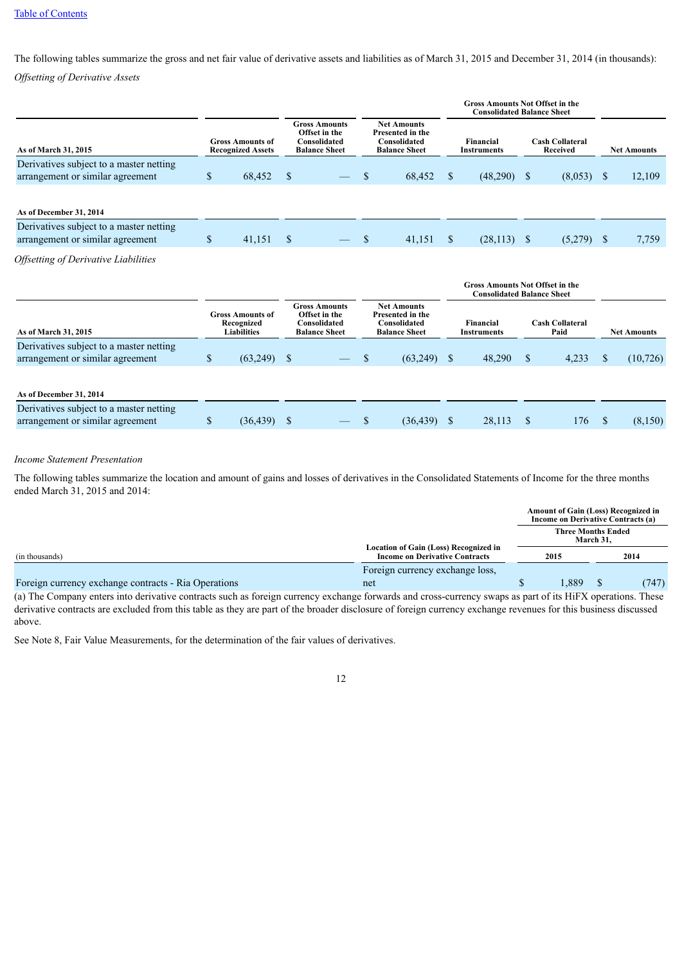The following tables summarize the gross and net fair value of derivative assets and liabilities as of March 31, 2015 and December 31, 2014 (in thousands):

*Of setting of Derivative Assets*

|                                                                             |                                                     |        |               |                                                                               |               |                                                                                | <b>Gross Amounts Not Offset in the</b><br><b>Consolidated Balance Sheet</b> |                          |  |                                    |  |                    |  |  |
|-----------------------------------------------------------------------------|-----------------------------------------------------|--------|---------------|-------------------------------------------------------------------------------|---------------|--------------------------------------------------------------------------------|-----------------------------------------------------------------------------|--------------------------|--|------------------------------------|--|--------------------|--|--|
| As of March 31, 2015                                                        | <b>Gross Amounts of</b><br><b>Recognized Assets</b> |        |               | <b>Gross Amounts</b><br>Offset in the<br>Consolidated<br><b>Balance Sheet</b> |               | <b>Net Amounts</b><br>Presented in the<br>Consolidated<br><b>Balance Sheet</b> |                                                                             | Financial<br>Instruments |  | <b>Cash Collateral</b><br>Received |  | <b>Net Amounts</b> |  |  |
| Derivatives subject to a master netting<br>arrangement or similar agreement | \$                                                  | 68,452 | <sup>\$</sup> | $\overline{\phantom{m}}$                                                      | -S            | 68,452                                                                         | S                                                                           | $(48,290)$ \$            |  | $(8,053)$ \$                       |  | 12,109             |  |  |
| As of December 31, 2014                                                     |                                                     |        |               |                                                                               |               |                                                                                |                                                                             |                          |  |                                    |  |                    |  |  |
| Derivatives subject to a master netting<br>arrangement or similar agreement | \$                                                  | 41,151 | <sup>\$</sup> | $\overline{\phantom{0}}$                                                      | <sup>\$</sup> | 41,151                                                                         | S                                                                           | $(28,113)$ \$            |  | $(5,279)$ \$                       |  | 7,759              |  |  |
| Offsetting of Derivative Liabilities                                        |                                                     |        |               |                                                                               |               |                                                                                |                                                                             |                          |  |                                    |  |                    |  |  |

|                                                                             |   |                                                             |      |                                                                                      |              |                                                                                |   | <b>Gross Amounts Not Offset in the</b><br><b>Consolidated Balance Sheet</b> |  |                                |    |                    |  |
|-----------------------------------------------------------------------------|---|-------------------------------------------------------------|------|--------------------------------------------------------------------------------------|--------------|--------------------------------------------------------------------------------|---|-----------------------------------------------------------------------------|--|--------------------------------|----|--------------------|--|
| As of March 31, 2015                                                        |   | <b>Gross Amounts of</b><br>Recognized<br><b>Liabilities</b> |      | <b>Gross Amounts</b><br>Offset in the<br><b>Consolidated</b><br><b>Balance Sheet</b> |              | <b>Net Amounts</b><br>Presented in the<br>Consolidated<br><b>Balance Sheet</b> |   | Financial<br><b>Instruments</b>                                             |  | <b>Cash Collateral</b><br>Paid |    | <b>Net Amounts</b> |  |
| Derivatives subject to a master netting<br>arrangement or similar agreement | S | (63,249)                                                    | - \$ |                                                                                      | $\mathbb{S}$ | (63,249)                                                                       | S | 48,290                                                                      |  | 4.233                          |    | (10, 726)          |  |
| As of December 31, 2014                                                     |   |                                                             |      |                                                                                      |              |                                                                                |   |                                                                             |  |                                |    |                    |  |
| Derivatives subject to a master netting<br>arrangement or similar agreement | S | (36, 439)                                                   | - \$ |                                                                                      | S            | (36, 439)                                                                      | S | 28,113                                                                      |  | 176                            | -S | (8,150)            |  |

### *Income Statement Presentation*

The following tables summarize the location and amount of gains and losses of derivatives in the Consolidated Statements of Income for the three months ended March 31, 2015 and 2014:

|                                                      |                                                                                       | <b>Amount of Gain (Loss) Recognized in</b><br>Income on Derivative Contracts (a) |           |       |
|------------------------------------------------------|---------------------------------------------------------------------------------------|----------------------------------------------------------------------------------|-----------|-------|
|                                                      |                                                                                       | <b>Three Months Ended</b>                                                        | March 31. |       |
| (in thousands)                                       | <b>Location of Gain (Loss) Recognized in</b><br><b>Income on Derivative Contracts</b> | 2015                                                                             |           | 2014  |
|                                                      | Foreign currency exchange loss,                                                       |                                                                                  |           |       |
| Foreign currency exchange contracts - Ria Operations | net                                                                                   | 1,889                                                                            |           | (747) |

(a) The Company enters into derivative contracts such as foreign currency exchange forwards and cross-currency swaps as part of its HiFX operations. These derivative contracts are excluded from this table as they are part of the broader disclosure of foreign currency exchange revenues for this business discussed above.

See Note 8, Fair Value Measurements, for the determination of the fair values of derivatives.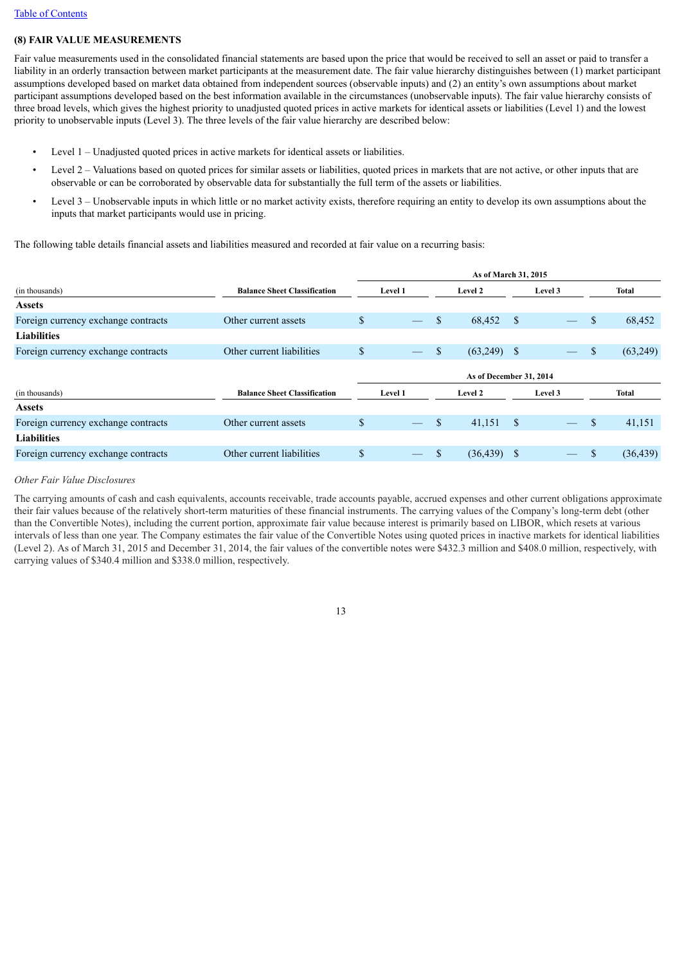# **(8) FAIR VALUE MEASUREMENTS**

Fair value measurements used in the consolidated financial statements are based upon the price that would be received to sell an asset or paid to transfer a liability in an orderly transaction between market participants at the measurement date. The fair value hierarchy distinguishes between (1) market participant assumptions developed based on market data obtained from independent sources (observable inputs) and (2) an entity's own assumptions about market participant assumptions developed based on the best information available in the circumstances (unobservable inputs). The fair value hierarchy consists of three broad levels, which gives the highest priority to unadjusted quoted prices in active markets for identical assets or liabilities (Level 1) and the lowest priority to unobservable inputs (Level 3). The three levels of the fair value hierarchy are described below:

- Level 1 Unadjusted quoted prices in active markets for identical assets or liabilities.
- Level 2 Valuations based on quoted prices for similar assets or liabilities, quoted prices in markets that are not active, or other inputs that are observable or can be corroborated by observable data for substantially the full term of the assets or liabilities.
- Level 3 Unobservable inputs in which little or no market activity exists, therefore requiring an entity to develop its own assumptions about the inputs that market participants would use in pricing.

The following table details financial assets and liabilities measured and recorded at fair value on a recurring basis:

|                                     |                                     | As of March 31, 2015 |                   |                         |                |               |                          |               |           |  |  |
|-------------------------------------|-------------------------------------|----------------------|-------------------|-------------------------|----------------|---------------|--------------------------|---------------|-----------|--|--|
| (in thousands)                      | <b>Balance Sheet Classification</b> | Level 1              |                   | Level 2                 |                | Level 3       |                          | Total         |           |  |  |
| <b>Assets</b>                       |                                     |                      |                   |                         |                |               |                          |               |           |  |  |
| Foreign currency exchange contracts | Other current assets                | \$                   |                   | S                       | 68,452         | <sup>\$</sup> |                          | <sup>\$</sup> | 68,452    |  |  |
| <b>Liabilities</b>                  |                                     |                      |                   |                         |                |               |                          |               |           |  |  |
| Foreign currency exchange contracts | Other current liabilities           | \$                   | $\qquad \qquad -$ |                         | $(63,249)$ \$  |               | $\overline{\phantom{0}}$ | <sup>\$</sup> | (63,249)  |  |  |
|                                     |                                     |                      |                   | As of December 31, 2014 |                |               |                          |               |           |  |  |
| (in thousands)                      | <b>Balance Sheet Classification</b> |                      | <b>Level 1</b>    |                         | Level 2        |               | Level 3                  |               | Total     |  |  |
| <b>Assets</b>                       |                                     |                      |                   |                         |                |               |                          |               |           |  |  |
| Foreign currency exchange contracts | Other current assets                | \$                   | $\qquad \qquad -$ | S                       | 41,151         | <sup>\$</sup> |                          | <sup>\$</sup> | 41,151    |  |  |
| <b>Liabilities</b>                  |                                     |                      |                   |                         |                |               |                          |               |           |  |  |
| Foreign currency exchange contracts | Other current liabilities           | \$                   | $\qquad \qquad -$ |                         | $(36, 439)$ \$ |               |                          |               | (36, 439) |  |  |
|                                     |                                     |                      |                   |                         |                |               |                          |               |           |  |  |

### *Other Fair Value Disclosures*

The carrying amounts of cash and cash equivalents, accounts receivable, trade accounts payable, accrued expenses and other current obligations approximate their fair values because of the relatively short-term maturities of these financial instruments. The carrying values of the Company's long-term debt (other than the Convertible Notes), including the current portion, approximate fair value because interest is primarily based on LIBOR, which resets at various intervals of less than one year. The Company estimates the fair value of the Convertible Notes using quoted prices in inactive markets for identical liabilities (Level 2). As of March 31, 2015 and December 31, 2014, the fair values of the convertible notes were \$432.3 million and \$408.0 million, respectively, with carrying values of \$340.4 million and \$338.0 million, respectively.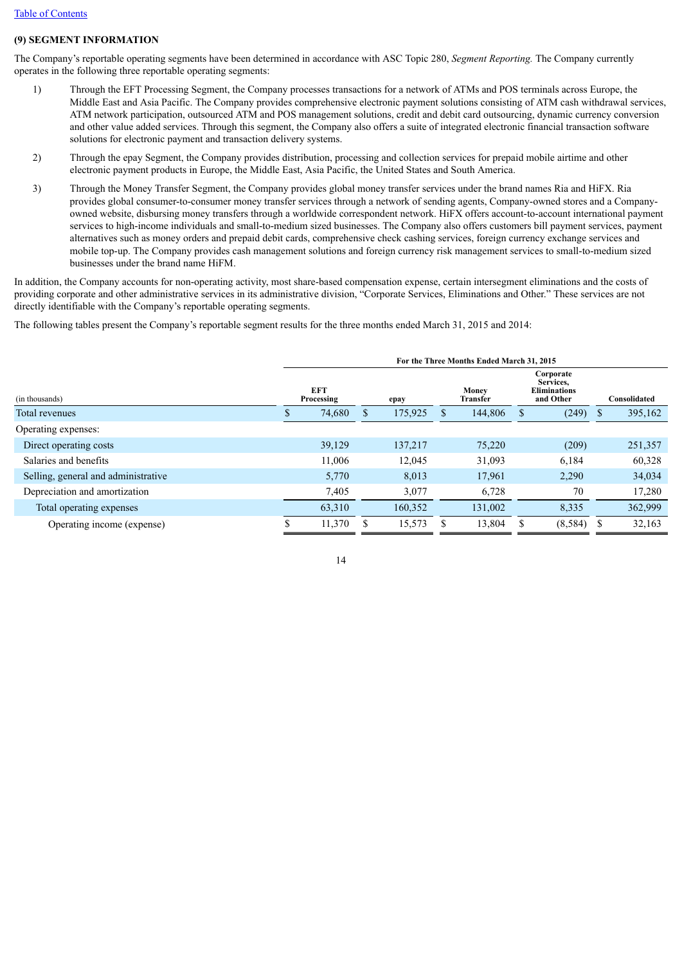# **(9) SEGMENT INFORMATION**

The Company's reportable operating segments have been determined in accordance with ASC Topic 280, *Segment Reporting.* The Company currently operates in the following three reportable operating segments:

- 1) Through the EFT Processing Segment, the Company processes transactions for a network of ATMs and POS terminals across Europe, the Middle East and Asia Pacific. The Company provides comprehensive electronic payment solutions consisting of ATM cash withdrawal services, ATM network participation, outsourced ATM and POS management solutions, credit and debit card outsourcing, dynamic currency conversion and other value added services. Through this segment, the Company also offers a suite of integrated electronic financial transaction software solutions for electronic payment and transaction delivery systems.
- 2) Through the epay Segment, the Company provides distribution, processing and collection services for prepaid mobile airtime and other electronic payment products in Europe, the Middle East, Asia Pacific, the United States and South America.
- 3) Through the Money Transfer Segment, the Company provides global money transfer services under the brand names Ria and HiFX. Ria provides global consumer-to-consumer money transfer services through a network of sending agents, Company-owned stores and a Companyowned website, disbursing money transfers through a worldwide correspondent network. HiFX offers account-to-account international payment services to high-income individuals and small-to-medium sized businesses. The Company also offers customers bill payment services, payment alternatives such as money orders and prepaid debit cards, comprehensive check cashing services, foreign currency exchange services and mobile top-up. The Company provides cash management solutions and foreign currency risk management services to small-to-medium sized businesses under the brand name HiFM.

In addition, the Company accounts for non-operating activity, most share-based compensation expense, certain intersegment eliminations and the costs of providing corporate and other administrative services in its administrative division, "Corporate Services, Eliminations and Other." These services are not directly identifiable with the Company's reportable operating segments.

The following tables present the Company's reportable segment results for the three months ended March 31, 2015 and 2014:

|                                     |                          |         | For the Three Months Ended March 31, 2015 |   |                                                            |              |
|-------------------------------------|--------------------------|---------|-------------------------------------------|---|------------------------------------------------------------|--------------|
| (in thousands)                      | <b>EFT</b><br>Processing | epay    | Money<br><b>Transfer</b>                  |   | Corporate<br>Services,<br><b>Eliminations</b><br>and Other | Consolidated |
| Total revenues                      | 74,680                   | 175,925 | 144,806                                   | S | (249)                                                      | 395,162      |
| Operating expenses:                 |                          |         |                                           |   |                                                            |              |
| Direct operating costs              | 39,129                   | 137,217 | 75,220                                    |   | (209)                                                      | 251,357      |
| Salaries and benefits               | 11,006                   | 12,045  | 31,093                                    |   | 6,184                                                      | 60,328       |
| Selling, general and administrative | 5,770                    | 8,013   | 17,961                                    |   | 2,290                                                      | 34,034       |
| Depreciation and amortization       | 7,405                    | 3,077   | 6,728                                     |   | 70                                                         | 17,280       |
| Total operating expenses            | 63,310                   | 160,352 | 131,002                                   |   | 8,335                                                      | 362,999      |
| Operating income (expense)          | 11,370                   | 15,573  | 13,804                                    |   | (8, 584)                                                   | 32,163       |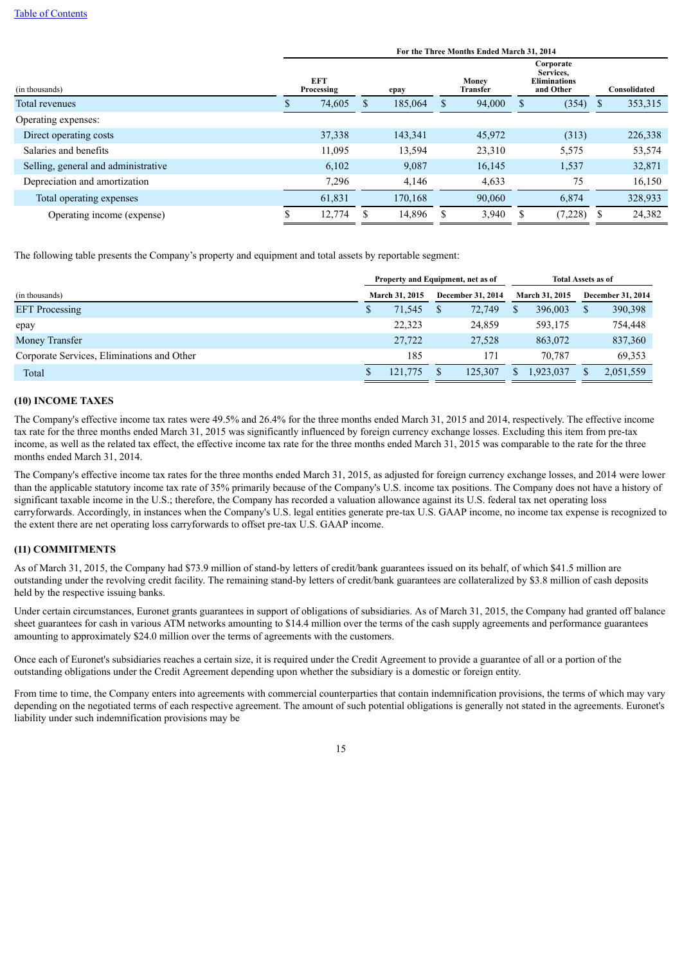#### Table of [Contents](#page-0-0)

|                                     |                          |     |         | For the Three Months Ended March 31, 2014 |          |                                                            |   |              |
|-------------------------------------|--------------------------|-----|---------|-------------------------------------------|----------|------------------------------------------------------------|---|--------------|
| (in thousands)                      | <b>EFT</b><br>Processing |     | epay    | Money<br>Transfer                         |          | Corporate<br>Services,<br><b>Eliminations</b><br>and Other |   | Consolidated |
| Total revenues                      | 74,605                   | \$. | 185,064 | 94,000                                    | <b>S</b> | (354)                                                      | S | 353,315      |
| Operating expenses:                 |                          |     |         |                                           |          |                                                            |   |              |
| Direct operating costs              | 37,338                   |     | 143,341 | 45,972                                    |          | (313)                                                      |   | 226,338      |
| Salaries and benefits               | 11,095                   |     | 13,594  | 23,310                                    |          | 5,575                                                      |   | 53,574       |
| Selling, general and administrative | 6,102                    |     | 9,087   | 16,145                                    |          | 1,537                                                      |   | 32,871       |
| Depreciation and amortization       | 7,296                    |     | 4,146   | 4,633                                     |          | 75                                                         |   | 16,150       |
| Total operating expenses            | 61,831                   |     | 170,168 | 90,060                                    |          | 6,874                                                      |   | 328,933      |
| Operating income (expense)          | 12,774                   |     | 14,896  | 3,940                                     |          | (7,228)                                                    |   | 24,382       |

The following table presents the Company's property and equipment and total assets by reportable segment:

|                                            | Property and Equipment, net as of |                                            |  |         |  |                | <b>Total Assets as of</b> |           |  |  |
|--------------------------------------------|-----------------------------------|--------------------------------------------|--|---------|--|----------------|---------------------------|-----------|--|--|
| (in thousands)                             |                                   | <b>March 31, 2015</b><br>December 31, 2014 |  |         |  | March 31, 2015 | December 31, 2014         |           |  |  |
| <b>EFT</b> Processing                      |                                   | 71,545                                     |  | 72,749  |  | 396,003        |                           | 390,398   |  |  |
| epay                                       |                                   | 22,323                                     |  | 24,859  |  | 593,175        |                           | 754,448   |  |  |
| <b>Money Transfer</b>                      |                                   | 27,722                                     |  | 27,528  |  | 863.072        |                           | 837,360   |  |  |
| Corporate Services, Eliminations and Other |                                   | 185                                        |  | 171     |  | 70.787         |                           | 69,353    |  |  |
| Total                                      |                                   | 121,775                                    |  | 125.307 |  | .923,037       |                           | 2,051,559 |  |  |

# **(10) INCOME TAXES**

The Company's effective income tax rates were 49.5% and 26.4% for the three months ended March 31, 2015 and 2014, respectively. The effective income tax rate for the three months ended March 31, 2015 was significantly influenced by foreign currency exchange losses. Excluding this item from pre-tax income, as well as the related tax effect, the effective income tax rate for the three months ended March 31, 2015 was comparable to the rate for the three months ended March 31, 2014.

The Company's effective income tax rates for the three months ended March 31, 2015, as adjusted for foreign currency exchange losses, and 2014 were lower than the applicable statutory income tax rate of 35% primarily because of the Company's U.S. income tax positions. The Company does not have a history of significant taxable income in the U.S.; therefore, the Company has recorded a valuation allowance against its U.S. federal tax net operating loss carryforwards. Accordingly, in instances when the Company's U.S. legal entities generate pre-tax U.S. GAAP income, no income tax expense is recognized to the extent there are net operating loss carryforwards to offset pre-tax U.S. GAAP income.

# **(11) COMMITMENTS**

As of March 31, 2015, the Company had \$73.9 million of stand-by letters of credit/bank guarantees issued on its behalf, of which \$41.5 million are outstanding under the revolving credit facility. The remaining stand-by letters of credit/bank guarantees are collateralized by \$3.8 million of cash deposits held by the respective issuing banks.

Under certain circumstances, Euronet grants guarantees in support of obligations of subsidiaries. As of March 31, 2015, the Company had granted off balance sheet guarantees for cash in various ATM networks amounting to \$14.4 million over the terms of the cash supply agreements and performance guarantees amounting to approximately \$24.0 million over the terms of agreements with the customers.

Once each of Euronet's subsidiaries reaches a certain size, it is required under the Credit Agreement to provide a guarantee of all or a portion of the outstanding obligations under the Credit Agreement depending upon whether the subsidiary is a domestic or foreign entity.

From time to time, the Company enters into agreements with commercial counterparties that contain indemnification provisions, the terms of which may vary depending on the negotiated terms of each respective agreement. The amount of such potential obligations is generally not stated in the agreements. Euronet's liability under such indemnification provisions may be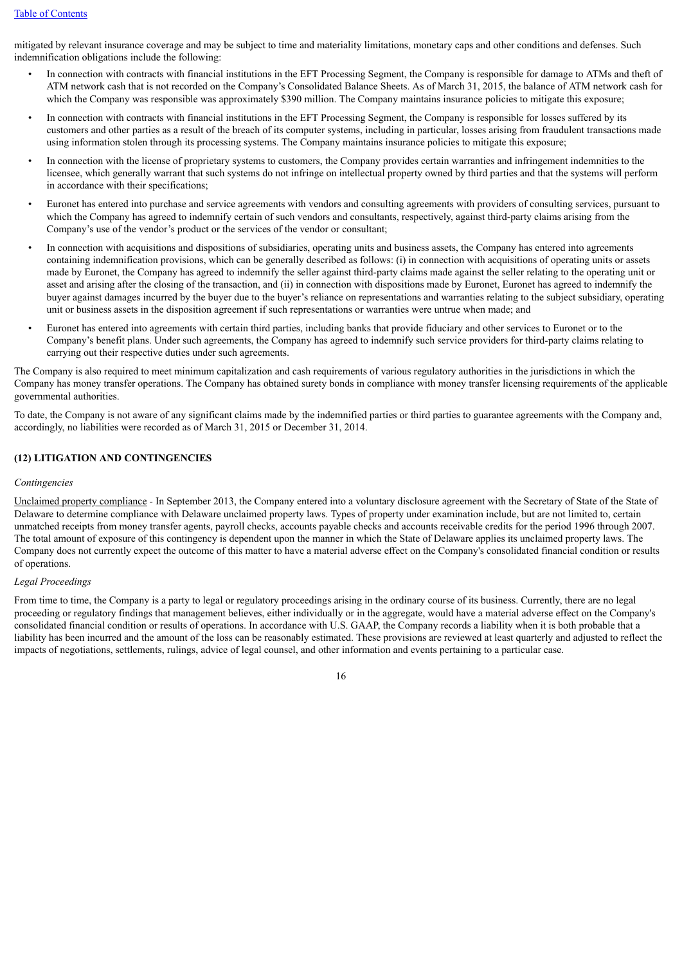mitigated by relevant insurance coverage and may be subject to time and materiality limitations, monetary caps and other conditions and defenses. Such indemnification obligations include the following:

- In connection with contracts with financial institutions in the EFT Processing Segment, the Company is responsible for damage to ATMs and theft of ATM network cash that is not recorded on the Company's Consolidated Balance Sheets. As of March 31, 2015, the balance of ATM network cash for which the Company was responsible was approximately \$390 million. The Company maintains insurance policies to mitigate this exposure;
- In connection with contracts with financial institutions in the EFT Processing Segment, the Company is responsible for losses suffered by its customers and other parties as a result of the breach of its computer systems, including in particular, losses arising from fraudulent transactions made using information stolen through its processing systems. The Company maintains insurance policies to mitigate this exposure;
- In connection with the license of proprietary systems to customers, the Company provides certain warranties and infringement indemnities to the licensee, which generally warrant that such systems do not infringe on intellectual property owned by third parties and that the systems will perform in accordance with their specifications;
- Euronet has entered into purchase and service agreements with vendors and consulting agreements with providers of consulting services, pursuant to which the Company has agreed to indemnify certain of such vendors and consultants, respectively, against third-party claims arising from the Company's use of the vendor's product or the services of the vendor or consultant;
- In connection with acquisitions and dispositions of subsidiaries, operating units and business assets, the Company has entered into agreements containing indemnification provisions, which can be generally described as follows: (i) in connection with acquisitions of operating units or assets made by Euronet, the Company has agreed to indemnify the seller against third-party claims made against the seller relating to the operating unit or asset and arising after the closing of the transaction, and (ii) in connection with dispositions made by Euronet, Euronet has agreed to indemnify the buyer against damages incurred by the buyer due to the buyer's reliance on representations and warranties relating to the subject subsidiary, operating unit or business assets in the disposition agreement if such representations or warranties were untrue when made; and
- Euronet has entered into agreements with certain third parties, including banks that provide fiduciary and other services to Euronet or to the Company's benefit plans. Under such agreements, the Company has agreed to indemnify such service providers for third-party claims relating to carrying out their respective duties under such agreements.

The Company is also required to meet minimum capitalization and cash requirements of various regulatory authorities in the jurisdictions in which the Company has money transfer operations. The Company has obtained surety bonds in compliance with money transfer licensing requirements of the applicable governmental authorities.

To date, the Company is not aware of any significant claims made by the indemnified parties or third parties to guarantee agreements with the Company and, accordingly, no liabilities were recorded as of March 31, 2015 or December 31, 2014.

# **(12) LITIGATION AND CONTINGENCIES**

### *Contingencies*

Unclaimed property compliance *-* In September 2013, the Company entered into a voluntary disclosure agreement with the Secretary of State of the State of Delaware to determine compliance with Delaware unclaimed property laws. Types of property under examination include, but are not limited to, certain unmatched receipts from money transfer agents, payroll checks, accounts payable checks and accounts receivable credits for the period 1996 through 2007. The total amount of exposure of this contingency is dependent upon the manner in which the State of Delaware applies its unclaimed property laws. The Company does not currently expect the outcome of this matter to have a material adverse effect on the Company's consolidated financial condition or results of operations.

# *Legal Proceedings*

<span id="page-15-0"></span>From time to time, the Company is a party to legal or regulatory proceedings arising in the ordinary course of its business. Currently, there are no legal proceeding or regulatory findings that management believes, either individually or in the aggregate, would have a material adverse effect on the Company's consolidated financial condition or results of operations. In accordance with U.S. GAAP, the Company records a liability when it is both probable that a liability has been incurred and the amount of the loss can be reasonably estimated. These provisions are reviewed at least quarterly and adjusted to reflect the impacts of negotiations, settlements, rulings, advice of legal counsel, and other information and events pertaining to a particular case.

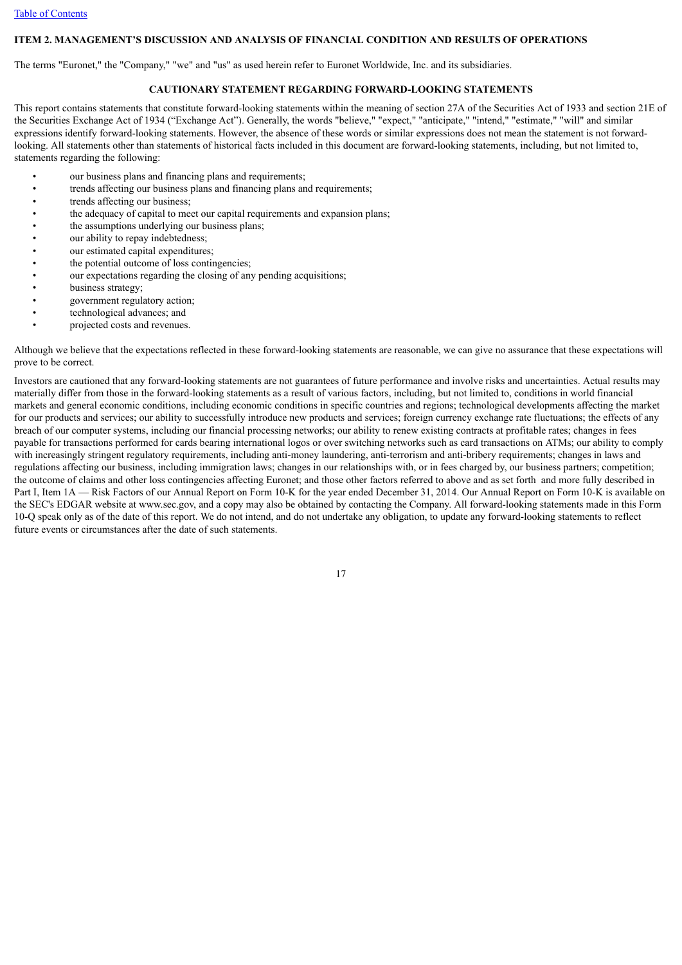# **ITEM 2. MANAGEMENT'S DISCUSSION AND ANALYSIS OF FINANCIAL CONDITION AND RESULTS OF OPERATIONS**

The terms "Euronet," the "Company," "we" and "us" as used herein refer to Euronet Worldwide, Inc. and its subsidiaries.

# **CAUTIONARY STATEMENT REGARDING FORWARD-LOOKING STATEMENTS**

This report contains statements that constitute forward-looking statements within the meaning of section 27A of the Securities Act of 1933 and section 21E of the Securities Exchange Act of 1934 ("Exchange Act"). Generally, the words "believe," "expect," "anticipate," "intend," "estimate," "will" and similar expressions identify forward-looking statements. However, the absence of these words or similar expressions does not mean the statement is not forwardlooking. All statements other than statements of historical facts included in this document are forward-looking statements, including, but not limited to, statements regarding the following:

- our business plans and financing plans and requirements;
- trends affecting our business plans and financing plans and requirements;<br>• trends affecting our business:
- trends affecting our business;
- the adequacy of capital to meet our capital requirements and expansion plans;
- the assumptions underlying our business plans;<br>our ability to repay indebtedness;<br>our estimated capital expenditures;<br>the potential outcome of loss contingencies;
- our ability to repay indebtedness:
- our estimated capital expenditures;
- the potential outcome of loss contingencies;
- our expectations regarding the closing of any pending acquisitions;
- business strategy;
- government regulatory action;
- technological advances; and
- projected costs and revenues.

Although we believe that the expectations reflected in these forward-looking statements are reasonable, we can give no assurance that these expectations will prove to be correct.

Investors are cautioned that any forward-looking statements are not guarantees of future performance and involve risks and uncertainties. Actual results may materially differ from those in the forward-looking statements as a result of various factors, including, but not limited to, conditions in world financial markets and general economic conditions, including economic conditions in specific countries and regions; technological developments affecting the market for our products and services; our ability to successfully introduce new products and services; foreign currency exchange rate fluctuations; the effects of any breach of our computer systems, including our financial processing networks; our ability to renew existing contracts at profitable rates; changes in fees payable for transactions performed for cards bearing international logos or over switching networks such as card transactions on ATMs; our ability to comply with increasingly stringent regulatory requirements, including anti-money laundering, anti-terrorism and anti-bribery requirements; changes in laws and regulations affecting our business, including immigration laws; changes in our relationships with, or in fees charged by, our business partners; competition; the outcome of claims and other loss contingencies affecting Euronet; and those other factors referred to above and as set forth and more fully described in Part I, Item 1A — Risk Factors of our Annual Report on Form 10-K for the year ended December 31, 2014. Our Annual Report on Form 10-K is available on the SEC's EDGAR website at www.sec.gov, and a copy may also be obtained by contacting the Company. All forward-looking statements made in this Form 10-Q speak only as of the date of this report. We do not intend, and do not undertake any obligation, to update any forward-looking statements to reflect future events or circumstances after the date of such statements.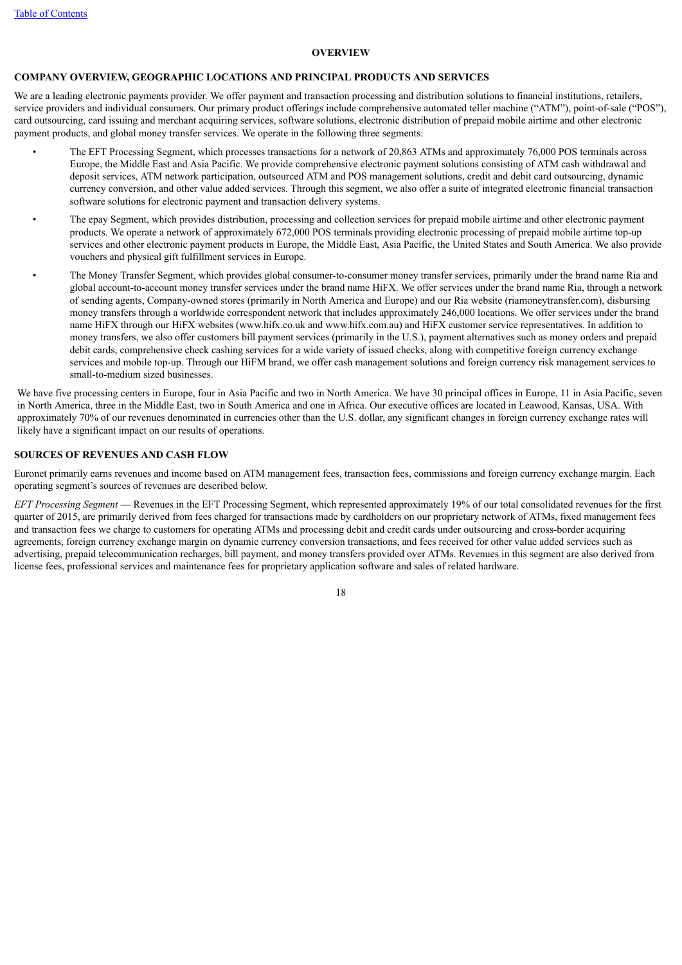# **OVERVIEW**

### **COMPANY OVERVIEW, GEOGRAPHIC LOCATIONS AND PRINCIPAL PRODUCTS AND SERVICES**

We are a leading electronic payments provider. We offer payment and transaction processing and distribution solutions to financial institutions, retailers, service providers and individual consumers. Our primary product offerings include comprehensive automated teller machine ("ATM"), point-of-sale ("POS"), card outsourcing, card issuing and merchant acquiring services, software solutions, electronic distribution of prepaid mobile airtime and other electronic payment products, and global money transfer services. We operate in the following three segments:

- The EFT Processing Segment, which processes transactions for a network of 20,863 ATMs and approximately 76,000 POS terminals across Europe, the Middle East and Asia Pacific. We provide comprehensive electronic payment solutions consisting of ATM cash withdrawal and deposit services, ATM network participation, outsourced ATM and POS management solutions, credit and debit card outsourcing, dynamic currency conversion, and other value added services. Through this segment, we also offer a suite of integrated electronic financial transaction software solutions for electronic payment and transaction delivery systems.
- The epay Segment, which provides distribution, processing and collection services for prepaid mobile airtime and other electronic payment products. We operate a network of approximately 672,000 POS terminals providing electronic processing of prepaid mobile airtime top-up services and other electronic payment products in Europe, the Middle East, Asia Pacific, the United States and South America. We also provide vouchers and physical gift fulfillment services in Europe.
- The Money Transfer Segment, which provides global consumer-to-consumer money transfer services, primarily under the brand name Ria and global account-to-account money transfer services under the brand name HiFX. We offer services under the brand name Ria, through a network of sending agents, Company-owned stores (primarily in North America and Europe) and our Ria website (riamoneytransfer.com), disbursing money transfers through a worldwide correspondent network that includes approximately 246,000 locations. We offer services under the brand name HiFX through our HiFX websites (www.hifx.co.uk and www.hifx.com.au) and HiFX customer service representatives. In addition to money transfers, we also offer customers bill payment services (primarily in the U.S.), payment alternatives such as money orders and prepaid debit cards, comprehensive check cashing services for a wide variety of issued checks, along with competitive foreign currency exchange services and mobile top-up. Through our HiFM brand, we offer cash management solutions and foreign currency risk management services to small-to-medium sized businesses.

We have five processing centers in Europe, four in Asia Pacific and two in North America. We have 30 principal offices in Europe, 11 in Asia Pacific, seven in North America, three in the Middle East, two in South America and one in Africa. Our executive offices are located in Leawood, Kansas, USA. With approximately 70% of our revenues denominated in currencies other than the U.S. dollar, any significant changes in foreign currency exchange rates will likely have a significant impact on our results of operations.

# **SOURCES OF REVENUES AND CASH FLOW**

Euronet primarily earns revenues and income based on ATM management fees, transaction fees, commissions and foreign currency exchange margin. Each operating segment's sources of revenues are described below.

*EFT Processing Segment* — Revenues in the EFT Processing Segment, which represented approximately 19% of our total consolidated revenues for the first quarter of 2015, are primarily derived from fees charged for transactions made by cardholders on our proprietary network of ATMs, fixed management fees and transaction fees we charge to customers for operating ATMs and processing debit and credit cards under outsourcing and cross-border acquiring agreements, foreign currency exchange margin on dynamic currency conversion transactions, and fees received for other value added services such as advertising, prepaid telecommunication recharges, bill payment, and money transfers provided over ATMs. Revenues in this segment are also derived from license fees, professional services and maintenance fees for proprietary application software and sales of related hardware.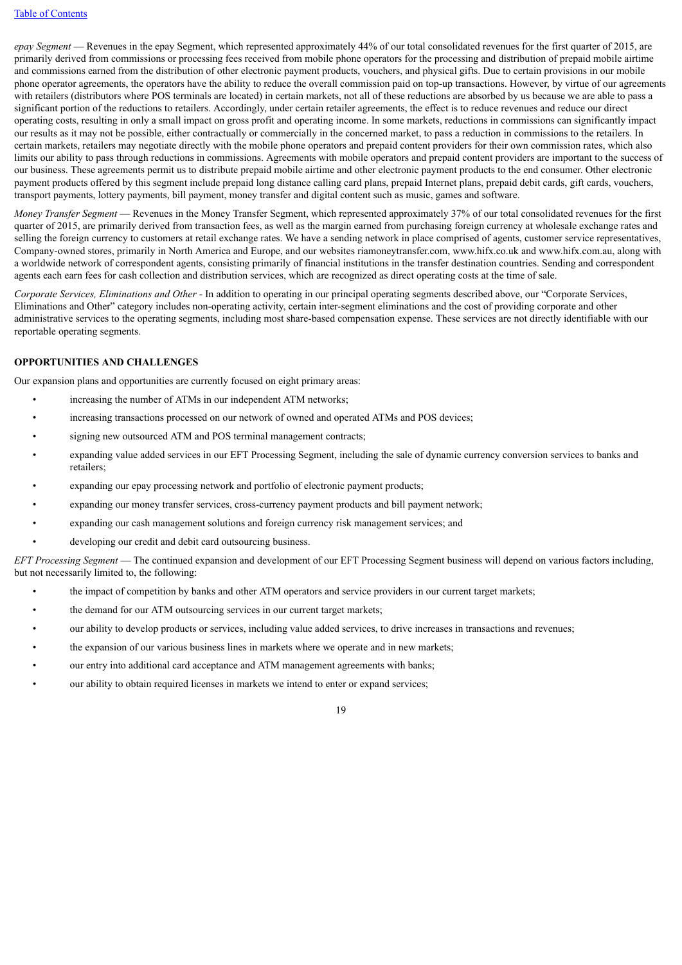*epay Segment* — Revenues in the epay Segment, which represented approximately 44% of our total consolidated revenues for the first quarter of 2015, are primarily derived from commissions or processing fees received from mobile phone operators for the processing and distribution of prepaid mobile airtime and commissions earned from the distribution of other electronic payment products, vouchers, and physical gifts. Due to certain provisions in our mobile phone operator agreements, the operators have the ability to reduce the overall commission paid on top-up transactions. However, by virtue of our agreements with retailers (distributors where POS terminals are located) in certain markets, not all of these reductions are absorbed by us because we are able to pass a significant portion of the reductions to retailers. Accordingly, under certain retailer agreements, the effect is to reduce revenues and reduce our direct operating costs, resulting in only a small impact on gross profit and operating income. In some markets, reductions in commissions can significantly impact our results as it may not be possible, either contractually or commercially in the concerned market, to pass a reduction in commissions to the retailers. In certain markets, retailers may negotiate directly with the mobile phone operators and prepaid content providers for their own commission rates, which also limits our ability to pass through reductions in commissions. Agreements with mobile operators and prepaid content providers are important to the success of our business. These agreements permit us to distribute prepaid mobile airtime and other electronic payment products to the end consumer. Other electronic payment products offered by this segment include prepaid long distance calling card plans, prepaid Internet plans, prepaid debit cards, gift cards, vouchers, transport payments, lottery payments, bill payment, money transfer and digital content such as music, games and software.

*Money Transfer Segment* — Revenues in the Money Transfer Segment, which represented approximately 37% of our total consolidated revenues for the first quarter of 2015, are primarily derived from transaction fees, as well as the margin earned from purchasing foreign currency at wholesale exchange rates and selling the foreign currency to customers at retail exchange rates. We have a sending network in place comprised of agents, customer service representatives, Company-owned stores, primarily in North America and Europe, and our websites riamoneytransfer.com, www.hifx.co.uk and www.hifx.com.au, along with a worldwide network of correspondent agents, consisting primarily of financial institutions in the transfer destination countries. Sending and correspondent agents each earn fees for cash collection and distribution services, which are recognized as direct operating costs at the time of sale.

*Corporate Services, Eliminations and Other* - In addition to operating in our principal operating segments described above, our "Corporate Services, Eliminations and Other" category includes non-operating activity, certain inter-segment eliminations and the cost of providing corporate and other administrative services to the operating segments, including most share-based compensation expense. These services are not directly identifiable with our reportable operating segments.

# **OPPORTUNITIES AND CHALLENGES**

Our expansion plans and opportunities are currently focused on eight primary areas:

- increasing the number of ATMs in our independent ATM networks;
- increasing transactions processed on our network of owned and operated ATMs and POS devices;
- signing new outsourced ATM and POS terminal management contracts;
- expanding value added services in our EFT Processing Segment, including the sale of dynamic currency conversion services to banks and retailers;
- expanding our epay processing network and portfolio of electronic payment products;
- expanding our money transfer services, cross-currency payment products and bill payment network;
- expanding our cash management solutions and foreign currency risk management services; and
- developing our credit and debit card outsourcing business.

*EFT Processing Segment* — The continued expansion and development of our EFT Processing Segment business will depend on various factors including, but not necessarily limited to, the following:

- the impact of competition by banks and other ATM operators and service providers in our current target markets;
- the demand for our ATM outsourcing services in our current target markets;
- our ability to develop products or services, including value added services, to drive increases in transactions and revenues;
- the expansion of our various business lines in markets where we operate and in new markets;
- our entry into additional card acceptance and ATM management agreements with banks;
- our ability to obtain required licenses in markets we intend to enter or expand services;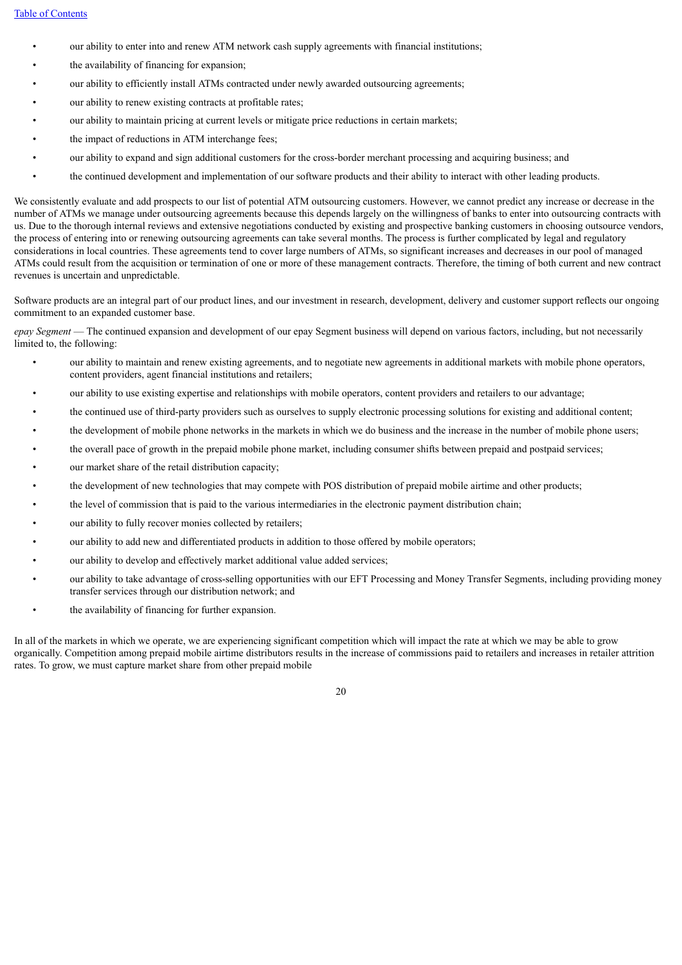- our ability to enter into and renew ATM network cash supply agreements with financial institutions;
- the availability of financing for expansion;
- our ability to efficiently install ATMs contracted under newly awarded outsourcing agreements;
- our ability to renew existing contracts at profitable rates;
- our ability to maintain pricing at current levels or mitigate price reductions in certain markets;
- the impact of reductions in ATM interchange fees;
- our ability to expand and sign additional customers for the cross-border merchant processing and acquiring business; and
- the continued development and implementation of our software products and their ability to interact with other leading products.

We consistently evaluate and add prospects to our list of potential ATM outsourcing customers. However, we cannot predict any increase or decrease in the number of ATMs we manage under outsourcing agreements because this depends largely on the willingness of banks to enter into outsourcing contracts with us. Due to the thorough internal reviews and extensive negotiations conducted by existing and prospective banking customers in choosing outsource vendors, the process of entering into or renewing outsourcing agreements can take several months. The process is further complicated by legal and regulatory considerations in local countries. These agreements tend to cover large numbers of ATMs, so significant increases and decreases in our pool of managed ATMs could result from the acquisition or termination of one or more of these management contracts. Therefore, the timing of both current and new contract revenues is uncertain and unpredictable.

Software products are an integral part of our product lines, and our investment in research, development, delivery and customer support reflects our ongoing commitment to an expanded customer base.

*epay Segment* — The continued expansion and development of our epay Segment business will depend on various factors, including, but not necessarily limited to, the following:

- our ability to maintain and renew existing agreements, and to negotiate new agreements in additional markets with mobile phone operators, content providers, agent financial institutions and retailers;
- our ability to use existing expertise and relationships with mobile operators, content providers and retailers to our advantage;
- the continued use of third-party providers such as ourselves to supply electronic processing solutions for existing and additional content;
- the development of mobile phone networks in the markets in which we do business and the increase in the number of mobile phone users;
- the overall pace of growth in the prepaid mobile phone market, including consumer shifts between prepaid and postpaid services;
- our market share of the retail distribution capacity;
- the development of new technologies that may compete with POS distribution of prepaid mobile airtime and other products;
- the level of commission that is paid to the various intermediaries in the electronic payment distribution chain;
- our ability to fully recover monies collected by retailers;
- our ability to add new and differentiated products in addition to those offered by mobile operators;
- our ability to develop and effectively market additional value added services;
- our ability to take advantage of cross-selling opportunities with our EFT Processing and Money Transfer Segments, including providing money transfer services through our distribution network; and
- the availability of financing for further expansion.

In all of the markets in which we operate, we are experiencing significant competition which will impact the rate at which we may be able to grow organically. Competition among prepaid mobile airtime distributors results in the increase of commissions paid to retailers and increases in retailer attrition rates. To grow, we must capture market share from other prepaid mobile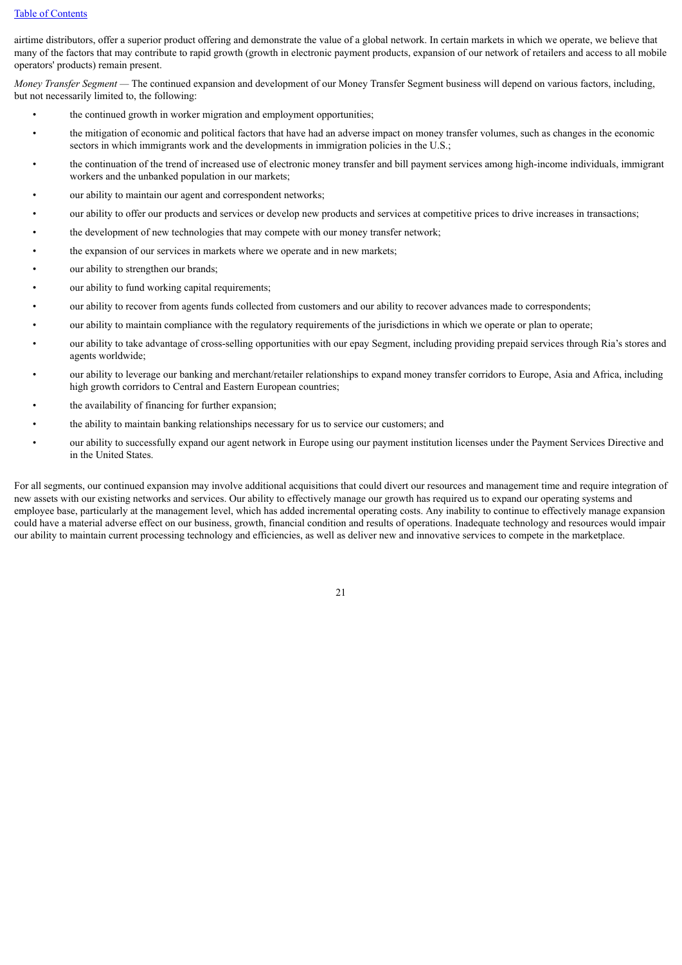### Table of [Contents](#page-0-0)

airtime distributors, offer a superior product offering and demonstrate the value of a global network. In certain markets in which we operate, we believe that many of the factors that may contribute to rapid growth (growth in electronic payment products, expansion of our network of retailers and access to all mobile operators' products) remain present.

*Money Transfer Segment* — The continued expansion and development of our Money Transfer Segment business will depend on various factors, including, but not necessarily limited to, the following:

- the continued growth in worker migration and employment opportunities;
- the mitigation of economic and political factors that have had an adverse impact on money transfer volumes, such as changes in the economic sectors in which immigrants work and the developments in immigration policies in the U.S.;
- the continuation of the trend of increased use of electronic money transfer and bill payment services among high-income individuals, immigrant workers and the unbanked population in our markets;
- our ability to maintain our agent and correspondent networks;
- our ability to offer our products and services or develop new products and services at competitive prices to drive increases in transactions;
- the development of new technologies that may compete with our money transfer network;
- the expansion of our services in markets where we operate and in new markets;
- our ability to strengthen our brands;
- our ability to fund working capital requirements;
- our ability to recover from agents funds collected from customers and our ability to recover advances made to correspondents;
- our ability to maintain compliance with the regulatory requirements of the jurisdictions in which we operate or plan to operate;
- our ability to take advantage of cross-selling opportunities with our epay Segment, including providing prepaid services through Ria's stores and agents worldwide;
- our ability to leverage our banking and merchant/retailer relationships to expand money transfer corridors to Europe, Asia and Africa, including high growth corridors to Central and Eastern European countries;
- the availability of financing for further expansion;
- the ability to maintain banking relationships necessary for us to service our customers; and
- our ability to successfully expand our agent network in Europe using our payment institution licenses under the Payment Services Directive and in the United States.

For all segments, our continued expansion may involve additional acquisitions that could divert our resources and management time and require integration of new assets with our existing networks and services. Our ability to effectively manage our growth has required us to expand our operating systems and employee base, particularly at the management level, which has added incremental operating costs. Any inability to continue to effectively manage expansion could have a material adverse effect on our business, growth, financial condition and results of operations. Inadequate technology and resources would impair our ability to maintain current processing technology and efficiencies, as well as deliver new and innovative services to compete in the marketplace.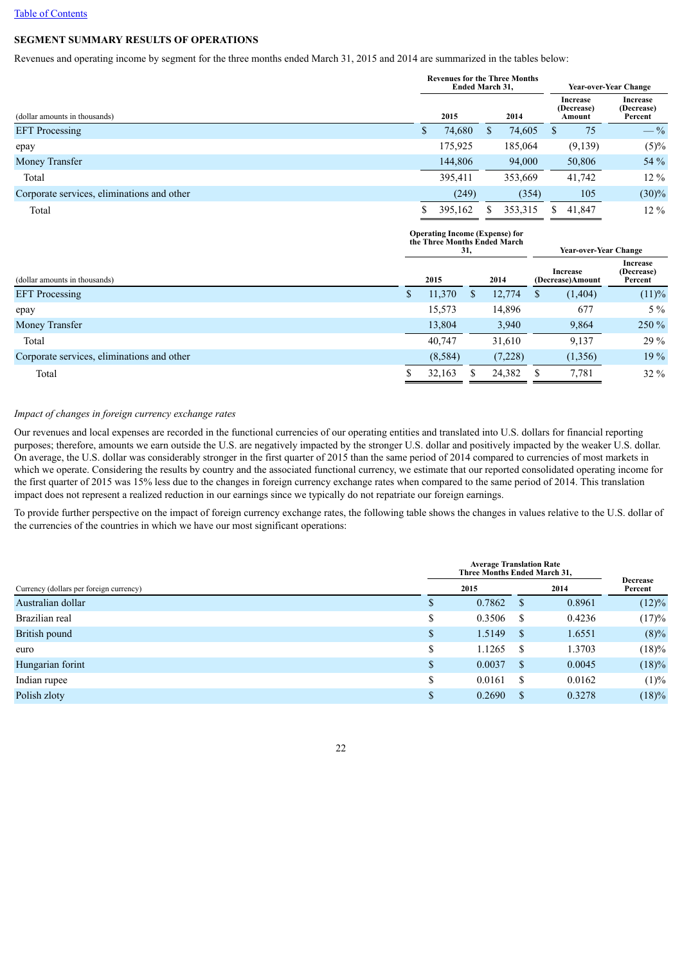# **SEGMENT SUMMARY RESULTS OF OPERATIONS**

Revenues and operating income by segment for the three months ended March 31, 2015 and 2014 are summarized in the tables below:

|                                            |   | <b>Revenues for the Three Months</b><br><b>Ended March 31.</b> |   |         |   |                                  | Year-over-Year Change             |
|--------------------------------------------|---|----------------------------------------------------------------|---|---------|---|----------------------------------|-----------------------------------|
| (dollar amounts in thousands)              |   | 2015                                                           |   | 2014    |   | Increase<br>(Decrease)<br>Amount | Increase<br>(Decrease)<br>Percent |
| <b>EFT</b> Processing                      | S | 74,680                                                         | Ф | 74,605  | S | 75                               | $- \frac{9}{6}$                   |
| epay                                       |   | 175,925                                                        |   | 185,064 |   | (9,139)                          | $(5)\%$                           |
| Money Transfer                             |   | 144,806                                                        |   | 94,000  |   | 50,806                           | 54 %                              |
| Total                                      |   | 395,411                                                        |   | 353,669 |   | 41,742                           | $12\%$                            |
| Corporate services, eliminations and other |   | (249)                                                          |   | (354)   |   | 105                              | $(30)\%$                          |
| Total                                      |   | 395,162                                                        | S | 353,315 | S | 41,847                           | $12\%$                            |

|                                            |   | <b>Operating Income (Expense) for</b><br>the Three Months Ended March | 31, |         |   | <b>Year-over-Year Change</b>        |                                          |  |
|--------------------------------------------|---|-----------------------------------------------------------------------|-----|---------|---|-------------------------------------|------------------------------------------|--|
| (dollar amounts in thousands)              |   | 2015                                                                  |     | 2014    |   | <b>Increase</b><br>(Decrease)Amount | <b>Increase</b><br>(Decrease)<br>Percent |  |
| <b>EFT</b> Processing                      | ъ | 11,370                                                                | S   | 12,774  | S | (1,404)                             | (11)%                                    |  |
| epay                                       |   | 15,573                                                                |     | 14,896  |   | 677                                 | $5\%$                                    |  |
| Money Transfer                             |   | 13,804                                                                |     | 3,940   |   | 9,864                               | 250%                                     |  |
| Total                                      |   | 40,747                                                                |     | 31,610  |   | 9,137                               | 29%                                      |  |
| Corporate services, eliminations and other |   | (8,584)                                                               |     | (7,228) |   | (1,356)                             | 19%                                      |  |
| Total                                      |   | 32,163                                                                |     | 24,382  |   | 7,781                               | $32\%$                                   |  |

# *Impact of changes in foreign currency exchange rates*

Our revenues and local expenses are recorded in the functional currencies of our operating entities and translated into U.S. dollars for financial reporting purposes; therefore, amounts we earn outside the U.S. are negatively impacted by the stronger U.S. dollar and positively impacted by the weaker U.S. dollar. On average, the U.S. dollar was considerably stronger in the first quarter of 2015 than the same period of 2014 compared to currencies of most markets in which we operate. Considering the results by country and the associated functional currency, we estimate that our reported consolidated operating income for the first quarter of 2015 was 15% less due to the changes in foreign currency exchange rates when compared to the same period of 2014. This translation impact does not represent a realized reduction in our earnings since we typically do not repatriate our foreign earnings.

To provide further perspective on the impact of foreign currency exchange rates, the following table shows the changes in values relative to the U.S. dollar of the currencies of the countries in which we have our most significant operations:

|                                         |        | <b>Average Translation Rate</b><br>Three Months Ended March 31, |               |        |                     |  |  |  |  |
|-----------------------------------------|--------|-----------------------------------------------------------------|---------------|--------|---------------------|--|--|--|--|
| Currency (dollars per foreign currency) |        | 2015                                                            |               | 2014   | Decrease<br>Percent |  |  |  |  |
| Australian dollar                       |        | 0.7862                                                          | - \$          | 0.8961 | (12)%               |  |  |  |  |
| Brazilian real                          | S      | 0.3506                                                          | <sup>S</sup>  | 0.4236 | (17)%               |  |  |  |  |
| <b>British pound</b>                    | S      | 1.5149                                                          | <sup>S</sup>  | 1.6551 | $(8)\%$             |  |  |  |  |
| euro                                    | Ф      | 1.1265                                                          | - \$          | 1.3703 | (18)%               |  |  |  |  |
| Hungarian forint                        | ¢<br>D | 0.0037                                                          | <sup>S</sup>  | 0.0045 | (18)%               |  |  |  |  |
| Indian rupee                            | S      | 0.0161                                                          | <sup>\$</sup> | 0.0162 | (1)%                |  |  |  |  |
| Polish zloty                            | S      | 0.2690                                                          | \$            | 0.3278 | (18)%               |  |  |  |  |
|                                         |        |                                                                 |               |        |                     |  |  |  |  |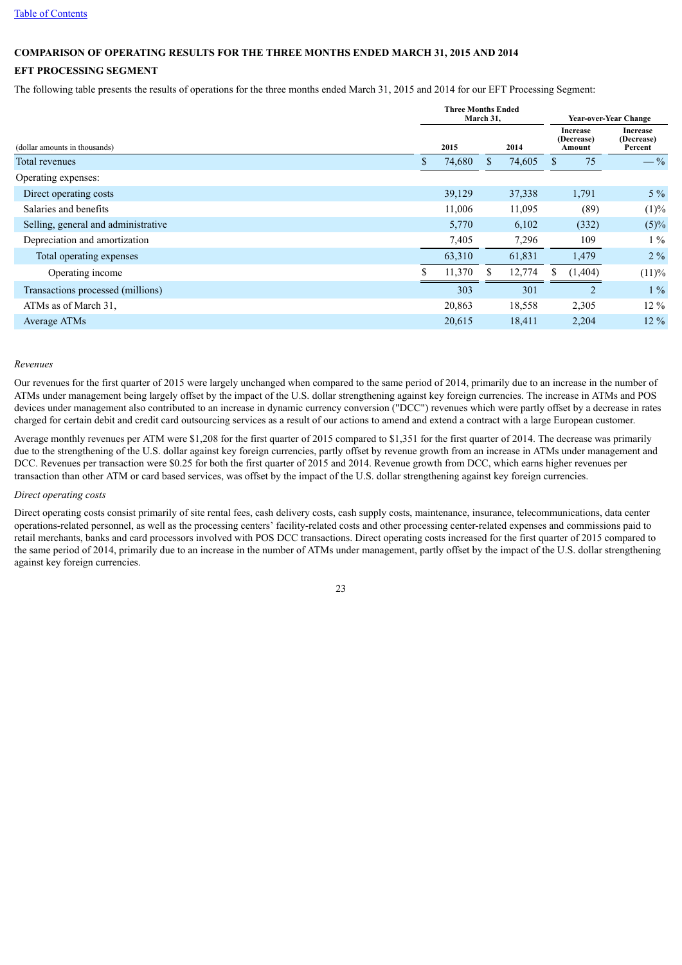# **COMPARISON OF OPERATING RESULTS FOR THE THREE MONTHS ENDED MARCH 31, 2015 AND 2014**

# **EFT PROCESSING SEGMENT**

The following table presents the results of operations for the three months ended March 31, 2015 and 2014 for our EFT Processing Segment:

|                                     |              | <b>Three Months Ended</b> | March 31, |        |                                         | Year-over-Year Change             |
|-------------------------------------|--------------|---------------------------|-----------|--------|-----------------------------------------|-----------------------------------|
| (dollar amounts in thousands)       |              | 2015                      |           | 2014   | <b>Increase</b><br>(Decrease)<br>Amount | Increase<br>(Decrease)<br>Percent |
| Total revenues                      | $\mathbb{S}$ | 74,680                    | \$.       | 74,605 | 75                                      | $- \frac{9}{6}$                   |
| Operating expenses:                 |              |                           |           |        |                                         |                                   |
| Direct operating costs              |              | 39,129                    |           | 37,338 | 1,791                                   | $5\%$                             |
| Salaries and benefits               |              | 11,006                    |           | 11,095 | (89)                                    | (1)%                              |
| Selling, general and administrative |              | 5,770                     |           | 6,102  | (332)                                   | $(5)\%$                           |
| Depreciation and amortization       |              | 7,405                     |           | 7,296  | 109                                     | $1\%$                             |
| Total operating expenses            |              | 63,310                    |           | 61,831 | 1,479                                   | $2\%$                             |
| Operating income                    |              | 11,370                    |           | 12,774 | (1,404)                                 | (11)%                             |
| Transactions processed (millions)   |              | 303                       |           | 301    | $\overline{c}$                          | $1\%$                             |
| ATMs as of March 31,                |              | 20,863                    |           | 18,558 | 2,305                                   | $12\%$                            |
| Average ATMs                        |              | 20,615                    |           | 18,411 | 2,204                                   | $12\%$                            |

#### *Revenues*

Our revenues for the first quarter of 2015 were largely unchanged when compared to the same period of 2014, primarily due to an increase in the number of ATMs under management being largely offset by the impact of the U.S. dollar strengthening against key foreign currencies. The increase in ATMs and POS devices under management also contributed to an increase in dynamic currency conversion ("DCC") revenues which were partly offset by a decrease in rates charged for certain debit and credit card outsourcing services as a result of our actions to amend and extend a contract with a large European customer.

Average monthly revenues per ATM were \$1,208 for the first quarter of 2015 compared to \$1,351 for the first quarter of 2014. The decrease was primarily due to the strengthening of the U.S. dollar against key foreign currencies, partly offset by revenue growth from an increase in ATMs under management and DCC. Revenues per transaction were \$0.25 for both the first quarter of 2015 and 2014. Revenue growth from DCC, which earns higher revenues per transaction than other ATM or card based services, was offset by the impact of the U.S. dollar strengthening against key foreign currencies.

### *Direct operating costs*

Direct operating costs consist primarily of site rental fees, cash delivery costs, cash supply costs, maintenance, insurance, telecommunications, data center operations-related personnel, as well as the processing centers' facility-related costs and other processing center-related expenses and commissions paid to retail merchants, banks and card processors involved with POS DCC transactions. Direct operating costs increased for the first quarter of 2015 compared to the same period of 2014, primarily due to an increase in the number of ATMs under management, partly offset by the impact of the U.S. dollar strengthening against key foreign currencies.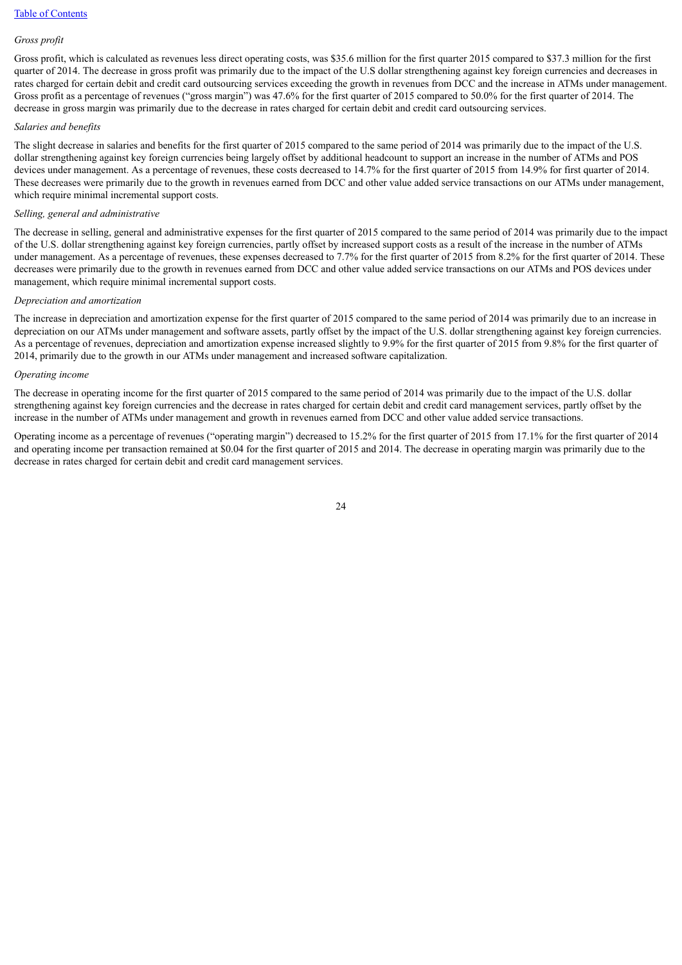### *Gross profit*

Gross profit, which is calculated as revenues less direct operating costs, was \$35.6 million for the first quarter 2015 compared to \$37.3 million for the first quarter of 2014. The decrease in gross profit was primarily due to the impact of the U.S dollar strengthening against key foreign currencies and decreases in rates charged for certain debit and credit card outsourcing services exceeding the growth in revenues from DCC and the increase in ATMs under management. Gross profit as a percentage of revenues ("gross margin") was 47.6% for the first quarter of 2015 compared to 50.0% for the first quarter of 2014. The decrease in gross margin was primarily due to the decrease in rates charged for certain debit and credit card outsourcing services.

### *Salaries and benefits*

The slight decrease in salaries and benefits for the first quarter of 2015 compared to the same period of 2014 was primarily due to the impact of the U.S. dollar strengthening against key foreign currencies being largely offset by additional headcount to support an increase in the number of ATMs and POS devices under management. As a percentage of revenues, these costs decreased to 14.7% for the first quarter of 2015 from 14.9% for first quarter of 2014. These decreases were primarily due to the growth in revenues earned from DCC and other value added service transactions on our ATMs under management, which require minimal incremental support costs.

### *Selling, general and administrative*

The decrease in selling, general and administrative expenses for the first quarter of 2015 compared to the same period of 2014 was primarily due to the impact of the U.S. dollar strengthening against key foreign currencies, partly offset by increased support costs as a result of the increase in the number of ATMs under management. As a percentage of revenues, these expenses decreased to 7.7% for the first quarter of 2015 from 8.2% for the first quarter of 2014. These decreases were primarily due to the growth in revenues earned from DCC and other value added service transactions on our ATMs and POS devices under management, which require minimal incremental support costs.

### *Depreciation and amortization*

The increase in depreciation and amortization expense for the first quarter of 2015 compared to the same period of 2014 was primarily due to an increase in depreciation on our ATMs under management and software assets, partly offset by the impact of the U.S. dollar strengthening against key foreign currencies. As a percentage of revenues, depreciation and amortization expense increased slightly to 9.9% for the first quarter of 2015 from 9.8% for the first quarter of 2014, primarily due to the growth in our ATMs under management and increased software capitalization.

### *Operating income*

The decrease in operating income for the first quarter of 2015 compared to the same period of 2014 was primarily due to the impact of the U.S. dollar strengthening against key foreign currencies and the decrease in rates charged for certain debit and credit card management services, partly offset by the increase in the number of ATMs under management and growth in revenues earned from DCC and other value added service transactions.

Operating income as a percentage of revenues ("operating margin") decreased to 15.2% for the first quarter of 2015 from 17.1% for the first quarter of 2014 and operating income per transaction remained at \$0.04 for the first quarter of 2015 and 2014. The decrease in operating margin was primarily due to the decrease in rates charged for certain debit and credit card management services.

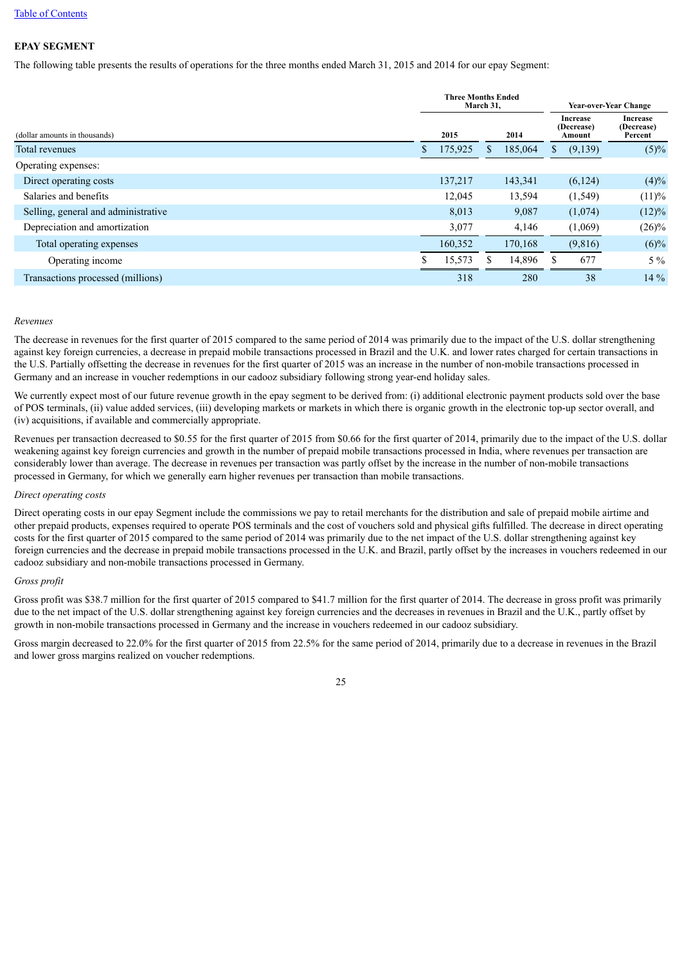# **EPAY SEGMENT**

The following table presents the results of operations for the three months ended March 31, 2015 and 2014 for our epay Segment:

|                                     |              | <b>Three Months Ended</b> | March 31, |         | Year-over-Year Change |                                  |                                   |  |
|-------------------------------------|--------------|---------------------------|-----------|---------|-----------------------|----------------------------------|-----------------------------------|--|
| (dollar amounts in thousands)       |              | 2015                      |           | 2014    |                       | Increase<br>(Decrease)<br>Amount | Increase<br>(Decrease)<br>Percent |  |
| Total revenues                      | <sup>S</sup> | 175,925                   | Ж         | 185,064 | S                     | (9,139)                          | $(5)\%$                           |  |
| Operating expenses:                 |              |                           |           |         |                       |                                  |                                   |  |
| Direct operating costs              |              | 137,217                   |           | 143,341 |                       | (6,124)                          | (4)%                              |  |
| Salaries and benefits               |              | 12,045                    |           | 13,594  |                       | (1, 549)                         | (11)%                             |  |
| Selling, general and administrative |              | 8,013                     |           | 9,087   |                       | (1,074)                          | (12)%                             |  |
| Depreciation and amortization       |              | 3,077                     |           | 4,146   |                       | (1,069)                          | $(26)\%$                          |  |
| Total operating expenses            |              | 160,352                   |           | 170,168 |                       | (9,816)                          | $(6)\%$                           |  |
| Operating income                    |              | 15,573                    |           | 14,896  |                       | 677                              | $5\%$                             |  |
| Transactions processed (millions)   |              | 318                       |           | 280     |                       | 38                               | $14\%$                            |  |

### *Revenues*

The decrease in revenues for the first quarter of 2015 compared to the same period of 2014 was primarily due to the impact of the U.S. dollar strengthening against key foreign currencies, a decrease in prepaid mobile transactions processed in Brazil and the U.K. and lower rates charged for certain transactions in the U.S. Partially offsetting the decrease in revenues for the first quarter of 2015 was an increase in the number of non-mobile transactions processed in Germany and an increase in voucher redemptions in our cadooz subsidiary following strong year-end holiday sales.

We currently expect most of our future revenue growth in the epay segment to be derived from: (i) additional electronic payment products sold over the base of POS terminals, (ii) value added services, (iii) developing markets or markets in which there is organic growth in the electronic top-up sector overall, and (iv) acquisitions, if available and commercially appropriate.

Revenues per transaction decreased to \$0.55 for the first quarter of 2015 from \$0.66 for the first quarter of 2014, primarily due to the impact of the U.S. dollar weakening against key foreign currencies and growth in the number of prepaid mobile transactions processed in India, where revenues per transaction are considerably lower than average. The decrease in revenues per transaction was partly offset by the increase in the number of non-mobile transactions processed in Germany, for which we generally earn higher revenues per transaction than mobile transactions.

#### *Direct operating costs*

Direct operating costs in our epay Segment include the commissions we pay to retail merchants for the distribution and sale of prepaid mobile airtime and other prepaid products, expenses required to operate POS terminals and the cost of vouchers sold and physical gifts fulfilled. The decrease in direct operating costs for the first quarter of 2015 compared to the same period of 2014 was primarily due to the net impact of the U.S. dollar strengthening against key foreign currencies and the decrease in prepaid mobile transactions processed in the U.K. and Brazil, partly offset by the increases in vouchers redeemed in our cadooz subsidiary and non-mobile transactions processed in Germany.

#### *Gross profit*

Gross profit was \$38.7 million for the first quarter of 2015 compared to \$41.7 million for the first quarter of 2014. The decrease in gross profit was primarily due to the net impact of the U.S. dollar strengthening against key foreign currencies and the decreases in revenues in Brazil and the U.K., partly offset by growth in non-mobile transactions processed in Germany and the increase in vouchers redeemed in our cadooz subsidiary.

Gross margin decreased to 22.0% for the first quarter of 2015 from 22.5% for the same period of 2014, primarily due to a decrease in revenues in the Brazil and lower gross margins realized on voucher redemptions.

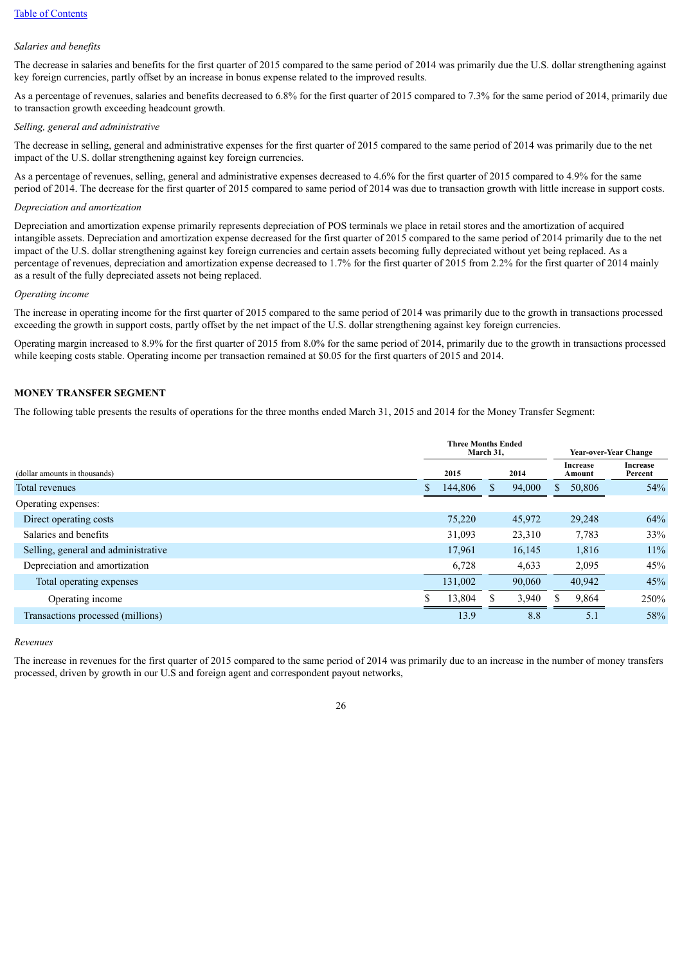### *Salaries and benefits*

The decrease in salaries and benefits for the first quarter of 2015 compared to the same period of 2014 was primarily due the U.S. dollar strengthening against key foreign currencies, partly offset by an increase in bonus expense related to the improved results.

As a percentage of revenues, salaries and benefits decreased to 6.8% for the first quarter of 2015 compared to 7.3% for the same period of 2014, primarily due to transaction growth exceeding headcount growth.

#### *Selling, general and administrative*

The decrease in selling, general and administrative expenses for the first quarter of 2015 compared to the same period of 2014 was primarily due to the net impact of the U.S. dollar strengthening against key foreign currencies.

As a percentage of revenues, selling, general and administrative expenses decreased to 4.6% for the first quarter of 2015 compared to 4.9% for the same period of 2014. The decrease for the first quarter of 2015 compared to same period of 2014 was due to transaction growth with little increase in support costs.

### *Depreciation and amortization*

Depreciation and amortization expense primarily represents depreciation of POS terminals we place in retail stores and the amortization of acquired intangible assets. Depreciation and amortization expense decreased for the first quarter of 2015 compared to the same period of 2014 primarily due to the net impact of the U.S. dollar strengthening against key foreign currencies and certain assets becoming fully depreciated without yet being replaced. As a percentage of revenues, depreciation and amortization expense decreased to 1.7% for the first quarter of 2015 from 2.2% for the first quarter of 2014 mainly as a result of the fully depreciated assets not being replaced.

### *Operating income*

The increase in operating income for the first quarter of 2015 compared to the same period of 2014 was primarily due to the growth in transactions processed exceeding the growth in support costs, partly offset by the net impact of the U.S. dollar strengthening against key foreign currencies.

Operating margin increased to 8.9% for the first quarter of 2015 from 8.0% for the same period of 2014, primarily due to the growth in transactions processed while keeping costs stable. Operating income per transaction remained at \$0.05 for the first quarters of 2015 and 2014.

### **MONEY TRANSFER SEGMENT**

The following table presents the results of operations for the three months ended March 31, 2015 and 2014 for the Money Transfer Segment:

|                                     | <b>Three Months Ended</b> | March 31, |        | <b>Year-over-Year Change</b> |                    |                     |  |
|-------------------------------------|---------------------------|-----------|--------|------------------------------|--------------------|---------------------|--|
| (dollar amounts in thousands)       | 2015                      |           | 2014   |                              | Increase<br>Amount | Increase<br>Percent |  |
| Total revenues                      | \$<br>144,806             | S         | 94,000 | S.                           | 50,806             | 54%                 |  |
| Operating expenses:                 |                           |           |        |                              |                    |                     |  |
| Direct operating costs              | 75,220                    |           | 45,972 |                              | 29,248             | 64%                 |  |
| Salaries and benefits               | 31,093                    |           | 23,310 |                              | 7.783              | 33%                 |  |
| Selling, general and administrative | 17,961                    |           | 16,145 |                              | 1,816              | $11\%$              |  |
| Depreciation and amortization       | 6,728                     |           | 4,633  |                              | 2,095              | 45%                 |  |
| Total operating expenses            | 131,002                   |           | 90,060 |                              | 40,942             | 45%                 |  |
| Operating income                    | 13,804                    |           | 3,940  |                              | 9,864              | 250%                |  |
| Transactions processed (millions)   | 13.9                      |           | 8.8    |                              | 5.1                | 58%                 |  |

*Revenues*

The increase in revenues for the first quarter of 2015 compared to the same period of 2014 was primarily due to an increase in the number of money transfers processed, driven by growth in our U.S and foreign agent and correspondent payout networks,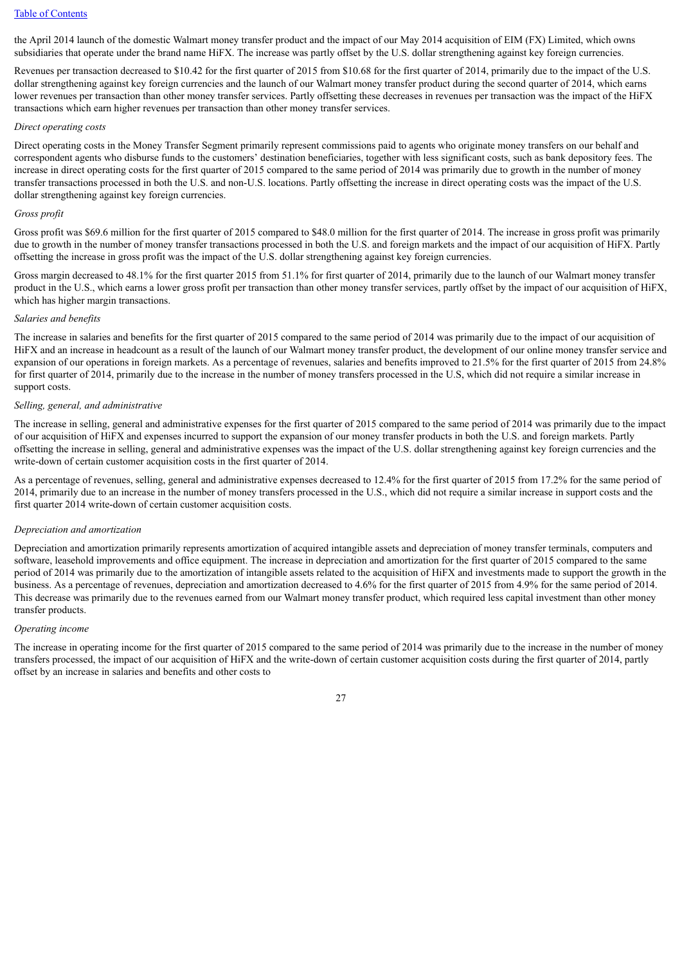### Table of [Contents](#page-0-0)

the April 2014 launch of the domestic Walmart money transfer product and the impact of our May 2014 acquisition of EIM (FX) Limited, which owns subsidiaries that operate under the brand name HiFX. The increase was partly offset by the U.S. dollar strengthening against key foreign currencies.

Revenues per transaction decreased to \$10.42 for the first quarter of 2015 from \$10.68 for the first quarter of 2014, primarily due to the impact of the U.S. dollar strengthening against key foreign currencies and the launch of our Walmart money transfer product during the second quarter of 2014, which earns lower revenues per transaction than other money transfer services. Partly offsetting these decreases in revenues per transaction was the impact of the HiFX transactions which earn higher revenues per transaction than other money transfer services.

### *Direct operating costs*

Direct operating costs in the Money Transfer Segment primarily represent commissions paid to agents who originate money transfers on our behalf and correspondent agents who disburse funds to the customers' destination beneficiaries, together with less significant costs, such as bank depository fees. The increase in direct operating costs for the first quarter of 2015 compared to the same period of 2014 was primarily due to growth in the number of money transfer transactions processed in both the U.S. and non-U.S. locations. Partly offsetting the increase in direct operating costs was the impact of the U.S. dollar strengthening against key foreign currencies.

#### *Gross profit*

Gross profit was \$69.6 million for the first quarter of 2015 compared to \$48.0 million for the first quarter of 2014. The increase in gross profit was primarily due to growth in the number of money transfer transactions processed in both the U.S. and foreign markets and the impact of our acquisition of HiFX. Partly offsetting the increase in gross profit was the impact of the U.S. dollar strengthening against key foreign currencies.

Gross margin decreased to 48.1% for the first quarter 2015 from 51.1% for first quarter of 2014, primarily due to the launch of our Walmart money transfer product in the U.S., which earns a lower gross profit per transaction than other money transfer services, partly offset by the impact of our acquisition of HiFX, which has higher margin transactions.

### *Salaries and benefits*

The increase in salaries and benefits for the first quarter of 2015 compared to the same period of 2014 was primarily due to the impact of our acquisition of HiFX and an increase in headcount as a result of the launch of our Walmart money transfer product, the development of our online money transfer service and expansion of our operations in foreign markets. As a percentage of revenues, salaries and benefits improved to 21.5% for the first quarter of 2015 from 24.8% for first quarter of 2014, primarily due to the increase in the number of money transfers processed in the U.S, which did not require a similar increase in support costs.

### *Selling, general, and administrative*

The increase in selling, general and administrative expenses for the first quarter of 2015 compared to the same period of 2014 was primarily due to the impact of our acquisition of HiFX and expenses incurred to support the expansion of our money transfer products in both the U.S. and foreign markets. Partly offsetting the increase in selling, general and administrative expenses was the impact of the U.S. dollar strengthening against key foreign currencies and the write-down of certain customer acquisition costs in the first quarter of 2014.

As a percentage of revenues, selling, general and administrative expenses decreased to 12.4% for the first quarter of 2015 from 17.2% for the same period of 2014, primarily due to an increase in the number of money transfers processed in the U.S., which did not require a similar increase in support costs and the first quarter 2014 write-down of certain customer acquisition costs.

#### *Depreciation and amortization*

Depreciation and amortization primarily represents amortization of acquired intangible assets and depreciation of money transfer terminals, computers and software, leasehold improvements and office equipment. The increase in depreciation and amortization for the first quarter of 2015 compared to the same period of 2014 was primarily due to the amortization of intangible assets related to the acquisition of HiFX and investments made to support the growth in the business. As a percentage of revenues, depreciation and amortization decreased to 4.6% for the first quarter of 2015 from 4.9% for the same period of 2014. This decrease was primarily due to the revenues earned from our Walmart money transfer product, which required less capital investment than other money transfer products.

#### *Operating income*

The increase in operating income for the first quarter of 2015 compared to the same period of 2014 was primarily due to the increase in the number of money transfers processed, the impact of our acquisition of HiFX and the write-down of certain customer acquisition costs during the first quarter of 2014, partly offset by an increase in salaries and benefits and other costs to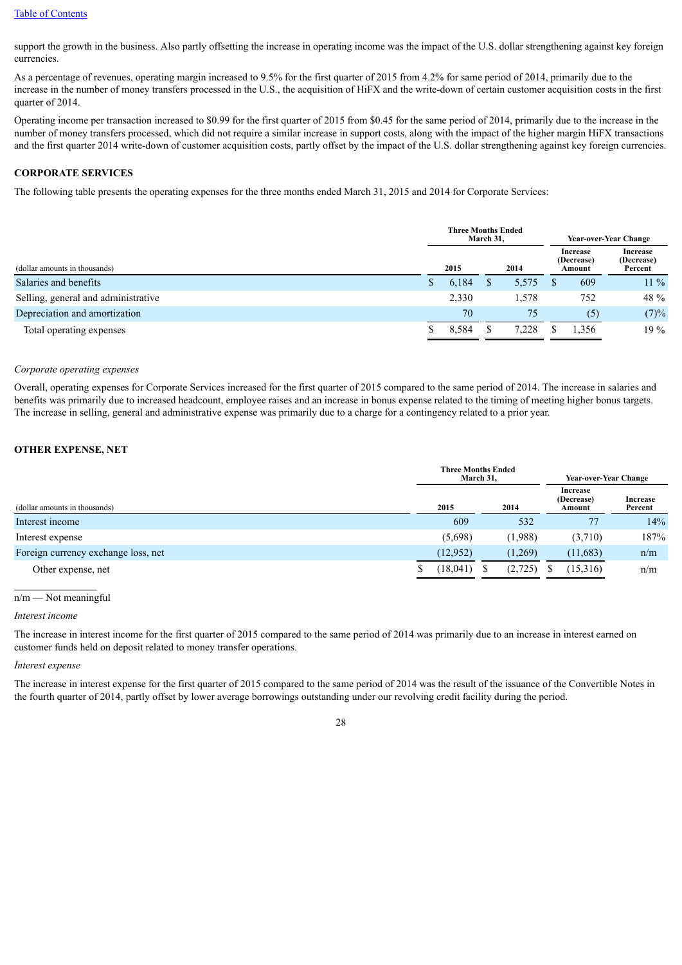support the growth in the business. Also partly offsetting the increase in operating income was the impact of the U.S. dollar strengthening against key foreign currencies.

As a percentage of revenues, operating margin increased to 9.5% for the first quarter of 2015 from 4.2% for same period of 2014, primarily due to the increase in the number of money transfers processed in the U.S., the acquisition of HiFX and the write-down of certain customer acquisition costs in the first quarter of 2014.

Operating income per transaction increased to \$0.99 for the first quarter of 2015 from \$0.45 for the same period of 2014, primarily due to the increase in the number of money transfers processed, which did not require a similar increase in support costs, along with the impact of the higher margin HiFX transactions and the first quarter 2014 write-down of customer acquisition costs, partly offset by the impact of the U.S. dollar strengthening against key foreign currencies.

### **CORPORATE SERVICES**

The following table presents the operating expenses for the three months ended March 31, 2015 and 2014 for Corporate Services:

|                                     | <b>Three Months Ended</b> | March 31, |       | Year-over-Year Change            |                                          |  |
|-------------------------------------|---------------------------|-----------|-------|----------------------------------|------------------------------------------|--|
| (dollar amounts in thousands)       | 2015                      |           | 2014  | Increase<br>(Decrease)<br>Amount | <b>Increase</b><br>(Decrease)<br>Percent |  |
| Salaries and benefits               | 6,184                     |           | 5,575 | 609                              | $11\%$                                   |  |
| Selling, general and administrative | 2,330                     |           | 1,578 | 752                              | 48 %                                     |  |
| Depreciation and amortization       | 70                        |           | 75    | (5)                              | (7)%                                     |  |
| Total operating expenses            | 8.584                     |           | 7.228 | .356                             | $19\%$                                   |  |

### *Corporate operating expenses*

Overall, operating expenses for Corporate Services increased for the first quarter of 2015 compared to the same period of 2014. The increase in salaries and benefits was primarily due to increased headcount, employee raises and an increase in bonus expense related to the timing of meeting higher bonus targets. The increase in selling, general and administrative expense was primarily due to a charge for a contingency related to a prior year.

# **OTHER EXPENSE, NET**

|                                     | <b>Three Months Ended</b><br>March 31. |  |         | <b>Year-over-Year Change</b>            |                     |  |  |
|-------------------------------------|----------------------------------------|--|---------|-----------------------------------------|---------------------|--|--|
| (dollar amounts in thousands)       | 2015                                   |  | 2014    | <b>Increase</b><br>(Decrease)<br>Amount | Increase<br>Percent |  |  |
| Interest income                     | 609                                    |  | 532     | 77                                      | 14%                 |  |  |
| Interest expense                    | (5,698)                                |  | (1,988) | (3,710)                                 | 187%                |  |  |
| Foreign currency exchange loss, net | (12.952)                               |  | (1,269) | (11, 683)                               | n/m                 |  |  |
| Other expense, net                  | (18,041)                               |  | (2,725) | (15,316)                                | n/m                 |  |  |

### n/m — Not meaningful

*Interest income*

The increase in interest income for the first quarter of 2015 compared to the same period of 2014 was primarily due to an increase in interest earned on customer funds held on deposit related to money transfer operations.

#### *Interest expense*

The increase in interest expense for the first quarter of 2015 compared to the same period of 2014 was the result of the issuance of the Convertible Notes in the fourth quarter of 2014, partly offset by lower average borrowings outstanding under our revolving credit facility during the period.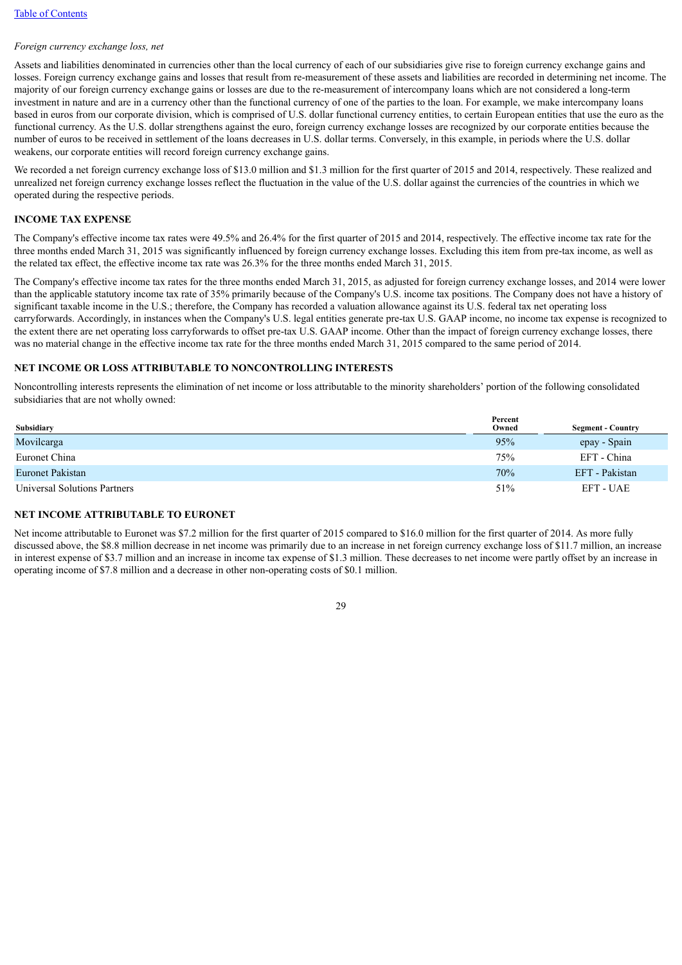# *Foreign currency exchange loss, net*

Assets and liabilities denominated in currencies other than the local currency of each of our subsidiaries give rise to foreign currency exchange gains and losses. Foreign currency exchange gains and losses that result from re-measurement of these assets and liabilities are recorded in determining net income. The majority of our foreign currency exchange gains or losses are due to the re-measurement of intercompany loans which are not considered a long-term investment in nature and are in a currency other than the functional currency of one of the parties to the loan. For example, we make intercompany loans based in euros from our corporate division, which is comprised of U.S. dollar functional currency entities, to certain European entities that use the euro as the functional currency. As the U.S. dollar strengthens against the euro, foreign currency exchange losses are recognized by our corporate entities because the number of euros to be received in settlement of the loans decreases in U.S. dollar terms. Conversely, in this example, in periods where the U.S. dollar weakens, our corporate entities will record foreign currency exchange gains.

We recorded a net foreign currency exchange loss of \$13.0 million and \$1.3 million for the first quarter of 2015 and 2014, respectively. These realized and unrealized net foreign currency exchange losses reflect the fluctuation in the value of the U.S. dollar against the currencies of the countries in which we operated during the respective periods.

# **INCOME TAX EXPENSE**

The Company's effective income tax rates were 49.5% and 26.4% for the first quarter of 2015 and 2014, respectively. The effective income tax rate for the three months ended March 31, 2015 was significantly influenced by foreign currency exchange losses. Excluding this item from pre-tax income, as well as the related tax effect, the effective income tax rate was 26.3% for the three months ended March 31, 2015.

The Company's effective income tax rates for the three months ended March 31, 2015, as adjusted for foreign currency exchange losses, and 2014 were lower than the applicable statutory income tax rate of 35% primarily because of the Company's U.S. income tax positions. The Company does not have a history of significant taxable income in the U.S.; therefore, the Company has recorded a valuation allowance against its U.S. federal tax net operating loss carryforwards. Accordingly, in instances when the Company's U.S. legal entities generate pre-tax U.S. GAAP income, no income tax expense is recognized to the extent there are net operating loss carryforwards to offset pre-tax U.S. GAAP income. Other than the impact of foreign currency exchange losses, there was no material change in the effective income tax rate for the three months ended March 31, 2015 compared to the same period of 2014.

# **NET INCOME OR LOSS ATTRIBUTABLE TO NONCONTROLLING INTERESTS**

Noncontrolling interests represents the elimination of net income or loss attributable to the minority shareholders' portion of the following consolidated subsidiaries that are not wholly owned:

| Subsidiary                   | Percent<br>Owned | <b>Segment - Country</b> |
|------------------------------|------------------|--------------------------|
| Movilcarga                   | 95%              | epay - Spain             |
| Euronet China                | 75%              | EFT - China              |
| Euronet Pakistan             | 70%              | EFT - Pakistan           |
| Universal Solutions Partners | 51%              | EFT - UAE                |

# **NET INCOME ATTRIBUTABLE TO EURONET**

Net income attributable to Euronet was \$7.2 million for the first quarter of 2015 compared to \$16.0 million for the first quarter of 2014. As more fully discussed above, the \$8.8 million decrease in net income was primarily due to an increase in net foreign currency exchange loss of \$11.7 million, an increase in interest expense of \$3.7 million and an increase in income tax expense of \$1.3 million. These decreases to net income were partly offset by an increase in operating income of \$7.8 million and a decrease in other non-operating costs of \$0.1 million.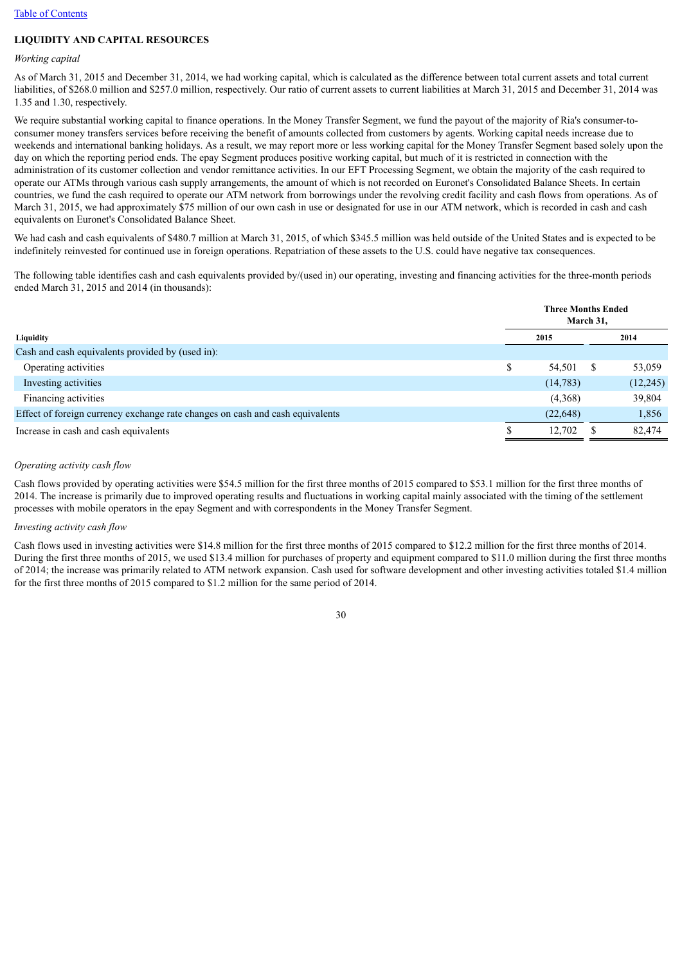# **LIQUIDITY AND CAPITAL RESOURCES**

#### *Working capital*

As of March 31, 2015 and December 31, 2014, we had working capital, which is calculated as the difference between total current assets and total current liabilities, of \$268.0 million and \$257.0 million, respectively. Our ratio of current assets to current liabilities at March 31, 2015 and December 31, 2014 was 1.35 and 1.30, respectively.

We require substantial working capital to finance operations. In the Money Transfer Segment, we fund the payout of the majority of Ria's consumer-toconsumer money transfers services before receiving the benefit of amounts collected from customers by agents. Working capital needs increase due to weekends and international banking holidays. As a result, we may report more or less working capital for the Money Transfer Segment based solely upon the day on which the reporting period ends. The epay Segment produces positive working capital, but much of it is restricted in connection with the administration of its customer collection and vendor remittance activities. In our EFT Processing Segment, we obtain the majority of the cash required to operate our ATMs through various cash supply arrangements, the amount of which is not recorded on Euronet's Consolidated Balance Sheets. In certain countries, we fund the cash required to operate our ATM network from borrowings under the revolving credit facility and cash flows from operations. As of March 31, 2015, we had approximately \$75 million of our own cash in use or designated for use in our ATM network, which is recorded in cash and cash equivalents on Euronet's Consolidated Balance Sheet.

We had cash and cash equivalents of \$480.7 million at March 31, 2015, of which \$345.5 million was held outside of the United States and is expected to be indefinitely reinvested for continued use in foreign operations. Repatriation of these assets to the U.S. could have negative tax consequences.

The following table identifies cash and cash equivalents provided by/(used in) our operating, investing and financing activities for the three-month periods ended March 31, 2015 and 2014 (in thousands):

|                                                                               |      | <b>Three Months Ended</b><br>March 31, |              |           |
|-------------------------------------------------------------------------------|------|----------------------------------------|--------------|-----------|
| Liquidity                                                                     | 2015 |                                        | 2014         |           |
| Cash and cash equivalents provided by (used in):                              |      |                                        |              |           |
| Operating activities                                                          |      | 54,501                                 | <sup>S</sup> | 53,059    |
| Investing activities                                                          |      | (14, 783)                              |              | (12, 245) |
| Financing activities                                                          |      | (4,368)                                |              | 39,804    |
| Effect of foreign currency exchange rate changes on cash and cash equivalents |      | (22, 648)                              |              | 1,856     |
| Increase in cash and cash equivalents                                         |      | 12.702                                 |              | 82,474    |

### *Operating activity cash flow*

Cash flows provided by operating activities were \$54.5 million for the first three months of 2015 compared to \$53.1 million for the first three months of 2014. The increase is primarily due to improved operating results and fluctuations in working capital mainly associated with the timing of the settlement processes with mobile operators in the epay Segment and with correspondents in the Money Transfer Segment.

#### *Investing activity cash flow*

Cash flows used in investing activities were \$14.8 million for the first three months of 2015 compared to \$12.2 million for the first three months of 2014. During the first three months of 2015, we used \$13.4 million for purchases of property and equipment compared to \$11.0 million during the first three months of 2014; the increase was primarily related to ATM network expansion. Cash used for software development and other investing activities totaled \$1.4 million for the first three months of 2015 compared to \$1.2 million for the same period of 2014.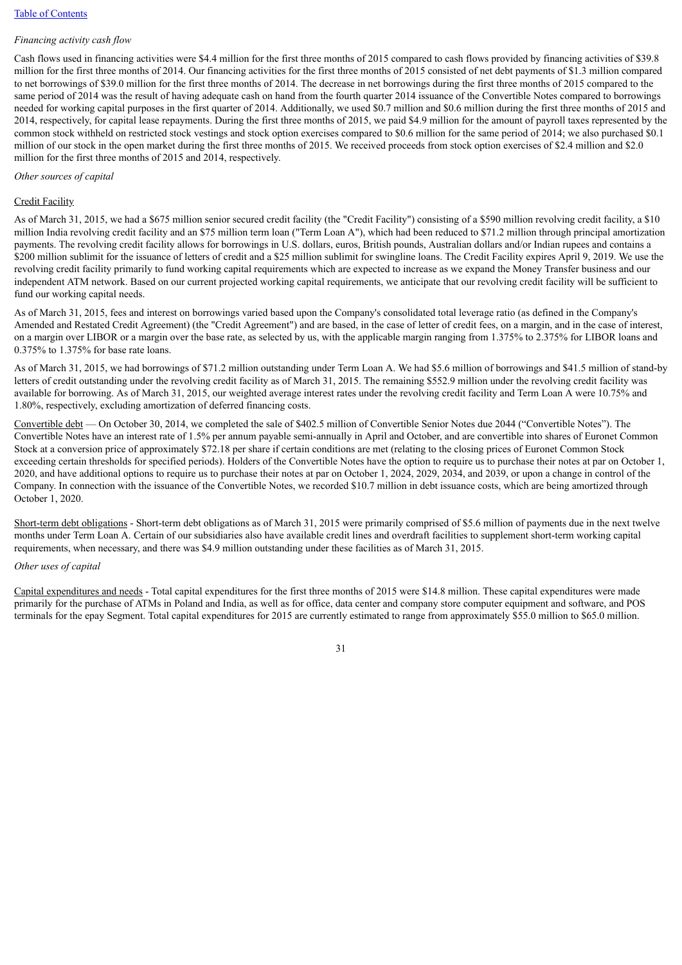## *Financing activity cash flow*

Cash flows used in financing activities were \$4.4 million for the first three months of 2015 compared to cash flows provided by financing activities of \$39.8 million for the first three months of 2014. Our financing activities for the first three months of 2015 consisted of net debt payments of \$1.3 million compared to net borrowings of \$39.0 million for the first three months of 2014. The decrease in net borrowings during the first three months of 2015 compared to the same period of 2014 was the result of having adequate cash on hand from the fourth quarter 2014 issuance of the Convertible Notes compared to borrowings needed for working capital purposes in the first quarter of 2014. Additionally, we used \$0.7 million and \$0.6 million during the first three months of 2015 and 2014, respectively, for capital lease repayments. During the first three months of 2015, we paid \$4.9 million for the amount of payroll taxes represented by the common stock withheld on restricted stock vestings and stock option exercises compared to \$0.6 million for the same period of 2014; we also purchased \$0.1 million of our stock in the open market during the first three months of 2015. We received proceeds from stock option exercises of \$2.4 million and \$2.0 million for the first three months of 2015 and 2014, respectively.

*Other sources of capital*

### Credit Facility

As of March 31, 2015, we had a \$675 million senior secured credit facility (the "Credit Facility") consisting of a \$590 million revolving credit facility, a \$10 million India revolving credit facility and an \$75 million term loan ("Term Loan A"), which had been reduced to \$71.2 million through principal amortization payments. The revolving credit facility allows for borrowings in U.S. dollars, euros, British pounds, Australian dollars and/or Indian rupees and contains a \$200 million sublimit for the issuance of letters of credit and a \$25 million sublimit for swingline loans. The Credit Facility expires April 9, 2019. We use the revolving credit facility primarily to fund working capital requirements which are expected to increase as we expand the Money Transfer business and our independent ATM network. Based on our current projected working capital requirements, we anticipate that our revolving credit facility will be sufficient to fund our working capital needs.

As of March 31, 2015, fees and interest on borrowings varied based upon the Company's consolidated total leverage ratio (as defined in the Company's Amended and Restated Credit Agreement) (the "Credit Agreement") and are based, in the case of letter of credit fees, on a margin, and in the case of interest, on a margin over LIBOR or a margin over the base rate, as selected by us, with the applicable margin ranging from 1.375% to 2.375% for LIBOR loans and 0.375% to 1.375% for base rate loans.

As of March 31, 2015, we had borrowings of \$71.2 million outstanding under Term Loan A. We had \$5.6 million of borrowings and \$41.5 million of stand-by letters of credit outstanding under the revolving credit facility as of March 31, 2015. The remaining \$552.9 million under the revolving credit facility was available for borrowing. As of March 31, 2015, our weighted average interest rates under the revolving credit facility and Term Loan A were 10.75% and 1.80%, respectively, excluding amortization of deferred financing costs.

Convertible debt — On October 30, 2014, we completed the sale of \$402.5 million of Convertible Senior Notes due 2044 ("Convertible Notes"). The Convertible Notes have an interest rate of 1.5% per annum payable semi-annually in April and October, and are convertible into shares of Euronet Common Stock at a conversion price of approximately \$72.18 per share if certain conditions are met (relating to the closing prices of Euronet Common Stock exceeding certain thresholds for specified periods). Holders of the Convertible Notes have the option to require us to purchase their notes at par on October 1, 2020, and have additional options to require us to purchase their notes at par on October 1, 2024, 2029, 2034, and 2039, or upon a change in control of the Company. In connection with the issuance of the Convertible Notes, we recorded \$10.7 million in debt issuance costs, which are being amortized through October 1, 2020.

Short-term debt obligations - Short-term debt obligations as of March 31, 2015 were primarily comprised of \$5.6 million of payments due in the next twelve months under Term Loan A. Certain of our subsidiaries also have available credit lines and overdraft facilities to supplement short-term working capital requirements, when necessary, and there was \$4.9 million outstanding under these facilities as of March 31, 2015.

#### *Other uses of capital*

Capital expenditures and needs - Total capital expenditures for the first three months of 2015 were \$14.8 million. These capital expenditures were made primarily for the purchase of ATMs in Poland and India, as well as for office, data center and company store computer equipment and software, and POS terminals for the epay Segment. Total capital expenditures for 2015 are currently estimated to range from approximately \$55.0 million to \$65.0 million.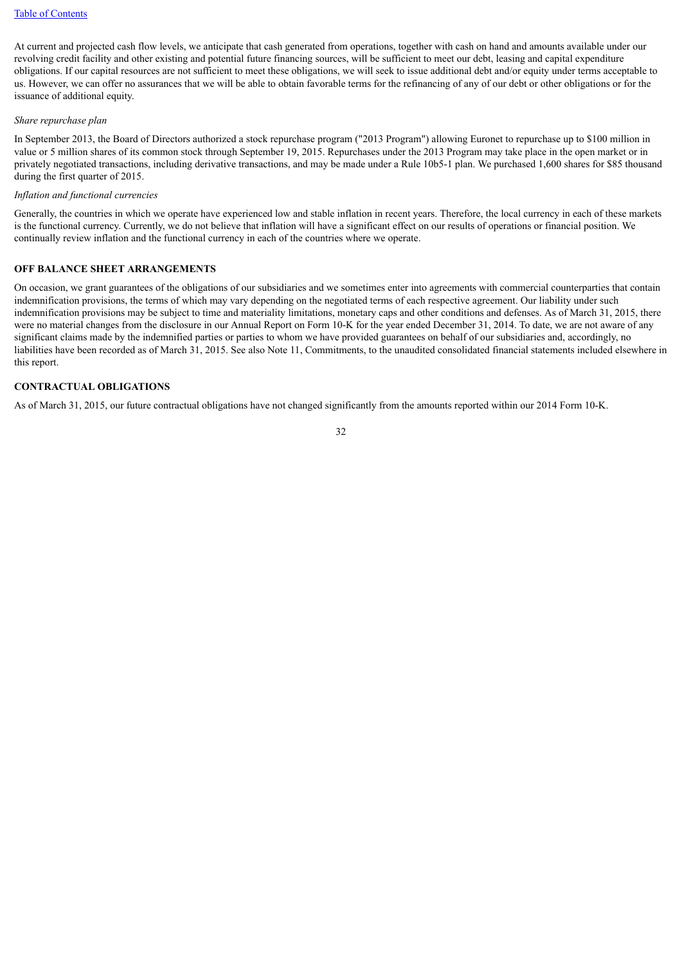At current and projected cash flow levels, we anticipate that cash generated from operations, together with cash on hand and amounts available under our revolving credit facility and other existing and potential future financing sources, will be sufficient to meet our debt, leasing and capital expenditure obligations. If our capital resources are not sufficient to meet these obligations, we will seek to issue additional debt and/or equity under terms acceptable to us. However, we can offer no assurances that we will be able to obtain favorable terms for the refinancing of any of our debt or other obligations or for the issuance of additional equity.

### *Share repurchase plan*

In September 2013, the Board of Directors authorized a stock repurchase program ("2013 Program") allowing Euronet to repurchase up to \$100 million in value or 5 million shares of its common stock through September 19, 2015. Repurchases under the 2013 Program may take place in the open market or in privately negotiated transactions, including derivative transactions, and may be made under a Rule 10b5-1 plan. We purchased 1,600 shares for \$85 thousand during the first quarter of 2015.

### *Inflation and functional currencies*

Generally, the countries in which we operate have experienced low and stable inflation in recent years. Therefore, the local currency in each of these markets is the functional currency. Currently, we do not believe that inflation will have a significant effect on our results of operations or financial position. We continually review inflation and the functional currency in each of the countries where we operate.

# **OFF BALANCE SHEET ARRANGEMENTS**

On occasion, we grant guarantees of the obligations of our subsidiaries and we sometimes enter into agreements with commercial counterparties that contain indemnification provisions, the terms of which may vary depending on the negotiated terms of each respective agreement. Our liability under such indemnification provisions may be subject to time and materiality limitations, monetary caps and other conditions and defenses. As of March 31, 2015, there were no material changes from the disclosure in our Annual Report on Form 10-K for the year ended December 31, 2014. To date, we are not aware of any significant claims made by the indemnified parties or parties to whom we have provided guarantees on behalf of our subsidiaries and, accordingly, no liabilities have been recorded as of March 31, 2015. See also Note 11, Commitments, to the unaudited consolidated financial statements included elsewhere in this report.

# **CONTRACTUAL OBLIGATIONS**

<span id="page-31-0"></span>As of March 31, 2015, our future contractual obligations have not changed significantly from the amounts reported within our 2014 Form 10-K.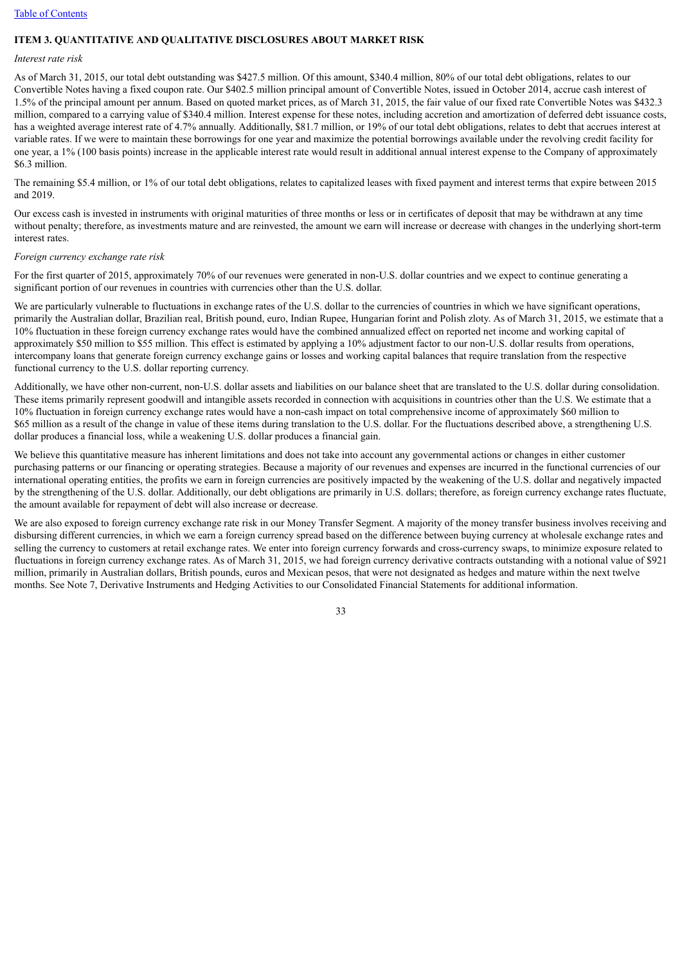# **ITEM 3. QUANTITATIVE AND QUALITATIVE DISCLOSURES ABOUT MARKET RISK**

# *Interest rate risk*

As of March 31, 2015, our total debt outstanding was \$427.5 million. Of this amount, \$340.4 million, 80% of our total debt obligations, relates to our Convertible Notes having a fixed coupon rate. Our \$402.5 million principal amount of Convertible Notes, issued in October 2014, accrue cash interest of 1.5% of the principal amount per annum. Based on quoted market prices, as of March 31, 2015, the fair value of our fixed rate Convertible Notes was \$432.3 million, compared to a carrying value of \$340.4 million. Interest expense for these notes, including accretion and amortization of deferred debt issuance costs, has a weighted average interest rate of 4.7% annually. Additionally, \$81.7 million, or 19% of our total debt obligations, relates to debt that accrues interest at variable rates. If we were to maintain these borrowings for one year and maximize the potential borrowings available under the revolving credit facility for one year, a 1% (100 basis points) increase in the applicable interest rate would result in additional annual interest expense to the Company of approximately \$6.3 million.

The remaining \$5.4 million, or 1% of our total debt obligations, relates to capitalized leases with fixed payment and interest terms that expire between 2015 and 2019.

Our excess cash is invested in instruments with original maturities of three months or less or in certificates of deposit that may be withdrawn at any time without penalty; therefore, as investments mature and are reinvested, the amount we earn will increase or decrease with changes in the underlying short-term interest rates.

# *Foreign currency exchange rate risk*

For the first quarter of 2015, approximately 70% of our revenues were generated in non-U.S. dollar countries and we expect to continue generating a significant portion of our revenues in countries with currencies other than the U.S. dollar.

We are particularly vulnerable to fluctuations in exchange rates of the U.S. dollar to the currencies of countries in which we have significant operations, primarily the Australian dollar, Brazilian real, British pound, euro, Indian Rupee, Hungarian forint and Polish zloty. As of March 31, 2015, we estimate that a 10% fluctuation in these foreign currency exchange rates would have the combined annualized effect on reported net income and working capital of approximately \$50 million to \$55 million. This effect is estimated by applying a 10% adjustment factor to our non-U.S. dollar results from operations, intercompany loans that generate foreign currency exchange gains or losses and working capital balances that require translation from the respective functional currency to the U.S. dollar reporting currency.

Additionally, we have other non-current, non-U.S. dollar assets and liabilities on our balance sheet that are translated to the U.S. dollar during consolidation. These items primarily represent goodwill and intangible assets recorded in connection with acquisitions in countries other than the U.S. We estimate that a 10% fluctuation in foreign currency exchange rates would have a non-cash impact on total comprehensive income of approximately \$60 million to \$65 million as a result of the change in value of these items during translation to the U.S. dollar. For the fluctuations described above, a strengthening U.S. dollar produces a financial loss, while a weakening U.S. dollar produces a financial gain.

We believe this quantitative measure has inherent limitations and does not take into account any governmental actions or changes in either customer purchasing patterns or our financing or operating strategies. Because a majority of our revenues and expenses are incurred in the functional currencies of our international operating entities, the profits we earn in foreign currencies are positively impacted by the weakening of the U.S. dollar and negatively impacted by the strengthening of the U.S. dollar. Additionally, our debt obligations are primarily in U.S. dollars; therefore, as foreign currency exchange rates fluctuate, the amount available for repayment of debt will also increase or decrease.

<span id="page-32-0"></span>We are also exposed to foreign currency exchange rate risk in our Money Transfer Segment. A majority of the money transfer business involves receiving and disbursing different currencies, in which we earn a foreign currency spread based on the difference between buying currency at wholesale exchange rates and selling the currency to customers at retail exchange rates. We enter into foreign currency forwards and cross-currency swaps, to minimize exposure related to fluctuations in foreign currency exchange rates. As of March 31, 2015, we had foreign currency derivative contracts outstanding with a notional value of \$921 million, primarily in Australian dollars, British pounds, euros and Mexican pesos, that were not designated as hedges and mature within the next twelve months. See Note 7, Derivative Instruments and Hedging Activities to our Consolidated Financial Statements for additional information.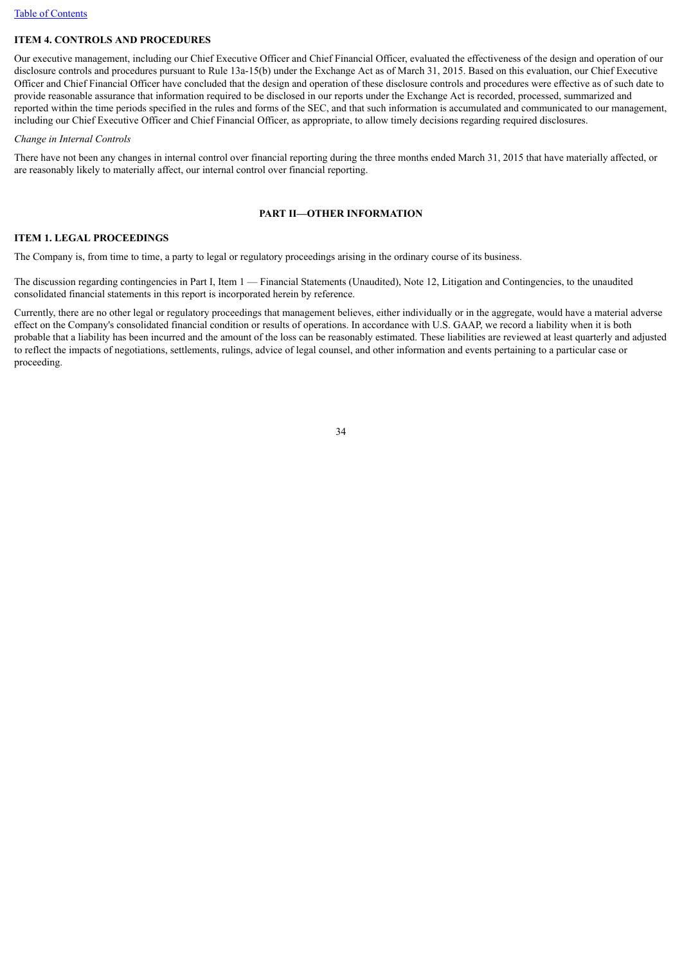# **ITEM 4. CONTROLS AND PROCEDURES**

Our executive management, including our Chief Executive Officer and Chief Financial Officer, evaluated the effectiveness of the design and operation of our disclosure controls and procedures pursuant to Rule 13a-15(b) under the Exchange Act as of March 31, 2015. Based on this evaluation, our Chief Executive Officer and Chief Financial Officer have concluded that the design and operation of these disclosure controls and procedures were effective as of such date to provide reasonable assurance that information required to be disclosed in our reports under the Exchange Act is recorded, processed, summarized and reported within the time periods specified in the rules and forms of the SEC, and that such information is accumulated and communicated to our management, including our Chief Executive Officer and Chief Financial Officer, as appropriate, to allow timely decisions regarding required disclosures.

### *Change in Internal Controls*

There have not been any changes in internal control over financial reporting during the three months ended March 31, 2015 that have materially affected, or are reasonably likely to materially affect, our internal control over financial reporting.

# **PART II—OTHER INFORMATION**

### <span id="page-33-1"></span><span id="page-33-0"></span>**ITEM 1. LEGAL PROCEEDINGS**

The Company is, from time to time, a party to legal or regulatory proceedings arising in the ordinary course of its business.

The discussion regarding contingencies in Part I, Item 1 — Financial Statements (Unaudited), Note 12, Litigation and Contingencies, to the unaudited consolidated financial statements in this report is incorporated herein by reference.

<span id="page-33-2"></span>Currently, there are no other legal or regulatory proceedings that management believes, either individually or in the aggregate, would have a material adverse effect on the Company's consolidated financial condition or results of operations. In accordance with U.S. GAAP, we record a liability when it is both probable that a liability has been incurred and the amount of the loss can be reasonably estimated. These liabilities are reviewed at least quarterly and adjusted to reflect the impacts of negotiations, settlements, rulings, advice of legal counsel, and other information and events pertaining to a particular case or proceeding.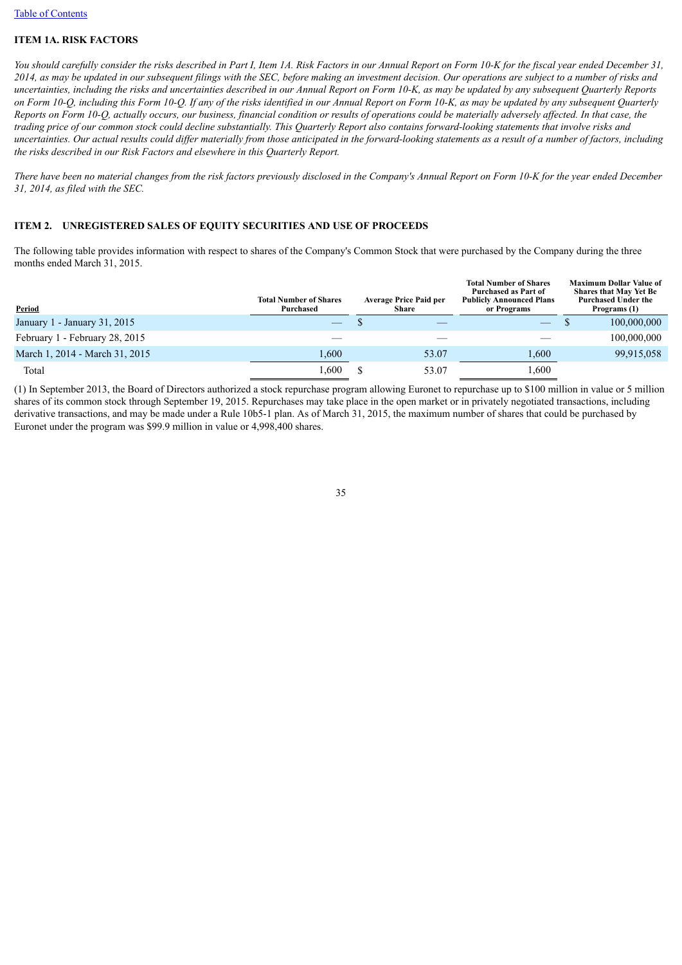# **ITEM 1A. RISK FACTORS**

You should carefully consider the risks described in Part I, Item 1A. Risk Factors in our Annual Report on Form 10-K for the fiscal year ended December 31, 2014, as may be updated in our subsequent filings with the SEC, before making an investment decision. Our operations are subject to a number of risks and uncertainties, including the risks and uncertainties described in our Annual Report on Form 10-K, as may be updated by any subsequent Quarterly Reports on Form 10-Q, including this Form 10-Q. If any of the risks identified in our Annual Report on Form 10-K, as may be updated by any subsequent Quarterly Reports on Form 10-O, actually occurs, our business, financial condition or results of operations could be materially adversely affected. In that case, the trading price of our common stock could decline substantially. This Quarterly Report also contains forward-looking statements that involve risks and uncertainties. Our actual results could differ materially from those anticipated in the forward-looking statements as a result of a number of factors, including *the risks described in our Risk Factors and elsewhere in this Quarterly Report.*

There have been no material changes from the risk factors previously disclosed in the Company's Annual Report on Form 10-K for the year ended December *31, 2014, as filed with the SEC.*

# <span id="page-34-0"></span>**ITEM 2. UNREGISTERED SALES OF EQUITY SECURITIES AND USE OF PROCEEDS**

The following table provides information with respect to shares of the Company's Common Stock that were purchased by the Company during the three months ended March 31, 2015.

| <b>Period</b>                  | <b>Total Number of Shares</b><br>Purchased | <b>Total Number of Shares</b><br>Purchased as Part of<br><b>Average Price Paid per</b><br><b>Publicly Announced Plans</b><br><b>Share</b><br>or Programs |       | <b>Maximum Dollar Value of</b><br><b>Shares that May Yet Be</b><br><b>Purchased Under the</b><br>Programs (1) |  |
|--------------------------------|--------------------------------------------|----------------------------------------------------------------------------------------------------------------------------------------------------------|-------|---------------------------------------------------------------------------------------------------------------|--|
| January 1 - January 31, 2015   |                                            |                                                                                                                                                          |       | 100,000,000                                                                                                   |  |
| February 1 - February 28, 2015 |                                            |                                                                                                                                                          |       | 100,000,000                                                                                                   |  |
| March 1, 2014 - March 31, 2015 | .600                                       | 53.07                                                                                                                                                    | 1.600 | 99.915,058                                                                                                    |  |
| Total                          | .600                                       | 53.07                                                                                                                                                    | .600  |                                                                                                               |  |

<span id="page-34-1"></span>(1) In September 2013, the Board of Directors authorized a stock repurchase program allowing Euronet to repurchase up to \$100 million in value or 5 million shares of its common stock through September 19, 2015. Repurchases may take place in the open market or in privately negotiated transactions, including derivative transactions, and may be made under a Rule 10b5-1 plan. As of March 31, 2015, the maximum number of shares that could be purchased by Euronet under the program was \$99.9 million in value or 4,998,400 shares.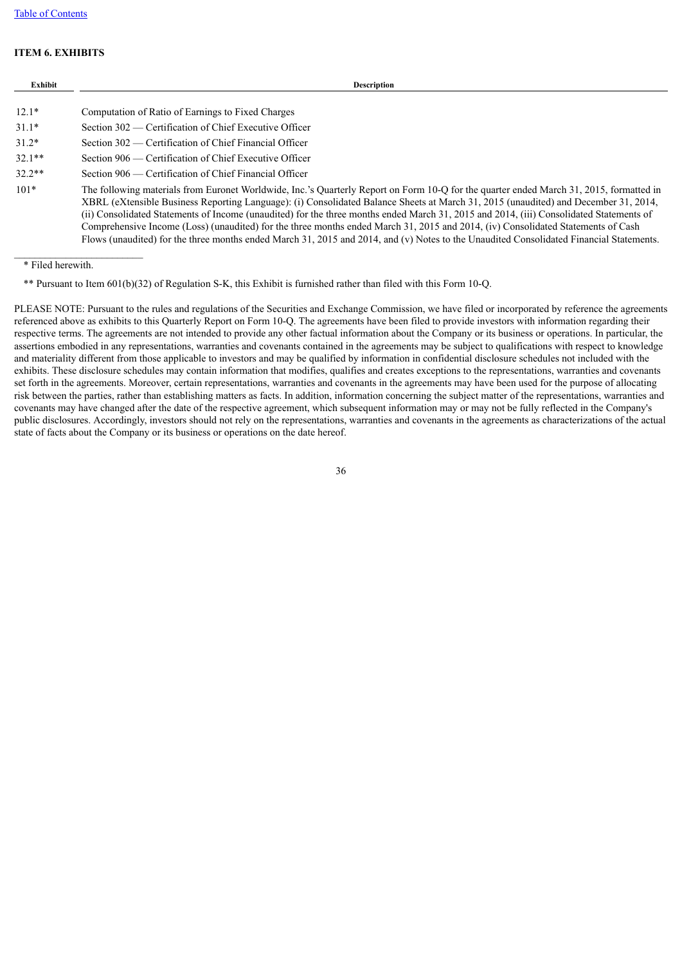# **ITEM 6. EXHIBITS**

| Exhibit                                   | <b>Description</b>                                                                                                                                                                                                                                                                                                                                                                                                                                                                                                                                                                                                                                                                                       |
|-------------------------------------------|----------------------------------------------------------------------------------------------------------------------------------------------------------------------------------------------------------------------------------------------------------------------------------------------------------------------------------------------------------------------------------------------------------------------------------------------------------------------------------------------------------------------------------------------------------------------------------------------------------------------------------------------------------------------------------------------------------|
| $12.1*$<br>$31.1*$<br>$31.2*$<br>$32.1**$ | Computation of Ratio of Earnings to Fixed Charges<br>Section 302 — Certification of Chief Executive Officer<br>Section 302 — Certification of Chief Financial Officer<br>Section 906 — Certification of Chief Executive Officer                                                                                                                                                                                                                                                                                                                                                                                                                                                                          |
| $32.2**$                                  | Section 906 — Certification of Chief Financial Officer                                                                                                                                                                                                                                                                                                                                                                                                                                                                                                                                                                                                                                                   |
| $101*$                                    | The following materials from Euronet Worldwide, Inc.'s Quarterly Report on Form 10-Q for the quarter ended March 31, 2015, formatted in<br>XBRL (eXtensible Business Reporting Language): (i) Consolidated Balance Sheets at March 31, 2015 (unaudited) and December 31, 2014,<br>(ii) Consolidated Statements of Income (unaudited) for the three months ended March 31, 2015 and 2014, (iii) Consolidated Statements of<br>Comprehensive Income (Loss) (unaudited) for the three months ended March 31, 2015 and 2014, (iv) Consolidated Statements of Cash<br>Flows (unaudited) for the three months ended March 31, 2015 and 2014, and (v) Notes to the Unaudited Consolidated Financial Statements. |

\* Filed herewith.

\*\* Pursuant to Item 601(b)(32) of Regulation S-K, this Exhibit is furnished rather than filed with this Form 10-Q.

<span id="page-35-0"></span>PLEASE NOTE: Pursuant to the rules and regulations of the Securities and Exchange Commission, we have filed or incorporated by reference the agreements referenced above as exhibits to this Quarterly Report on Form 10-Q. The agreements have been filed to provide investors with information regarding their respective terms. The agreements are not intended to provide any other factual information about the Company or its business or operations. In particular, the assertions embodied in any representations, warranties and covenants contained in the agreements may be subject to qualifications with respect to knowledge and materiality different from those applicable to investors and may be qualified by information in confidential disclosure schedules not included with the exhibits. These disclosure schedules may contain information that modifies, qualifies and creates exceptions to the representations, warranties and covenants set forth in the agreements. Moreover, certain representations, warranties and covenants in the agreements may have been used for the purpose of allocating risk between the parties, rather than establishing matters as facts. In addition, information concerning the subject matter of the representations, warranties and covenants may have changed after the date of the respective agreement, which subsequent information may or may not be fully reflected in the Company's public disclosures. Accordingly, investors should not rely on the representations, warranties and covenants in the agreements as characterizations of the actual state of facts about the Company or its business or operations on the date hereof.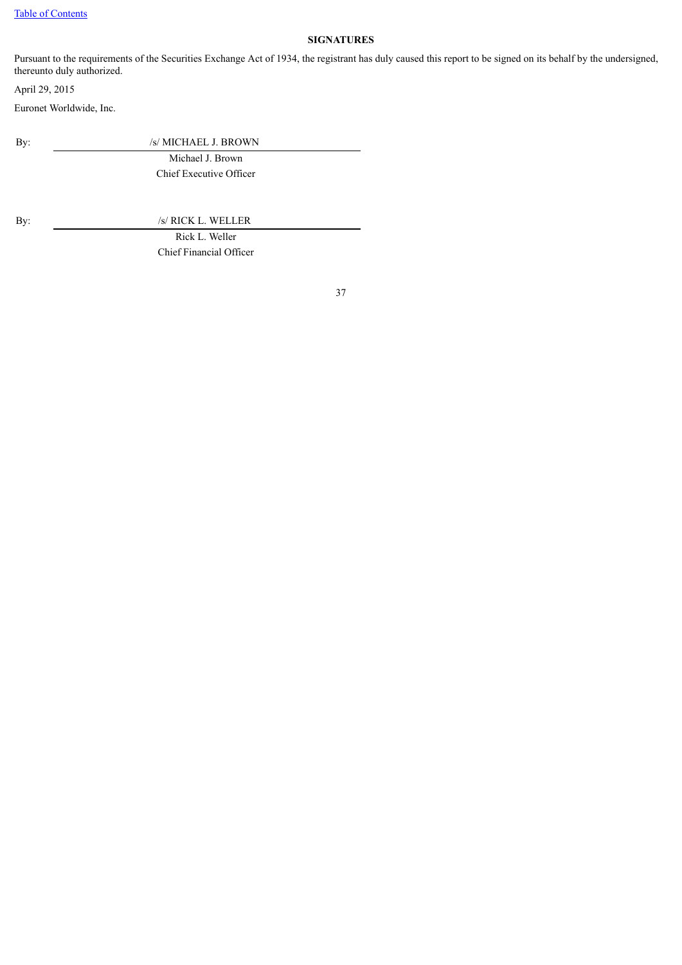# **SIGNATURES**

Pursuant to the requirements of the Securities Exchange Act of 1934, the registrant has duly caused this report to be signed on its behalf by the undersigned, thereunto duly authorized.

April 29, 2015

Euronet Worldwide, Inc.

| By: | /s/ MICHAEL J. BROWN    |
|-----|-------------------------|
|     | Michael J. Brown        |
|     | Chief Executive Officer |

By:  $\frac{1}{s}$  RICK L. WELLER

Rick L. Weller Chief Financial Officer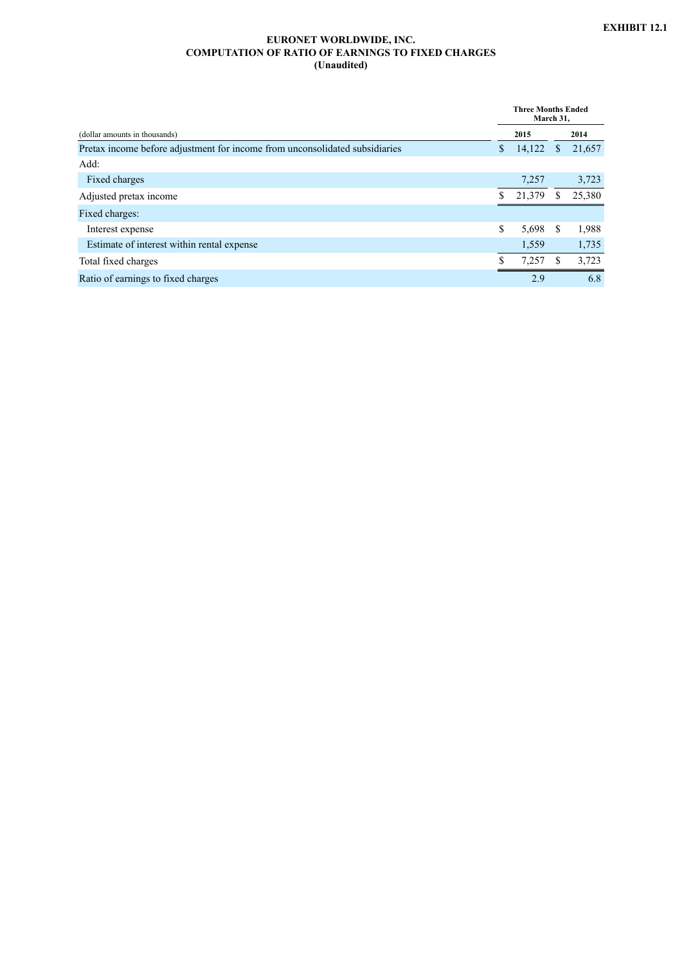# **EURONET WORLDWIDE, INC. COMPUTATION OF RATIO OF EARNINGS TO FIXED CHARGES (Unaudited)**

|                                                                             | <b>Three Months Ended</b><br>March 31, |        |      |        |
|-----------------------------------------------------------------------------|----------------------------------------|--------|------|--------|
| (dollar amounts in thousands)                                               | 2015                                   |        | 2014 |        |
| Pretax income before adjustment for income from unconsolidated subsidiaries | \$                                     | 14,122 | \$   | 21,657 |
| Add:                                                                        |                                        |        |      |        |
| Fixed charges                                                               |                                        | 7,257  |      | 3,723  |
| Adjusted pretax income                                                      |                                        | 21,379 | S    | 25,380 |
| Fixed charges:                                                              |                                        |        |      |        |
| Interest expense                                                            | \$                                     | 5,698  | S    | 1,988  |
| Estimate of interest within rental expense                                  |                                        | 1,559  |      | 1,735  |
| Total fixed charges                                                         |                                        | 7,257  | S    | 3,723  |
| Ratio of earnings to fixed charges                                          |                                        | 2.9    |      | 6.8    |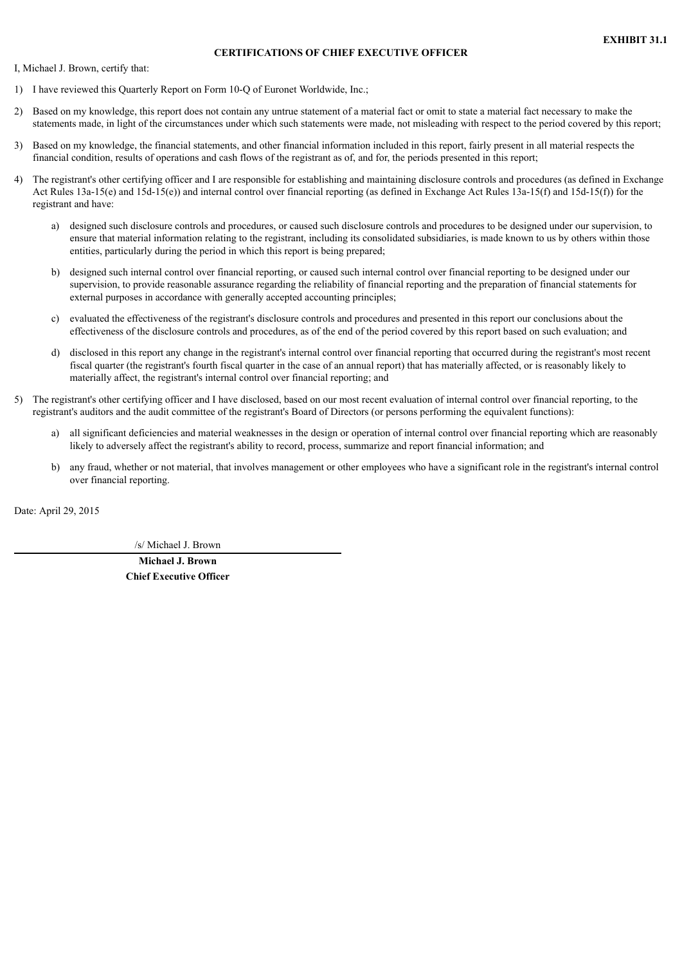### **CERTIFICATIONS OF CHIEF EXECUTIVE OFFICER**

I, Michael J. Brown, certify that:

- 1) I have reviewed this Quarterly Report on Form 10-Q of Euronet Worldwide, Inc.;
- 2) Based on my knowledge, this report does not contain any untrue statement of a material fact or omit to state a material fact necessary to make the statements made, in light of the circumstances under which such statements were made, not misleading with respect to the period covered by this report;
- 3) Based on my knowledge, the financial statements, and other financial information included in this report, fairly present in all material respects the financial condition, results of operations and cash flows of the registrant as of, and for, the periods presented in this report;
- 4) The registrant's other certifying officer and I are responsible for establishing and maintaining disclosure controls and procedures (as defined in Exchange Act Rules  $13a-15(e)$  and  $15d-15(e)$ ) and internal control over financial reporting (as defined in Exchange Act Rules  $13a-15(f)$ ) and  $15d-15(f)$ ) for the registrant and have:
	- a) designed such disclosure controls and procedures, or caused such disclosure controls and procedures to be designed under our supervision, to ensure that material information relating to the registrant, including its consolidated subsidiaries, is made known to us by others within those entities, particularly during the period in which this report is being prepared;
	- b) designed such internal control over financial reporting, or caused such internal control over financial reporting to be designed under our supervision, to provide reasonable assurance regarding the reliability of financial reporting and the preparation of financial statements for external purposes in accordance with generally accepted accounting principles;
	- c) evaluated the effectiveness of the registrant's disclosure controls and procedures and presented in this report our conclusions about the effectiveness of the disclosure controls and procedures, as of the end of the period covered by this report based on such evaluation; and
	- d) disclosed in this report any change in the registrant's internal control over financial reporting that occurred during the registrant's most recent fiscal quarter (the registrant's fourth fiscal quarter in the case of an annual report) that has materially affected, or is reasonably likely to materially affect, the registrant's internal control over financial reporting; and
- 5) The registrant's other certifying officer and I have disclosed, based on our most recent evaluation of internal control over financial reporting, to the registrant's auditors and the audit committee of the registrant's Board of Directors (or persons performing the equivalent functions):
	- a) all significant deficiencies and material weaknesses in the design or operation of internal control over financial reporting which are reasonably likely to adversely affect the registrant's ability to record, process, summarize and report financial information; and
	- b) any fraud, whether or not material, that involves management or other employees who have a significant role in the registrant's internal control over financial reporting.

Date: April 29, 2015

/s/ Michael J. Brown

**Michael J. Brown Chief Executive Officer**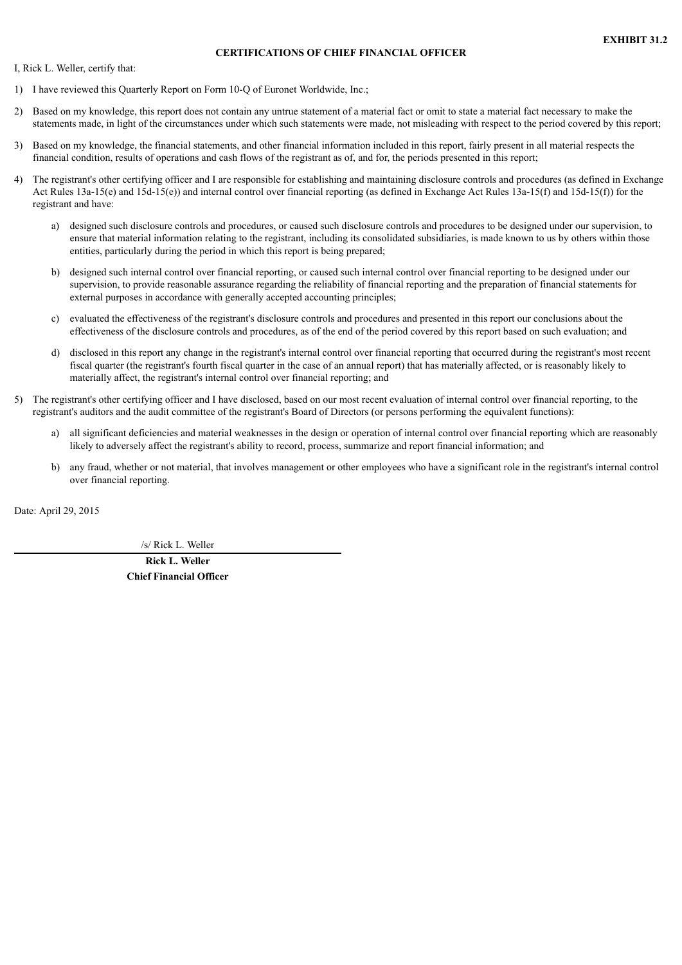### **CERTIFICATIONS OF CHIEF FINANCIAL OFFICER**

I, Rick L. Weller, certify that:

- 1) I have reviewed this Quarterly Report on Form 10-Q of Euronet Worldwide, Inc.;
- 2) Based on my knowledge, this report does not contain any untrue statement of a material fact or omit to state a material fact necessary to make the statements made, in light of the circumstances under which such statements were made, not misleading with respect to the period covered by this report;
- 3) Based on my knowledge, the financial statements, and other financial information included in this report, fairly present in all material respects the financial condition, results of operations and cash flows of the registrant as of, and for, the periods presented in this report;
- 4) The registrant's other certifying officer and I are responsible for establishing and maintaining disclosure controls and procedures (as defined in Exchange Act Rules  $13a-15(e)$  and  $15d-15(e)$ ) and internal control over financial reporting (as defined in Exchange Act Rules  $13a-15(f)$ ) and  $15d-15(f)$ ) for the registrant and have:
	- a) designed such disclosure controls and procedures, or caused such disclosure controls and procedures to be designed under our supervision, to ensure that material information relating to the registrant, including its consolidated subsidiaries, is made known to us by others within those entities, particularly during the period in which this report is being prepared;
	- b) designed such internal control over financial reporting, or caused such internal control over financial reporting to be designed under our supervision, to provide reasonable assurance regarding the reliability of financial reporting and the preparation of financial statements for external purposes in accordance with generally accepted accounting principles;
	- c) evaluated the effectiveness of the registrant's disclosure controls and procedures and presented in this report our conclusions about the effectiveness of the disclosure controls and procedures, as of the end of the period covered by this report based on such evaluation; and
	- d) disclosed in this report any change in the registrant's internal control over financial reporting that occurred during the registrant's most recent fiscal quarter (the registrant's fourth fiscal quarter in the case of an annual report) that has materially affected, or is reasonably likely to materially affect, the registrant's internal control over financial reporting; and
- 5) The registrant's other certifying officer and I have disclosed, based on our most recent evaluation of internal control over financial reporting, to the registrant's auditors and the audit committee of the registrant's Board of Directors (or persons performing the equivalent functions):
	- a) all significant deficiencies and material weaknesses in the design or operation of internal control over financial reporting which are reasonably likely to adversely affect the registrant's ability to record, process, summarize and report financial information; and
	- b) any fraud, whether or not material, that involves management or other employees who have a significant role in the registrant's internal control over financial reporting.

Date: April 29, 2015

/s/ Rick L. Weller

**Rick L. Weller Chief Financial Officer**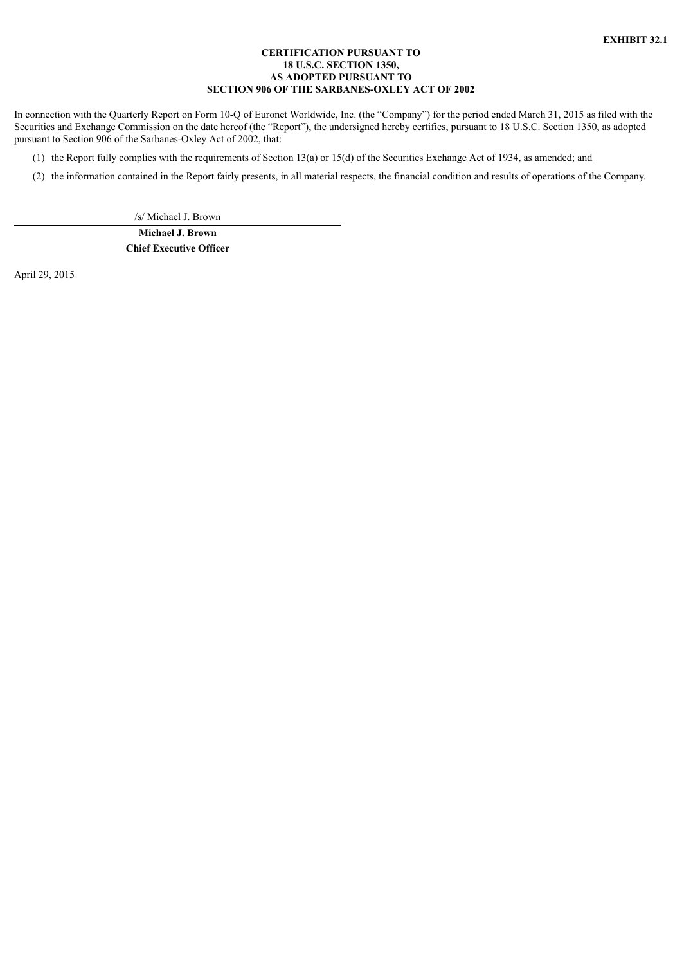# **CERTIFICATION PURSUANT TO 18 U.S.C. SECTION 1350, AS ADOPTED PURSUANT TO SECTION 906 OF THE SARBANES-OXLEY ACT OF 2002**

In connection with the Quarterly Report on Form 10-Q of Euronet Worldwide, Inc. (the "Company") for the period ended March 31, 2015 as filed with the Securities and Exchange Commission on the date hereof (the "Report"), the undersigned hereby certifies, pursuant to 18 U.S.C. Section 1350, as adopted pursuant to Section 906 of the Sarbanes-Oxley Act of 2002, that:

- (1) the Report fully complies with the requirements of Section 13(a) or 15(d) of the Securities Exchange Act of 1934, as amended; and
- (2) the information contained in the Report fairly presents, in all material respects, the financial condition and results of operations of the Company.

/s/ Michael J. Brown

**Michael J. Brown Chief Executive Officer**

April 29, 2015